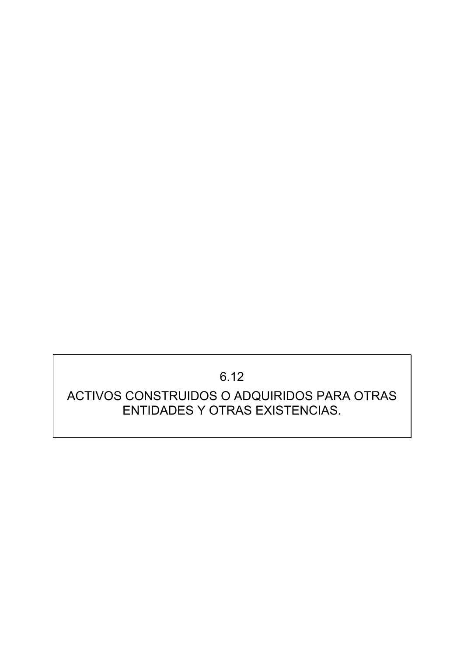# 6.12

# ACTIVOS CONSTRUIDOS O ADQUIRIDOS PARA OTRAS ENTIDADES Y OTRAS EXISTENCIAS.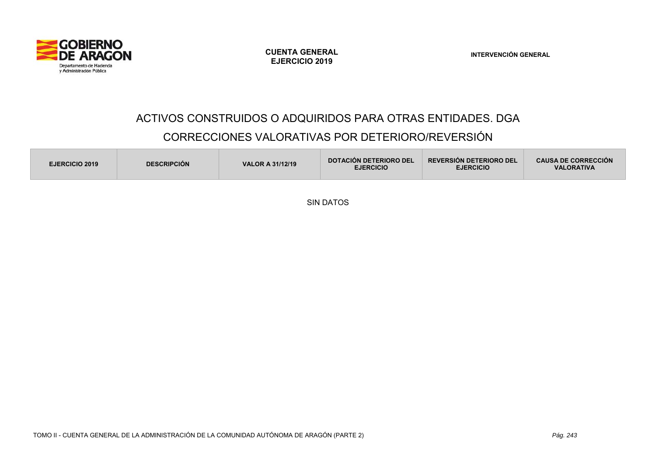

**INTERVENCIÓN GENERAL** 

#### ACTIVOS CONSTRUIDOS O ADQUIRIDOS PARA OTRAS ENTIDADES. DGA

# CORRECCIONES VALORATIVAS POR DETERIORO/REVERSIÓN

| <b>DESCRIPCION</b><br><b>VALOR A 31/12/19</b><br><b>EJERCICIO 2019</b> | <b>DOTACIÓN DETERIORO DEL</b><br><b>EJERCICIO</b> | <b>REVERSION DETERIORO DEL</b><br><b>EJERCICIO</b> | <b>CAUSA DE CORRECCIÓN</b><br><b>VALORATIVA</b> |
|------------------------------------------------------------------------|---------------------------------------------------|----------------------------------------------------|-------------------------------------------------|
|------------------------------------------------------------------------|---------------------------------------------------|----------------------------------------------------|-------------------------------------------------|

SIN DATOS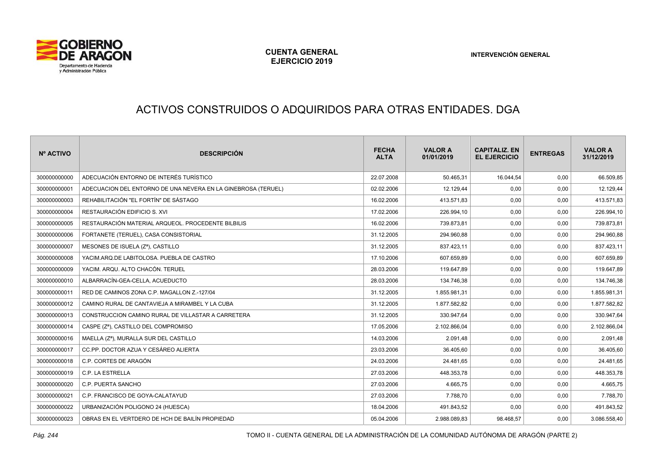

# ACTIVOS CONSTRUIDOS O ADQUIRIDOS PARA OTRAS ENTIDADES. DGA

| Nº ACTIVO    | <b>DESCRIPCIÓN</b>                                            | <b>FECHA</b><br><b>ALTA</b> | <b>VALOR A</b><br>01/01/2019 | <b>CAPITALIZ, EN</b><br><b>EL EJERCICIO</b> | <b>ENTREGAS</b> | <b>VALOR A</b><br>31/12/2019 |
|--------------|---------------------------------------------------------------|-----------------------------|------------------------------|---------------------------------------------|-----------------|------------------------------|
| 300000000000 | ADECUACIÓN ENTORNO DE INTERÉS TURÍSTICO                       | 22.07.2008                  | 50.465,31                    | 16.044,54                                   | 0,00            | 66.509,85                    |
| 300000000001 | ADECUACION DEL ENTORNO DE UNA NEVERA EN LA GINEBROSA (TERUEL) | 02.02.2006                  | 12.129,44                    | 0,00                                        | 0,00            | 12.129,44                    |
| 300000000003 | REHABILITACIÓN "EL FORTÍN" DE SÁSTAGO                         | 16.02.2006                  | 413.571,83                   | 0,00                                        | 0,00            | 413.571,83                   |
| 300000000004 | RESTAURACIÓN EDIFICIO S. XVI                                  | 17.02.2006                  | 226.994,10                   | 0,00                                        | 0,00            | 226.994,10                   |
| 300000000005 | RESTAURACIÓN MATERIAL ARQUEOL. PROCEDENTE BILBILIS            | 16.02.2006                  | 739.873,81                   | 0,00                                        | 0,00            | 739.873,81                   |
| 300000000006 | FORTANETE (TERUEL), CASA CONSISTORIAL                         | 31.12.2005                  | 294.960,88                   | 0,00                                        | 0,00            | 294.960,88                   |
| 300000000007 | MESONES DE ISUELA (Zª), CASTILLO                              | 31.12.2005                  | 837.423,11                   | 0,00                                        | 0,00            | 837.423,11                   |
| 300000000008 | YACIM.ARQ.DE LABITOLOSA. PUEBLA DE CASTRO                     | 17.10.2006                  | 607.659,89                   | 0,00                                        | 0,00            | 607.659,89                   |
| 300000000009 | YACIM. ARQU. ALTO CHACÓN. TERUEL                              | 28.03.2006                  | 119.647,89                   | 0,00                                        | 0,00            | 119.647,89                   |
| 300000000010 | ALBARRACÍN-GEA-CELLA, ACUEDUCTO                               | 28.03.2006                  | 134.746,38                   | 0,00                                        | 0,00            | 134.746,38                   |
| 300000000011 | RED DE CAMINOS ZONA C.P. MAGALLON Z.-127/04                   | 31.12.2005                  | 1.855.981,31                 | 0,00                                        | 0,00            | 1.855.981,31                 |
| 300000000012 | CAMINO RURAL DE CANTAVIEJA A MIRAMBEL Y LA CUBA               | 31.12.2005                  | 1.877.582,82                 | 0,00                                        | 0,00            | 1.877.582,82                 |
| 300000000013 | CONSTRUCCION CAMINO RURAL DE VILLASTAR A CARRETERA            | 31.12.2005                  | 330.947,64                   | 0,00                                        | 0,00            | 330.947,64                   |
| 300000000014 | CASPE (Z <sup>a</sup> ), CASTILLO DEL COMPROMISO              | 17.05.2006                  | 2.102.866,04                 | 0,00                                        | 0,00            | 2.102.866,04                 |
| 300000000016 | MAELLA (Zª), MURALLA SUR DEL CASTILLO                         | 14.03.2006                  | 2.091,48                     | 0,00                                        | 0,00            | 2.091,48                     |
| 300000000017 | CC.PP. DOCTOR AZUA Y CESÁREO ALIERTA                          | 23.03.2006                  | 36.405,60                    | 0,00                                        | 0,00            | 36.405,60                    |
| 300000000018 | C.P. CORTES DE ARAGÓN                                         | 24.03.2006                  | 24.481,65                    | 0,00                                        | 0,00            | 24.481,65                    |
| 300000000019 | C.P. LA ESTRELLA                                              | 27.03.2006                  | 448.353,78                   | 0,00                                        | 0,00            | 448.353,78                   |
| 300000000020 | C.P. PUERTA SANCHO                                            | 27.03.2006                  | 4.665.75                     | 0,00                                        | 0,00            | 4.665,75                     |
| 300000000021 | C.P. FRANCISCO DE GOYA-CALATAYUD                              | 27.03.2006                  | 7.788,70                     | 0,00                                        | 0,00            | 7.788,70                     |
| 300000000022 | URBANIZACIÓN POLIGONO 24 (HUESCA)                             | 18.04.2006                  | 491.843,52                   | 0,00                                        | 0,00            | 491.843,52                   |
| 300000000023 | OBRAS EN EL VERTDERO DE HCH DE BAILÍN PROPIEDAD               | 05.04.2006                  | 2.988.089,83                 | 98.468,57                                   | 0,00            | 3.086.558,40                 |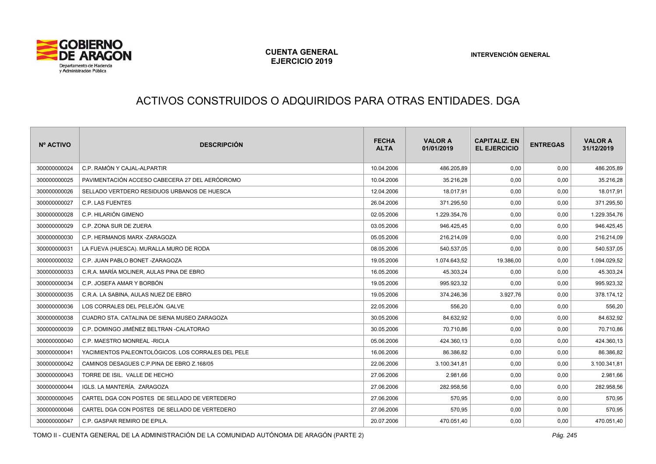

# ACTIVOS CONSTRUIDOS O ADQUIRIDOS PARA OTRAS ENTIDADES. DGA

| Nº ACTIVO    | <b>DESCRIPCIÓN</b>                                 | <b>FECHA</b><br><b>ALTA</b> | <b>VALOR A</b><br>01/01/2019 | <b>CAPITALIZ, EN</b><br><b>EL EJERCICIO</b> | <b>ENTREGAS</b> | <b>VALOR A</b><br>31/12/2019 |
|--------------|----------------------------------------------------|-----------------------------|------------------------------|---------------------------------------------|-----------------|------------------------------|
| 300000000024 | C.P. RAMÓN Y CAJAL-ALPARTIR                        | 10.04.2006                  | 486.205.89                   | 0,00                                        | 0.00            | 486.205,89                   |
| 300000000025 | PAVIMENTACIÓN ACCESO CABECERA 27 DEL AERÓDROMO     | 10.04.2006                  | 35.216,28                    | 0,00                                        | 0,00            | 35.216,28                    |
| 300000000026 | SELLADO VERTDERO RESIDUOS URBANOS DE HUESCA        | 12.04.2006                  | 18.017.91                    | 0,00                                        | 0,00            | 18.017,91                    |
| 300000000027 | C.P. LAS FUENTES                                   | 26.04.2006                  | 371.295,50                   | 0,00                                        | 0,00            | 371.295,50                   |
| 300000000028 | C.P. HILARIÓN GIMENO                               | 02.05.2006                  | 1.229.354,76                 | 0,00                                        | 0,00            | 1.229.354,76                 |
| 300000000029 | C.P. ZONA SUR DE ZUERA                             | 03.05.2006                  | 946.425,45                   | 0,00                                        | 0,00            | 946.425,45                   |
| 300000000030 | C.P. HERMANOS MARX -ZARAGOZA                       | 05.05.2006                  | 216.214,09                   | 0,00                                        | 0,00            | 216.214,09                   |
| 300000000031 | LA FUEVA (HUESCA). MURALLA MURO DE RODA            | 08.05.2006                  | 540.537,05                   | 0,00                                        | 0,00            | 540.537,05                   |
| 300000000032 | C.P. JUAN PABLO BONET - ZARAGOZA                   | 19.05.2006                  | 1.074.643,52                 | 19.386,00                                   | 0,00            | 1.094.029,52                 |
| 300000000033 | C.R.A. MARÍA MOLINER. AULAS PINA DE EBRO           | 16.05.2006                  | 45.303,24                    | 0,00                                        | 0,00            | 45.303,24                    |
| 300000000034 | C.P. JOSEFA AMAR Y BORBÓN                          | 19.05.2006                  | 995.923,32                   | 0,00                                        | 0,00            | 995.923,32                   |
| 300000000035 | C.R.A. LA SABINA. AULAS NUEZ DE EBRO               | 19.05.2006                  | 374.246,36                   | 3.927,76                                    | 0,00            | 378.174,12                   |
| 300000000036 | LOS CORRALES DEL PELEJÓN. GALVE                    | 22.05.2006                  | 556,20                       | 0,00                                        | 0,00            | 556,20                       |
| 300000000038 | CUADRO STA, CATALINA DE SIENA MUSEO ZARAGOZA       | 30.05.2006                  | 84.632.92                    | 0,00                                        | 0,00            | 84.632,92                    |
| 300000000039 | C.P. DOMINGO JIMÉNEZ BELTRAN -CALATORAO            | 30.05.2006                  | 70.710.86                    | 0,00                                        | 0,00            | 70.710,86                    |
| 300000000040 | C.P. MAESTRO MONREAL - RICLA                       | 05.06.2006                  | 424.360,13                   | 0,00                                        | 0,00            | 424.360,13                   |
| 300000000041 | YACIMIENTOS PALEONTOLÓGICOS. LOS CORRALES DEL PELE | 16.06.2006                  | 86.386,82                    | 0,00                                        | 0,00            | 86.386,82                    |
| 300000000042 | CAMINOS DESAGUES C.P.PINA DE EBRO Z.168/05         | 22.06.2006                  | 3.100.341,81                 | 0,00                                        | 0,00            | 3.100.341,81                 |
| 300000000043 | TORRE DE ISIL. VALLE DE HECHO                      | 27.06.2006                  | 2.981,66                     | 0,00                                        | 0,00            | 2.981,66                     |
| 300000000044 | IGLS. LA MANTERÍA. ZARAGOZA                        | 27.06.2006                  | 282.958,56                   | 0,00                                        | 0,00            | 282.958,56                   |
| 300000000045 | CARTEL DGA CON POSTES DE SELLADO DE VERTEDERO      | 27.06.2006                  | 570,95                       | 0,00                                        | 0,00            | 570,95                       |
| 300000000046 | CARTEL DGA CON POSTES DE SELLADO DE VERTEDERO      | 27.06.2006                  | 570,95                       | 0,00                                        | 0,00            | 570,95                       |
| 300000000047 | C.P. GASPAR REMIRO DE EPILA.                       | 20.07.2006                  | 470.051,40                   | 0,00                                        | 0,00            | 470.051,40                   |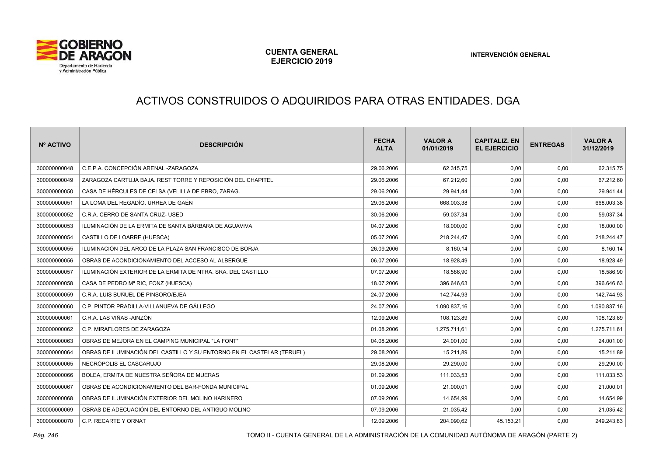

# ACTIVOS CONSTRUIDOS O ADQUIRIDOS PARA OTRAS ENTIDADES. DGA

| Nº ACTIVO    | <b>DESCRIPCIÓN</b>                                                     | <b>FECHA</b><br><b>ALTA</b> | <b>VALOR A</b><br>01/01/2019 | <b>CAPITALIZ, EN</b><br><b>EL EJERCICIO</b> | <b>ENTREGAS</b> | <b>VALOR A</b><br>31/12/2019 |
|--------------|------------------------------------------------------------------------|-----------------------------|------------------------------|---------------------------------------------|-----------------|------------------------------|
| 300000000048 | C.E.P.A. CONCEPCIÓN ARENAL -ZARAGOZA                                   | 29.06.2006                  | 62.315,75                    | 0,00                                        | 0,00            | 62.315,75                    |
| 300000000049 | ZARAGOZA CARTUJA BAJA. REST TORRE Y REPOSICIÓN DEL CHAPITEL            | 29.06.2006                  | 67.212,60                    | 0,00                                        | 0,00            | 67.212,60                    |
| 300000000050 | CASA DE HÉRCULES DE CELSA (VELILLA DE EBRO, ZARAG.                     | 29.06.2006                  | 29.941,44                    | 0,00                                        | 0,00            | 29.941,44                    |
| 300000000051 | LA LOMA DEL REGADÍO. URREA DE GAÉN                                     | 29.06.2006                  | 668.003,38                   | 0,00                                        | 0,00            | 668.003,38                   |
| 300000000052 | C.R.A. CERRO DE SANTA CRUZ- USED                                       | 30.06.2006                  | 59.037,34                    | 0,00                                        | 0,00            | 59.037,34                    |
| 300000000053 | ILUMINACIÓN DE LA ERMITA DE SANTA BÁRBARA DE AGUAVIVA                  | 04.07.2006                  | 18.000,00                    | 0,00                                        | 0,00            | 18.000,00                    |
| 300000000054 | CASTILLO DE LOARRE (HUESCA)                                            | 05.07.2006                  | 218.244,47                   | 0,00                                        | 0,00            | 218.244,47                   |
| 300000000055 | ILUMINACIÓN DEL ARCO DE LA PLAZA SAN FRANCISCO DE BORJA                | 26.09.2006                  | 8.160,14                     | 0,00                                        | 0,00            | 8.160,14                     |
| 300000000056 | OBRAS DE ACONDICIONAMIENTO DEL ACCESO AL ALBERGUE                      | 06.07.2006                  | 18.928,49                    | 0,00                                        | 0,00            | 18.928,49                    |
| 300000000057 | ILUMINACIÓN EXTERIOR DE LA ERMITA DE NTRA. SRA. DEL CASTILLO           | 07.07.2006                  | 18.586.90                    | 0,00                                        | 0,00            | 18.586,90                    |
| 300000000058 | CASA DE PEDRO Mª RIC, FONZ (HUESCA)                                    | 18.07.2006                  | 396.646.63                   | 0,00                                        | 0,00            | 396.646,63                   |
| 300000000059 | C.R.A. LUIS BUÑUEL DE PINSORO/EJEA                                     | 24.07.2006                  | 142.744,93                   | 0,00                                        | 0,00            | 142.744,93                   |
| 300000000060 | C.P. PINTOR PRADILLA-VILLANUEVA DE GÁLLEGO                             | 24.07.2006                  | 1.090.837,16                 | 0,00                                        | 0,00            | 1.090.837,16                 |
| 300000000061 | C.R.A. LAS VIÑAS -AINZÓN                                               | 12.09.2006                  | 108.123,89                   | 0,00                                        | 0,00            | 108.123,89                   |
| 300000000062 | C.P. MIRAFLORES DE ZARAGOZA                                            | 01.08.2006                  | 1.275.711,61                 | 0,00                                        | 0,00            | 1.275.711,61                 |
| 300000000063 | OBRAS DE MEJORA EN EL CAMPING MUNICIPAL "LA FONT"                      | 04.08.2006                  | 24.001,00                    | 0,00                                        | 0,00            | 24.001,00                    |
| 300000000064 | OBRAS DE ILUMINACIÓN DEL CASTILLO Y SU ENTORNO EN EL CASTELAR (TERUEL) | 29.08.2006                  | 15.211,89                    | 0,00                                        | 0,00            | 15.211,89                    |
| 300000000065 | NECRÓPOLIS EL CASCARUJO                                                | 29.08.2006                  | 29.290,00                    | 0,00                                        | 0,00            | 29.290,00                    |
| 300000000066 | BOLEA, ERMITA DE NUESTRA SEÑORA DE MUERAS                              | 01.09.2006                  | 111.033,53                   | 0,00                                        | 0,00            | 111.033,53                   |
| 300000000067 | OBRAS DE ACONDICIONAMIENTO DEL BAR-FONDA MUNICIPAL                     | 01.09.2006                  | 21.000,01                    | 0,00                                        | 0,00            | 21.000,01                    |
| 300000000068 | OBRAS DE ILUMINACIÓN EXTERIOR DEL MOLINO HARINERO                      | 07.09.2006                  | 14.654,99                    | 0,00                                        | 0,00            | 14.654,99                    |
| 300000000069 | OBRAS DE ADECUACIÓN DEL ENTORNO DEL ANTIGUO MOLINO                     | 07.09.2006                  | 21.035,42                    | 0,00                                        | 0,00            | 21.035,42                    |
| 300000000070 | C.P. RECARTE Y ORNAT                                                   | 12.09.2006                  | 204.090,62                   | 45.153,21                                   | 0,00            | 249.243,83                   |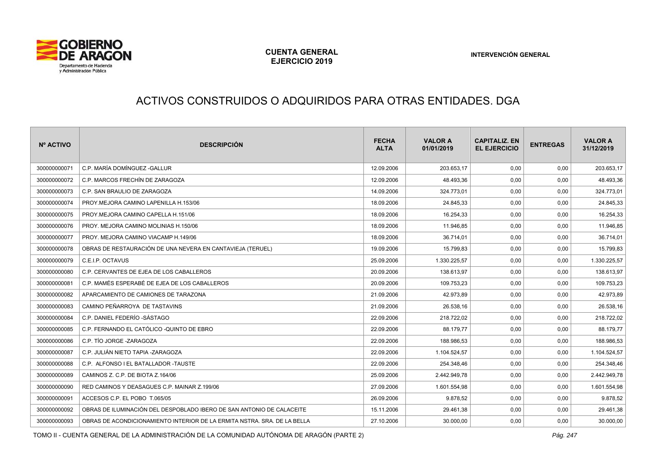

#### ACTIVOS CONSTRUIDOS O ADQUIRIDOS PARA OTRAS ENTIDADES. DGA

| Nº ACTIVO    | <b>DESCRIPCIÓN</b>                                                       | <b>FECHA</b><br><b>ALTA</b> | <b>VALOR A</b><br>01/01/2019 | <b>CAPITALIZ. EN</b><br><b>EL EJERCICIO</b> | <b>ENTREGAS</b> | <b>VALOR A</b><br>31/12/2019 |
|--------------|--------------------------------------------------------------------------|-----------------------------|------------------------------|---------------------------------------------|-----------------|------------------------------|
| 300000000071 | C.P. MARÍA DOMÍNGUEZ -GALLUR                                             | 12.09.2006                  | 203.653,17                   | 0,00                                        | 0,00            | 203.653,17                   |
| 300000000072 | C.P. MARCOS FRECHÍN DE ZARAGOZA                                          | 12.09.2006                  | 48.493,36                    | 0,00                                        | 0,00            | 48.493,36                    |
| 300000000073 | C.P. SAN BRAULIO DE ZARAGOZA                                             | 14.09.2006                  | 324.773,01                   | 0,00                                        | 0,00            | 324.773,01                   |
| 300000000074 | PROY.MEJORA CAMINO LAPENILLA H.153/06                                    | 18.09.2006                  | 24.845,33                    | 0,00                                        | 0,00            | 24.845,33                    |
| 300000000075 | PROY.MEJORA CAMINO CAPELLA H.151/06                                      | 18.09.2006                  | 16.254,33                    | 0,00                                        | 0,00            | 16.254,33                    |
| 300000000076 | PROY. MEJORA CAMINO MOLINIAS H.150/06                                    | 18.09.2006                  | 11.946,85                    | 0,00                                        | 0,00            | 11.946,85                    |
| 300000000077 | PROY. MEJORA CAMINO VIACAMP H.149/06                                     | 18.09.2006                  | 36.714,01                    | 0,00                                        | 0,00            | 36.714,01                    |
| 300000000078 | OBRAS DE RESTAURACIÓN DE UNA NEVERA EN CANTAVIEJA (TERUEL)               | 19.09.2006                  | 15.799,83                    | 0,00                                        | 0,00            | 15.799,83                    |
| 300000000079 | C.E.I.P. OCTAVUS                                                         | 25.09.2006                  | 1.330.225,57                 | 0,00                                        | 0,00            | 1.330.225,57                 |
| 300000000080 | C.P. CERVANTES DE EJEA DE LOS CABALLEROS                                 | 20.09.2006                  | 138.613,97                   | 0,00                                        | 0,00            | 138.613,97                   |
| 300000000081 | C.P. MAMÉS ESPERABÉ DE EJEA DE LOS CABALLEROS                            | 20.09.2006                  | 109.753,23                   | 0,00                                        | 0,00            | 109.753,23                   |
| 300000000082 | APARCAMIENTO DE CAMIONES DE TARAZONA                                     | 21.09.2006                  | 42.973,89                    | 0,00                                        | 0,00            | 42.973,89                    |
| 300000000083 | CAMINO PEÑARROYA DE TASTAVINS                                            | 21.09.2006                  | 26.538,16                    | 0,00                                        | 0,00            | 26.538,16                    |
| 300000000084 | C.P. DANIEL FEDERÍO -SÁSTAGO                                             | 22.09.2006                  | 218.722,02                   | 0,00                                        | 0,00            | 218.722,02                   |
| 300000000085 | C.P. FERNANDO EL CATÓLICO - QUINTO DE EBRO                               | 22.09.2006                  | 88.179,77                    | 0,00                                        | 0,00            | 88.179,77                    |
| 300000000086 | C.P. TÍO JORGE -ZARAGOZA                                                 | 22.09.2006                  | 188.986.53                   | 0,00                                        | 0,00            | 188.986,53                   |
| 300000000087 | C.P. JULIÁN NIETO TAPIA -ZARAGOZA                                        | 22.09.2006                  | 1.104.524,57                 | 0,00                                        | 0,00            | 1.104.524,57                 |
| 300000000088 | C.P. ALFONSO I EL BATALLADOR -TAUSTE                                     | 22.09.2006                  | 254.348,46                   | 0,00                                        | 0,00            | 254.348,46                   |
| 300000000089 | CAMINOS Z. C.P. DE BIOTA Z.164/06                                        | 25.09.2006                  | 2.442.949,78                 | 0,00                                        | 0,00            | 2.442.949,78                 |
| 300000000090 | RED CAMINOS Y DEASAGUES C.P. MAINAR Z.199/06                             | 27.09.2006                  | 1.601.554,98                 | 0,00                                        | 0,00            | 1.601.554,98                 |
| 300000000091 | ACCESOS C.P. EL POBO T.065/05                                            | 26.09.2006                  | 9.878,52                     | 0,00                                        | 0,00            | 9.878,52                     |
| 300000000092 | OBRAS DE ILUMINACIÓN DEL DESPOBLADO IBERO DE SAN ANTONIO DE CALACEITE    | 15.11.2006                  | 29.461,38                    | 0,00                                        | 0,00            | 29.461,38                    |
| 300000000093 | OBRAS DE ACONDICIONAMIENTO INTERIOR DE LA ERMITA NSTRA. SRA. DE LA BELLA | 27.10.2006                  | 30.000,00                    | 0,00                                        | 0,00            | 30.000,00                    |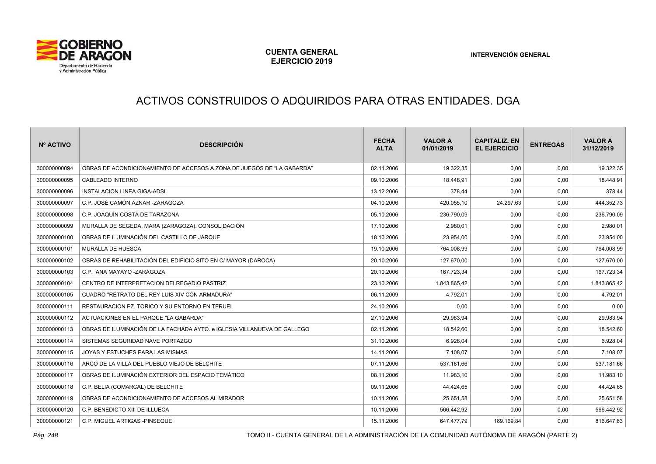

# ACTIVOS CONSTRUIDOS O ADQUIRIDOS PARA OTRAS ENTIDADES. DGA

| Nº ACTIVO    | <b>DESCRIPCIÓN</b>                                                       | <b>FECHA</b><br><b>ALTA</b> | <b>VALOR A</b><br>01/01/2019 | <b>CAPITALIZ. EN</b><br><b>EL EJERCICIO</b> | <b>ENTREGAS</b> | <b>VALOR A</b><br>31/12/2019 |
|--------------|--------------------------------------------------------------------------|-----------------------------|------------------------------|---------------------------------------------|-----------------|------------------------------|
| 300000000094 | OBRAS DE ACONDICIONAMIENTO DE ACCESOS A ZONA DE JUEGOS DE "LA GABARDA"   | 02.11.2006                  | 19.322,35                    | 0,00                                        | 0,00            | 19.322,35                    |
| 300000000095 | CABLEADO INTERNO                                                         | 09.10.2006                  | 18.448,91                    | 0,00                                        | 0,00            | 18.448,91                    |
| 300000000096 | INSTALACION LINEA GIGA-ADSL                                              | 13.12.2006                  | 378.44                       | 0,00                                        | 0,00            | 378,44                       |
| 300000000097 | C.P. JOSÉ CAMÓN AZNAR -ZARAGOZA                                          | 04.10.2006                  | 420.055,10                   | 24.297,63                                   | 0,00            | 444.352,73                   |
| 300000000098 | C.P. JOAQUÍN COSTA DE TARAZONA                                           | 05.10.2006                  | 236.790,09                   | 0,00                                        | 0,00            | 236.790,09                   |
| 300000000099 | MURALLA DE SÉGEDA, MARA (ZARAGOZA). CONSOLIDACIÓN                        | 17.10.2006                  | 2.980,01                     | 0,00                                        | 0,00            | 2.980,01                     |
| 300000000100 | OBRAS DE ILUMINACIÓN DEL CASTILLO DE JARQUE                              | 18.10.2006                  | 23.954,00                    | 0.00                                        | 0,00            | 23.954,00                    |
| 300000000101 | <b>MURALLA DE HUESCA</b>                                                 | 19.10.2006                  | 764.008,99                   | 0,00                                        | 0,00            | 764.008,99                   |
| 300000000102 | OBRAS DE REHABILITACIÓN DEL EDIFICIO SITO EN C/ MAYOR (DAROCA)           | 20.10.2006                  | 127.670,00                   | 0,00                                        | 0,00            | 127.670,00                   |
| 300000000103 | C.P. ANA MAYAYO -ZARAGOZA                                                | 20.10.2006                  | 167.723.34                   | 0.00                                        | 0,00            | 167.723,34                   |
| 300000000104 | CENTRO DE INTERPRETACION DELREGADIO PASTRIZ                              | 23.10.2006                  | 1.843.865,42                 | 0,00                                        | 0,00            | 1.843.865,42                 |
| 300000000105 | CUADRO "RETRATO DEL REY LUIS XIV CON ARMADURA"                           | 06.11.2009                  | 4.792,01                     | 0,00                                        | 0,00            | 4.792,01                     |
| 300000000111 | RESTAURACION PZ. TORICO Y SU ENTORNO EN TERUEL                           | 24.10.2006                  | 0,00                         | 0,00                                        | 0,00            | 0,00                         |
| 300000000112 | ACTUACIONES EN EL PARQUE "LA GABARDA"                                    | 27.10.2006                  | 29.983,94                    | 0,00                                        | 0,00            | 29.983,94                    |
| 300000000113 | OBRAS DE ILUMINACIÓN DE LA FACHADA AYTO. e IGLESIA VILLANUEVA DE GALLEGO | 02.11.2006                  | 18.542.60                    | 0,00                                        | 0,00            | 18.542,60                    |
| 300000000114 | SISTEMAS SEGURIDAD NAVE PORTAZGO                                         | 31.10.2006                  | 6.928,04                     | 0,00                                        | 0,00            | 6.928,04                     |
| 300000000115 | JOYAS Y ESTUCHES PARA LAS MISMAS                                         | 14.11.2006                  | 7.108.07                     | 0.00                                        | 0,00            | 7.108,07                     |
| 300000000116 | ARCO DE LA VILLA DEL PUEBLO VIEJO DE BELCHITE                            | 07.11.2006                  | 537.181.66                   | 0,00                                        | 0,00            | 537.181,66                   |
| 300000000117 | OBRAS DE ILUMINACIÓN EXTERIOR DEL ESPACIO TEMÁTICO                       | 08.11.2006                  | 11.983,10                    | 0,00                                        | 0,00            | 11.983,10                    |
| 300000000118 | C.P. BELIA (COMARCAL) DE BELCHITE                                        | 09.11.2006                  | 44.424,65                    | 0,00                                        | 0,00            | 44.424,65                    |
| 300000000119 | OBRAS DE ACONDICIONAMIENTO DE ACCESOS AL MIRADOR                         | 10.11.2006                  | 25.651,58                    | 0.00                                        | 0,00            | 25.651,58                    |
| 300000000120 | C.P. BENEDICTO XIII DE ILLUECA                                           | 10.11.2006                  | 566.442,92                   | 0,00                                        | 0,00            | 566.442,92                   |
| 300000000121 | C.P. MIGUEL ARTIGAS -PINSEQUE                                            | 15.11.2006                  | 647.477,79                   | 169.169,84                                  | 0,00            | 816.647,63                   |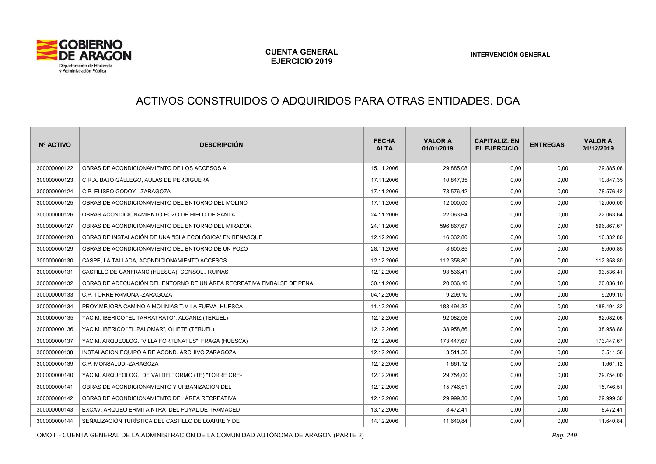

# ACTIVOS CONSTRUIDOS O ADQUIRIDOS PARA OTRAS ENTIDADES. DGA

| Nº ACTIVO    | <b>DESCRIPCIÓN</b>                                                    | <b>FECHA</b><br><b>ALTA</b> | <b>VALOR A</b><br>01/01/2019 | <b>CAPITALIZ. EN</b><br><b>EL EJERCICIO</b> | <b>ENTREGAS</b> | <b>VALOR A</b><br>31/12/2019 |
|--------------|-----------------------------------------------------------------------|-----------------------------|------------------------------|---------------------------------------------|-----------------|------------------------------|
| 300000000122 | OBRAS DE ACONDICIONAMIENTO DE LOS ACCESOS AL                          | 15.11.2006                  | 29.885,08                    | 0,00                                        | 0,00            | 29.885,08                    |
| 300000000123 | C.R.A. BAJO GÁLLEGO, AULAS DE PERDIGUERA                              | 17.11.2006                  | 10.847,35                    | 0,00                                        | 0,00            | 10.847,35                    |
| 300000000124 | C.P. ELISEO GODOY - ZARAGOZA                                          | 17.11.2006                  | 78.576,42                    | 0,00                                        | 0,00            | 78.576,42                    |
| 300000000125 | OBRAS DE ACONDICIONAMIENTO DEL ENTORNO DEL MOLINO                     | 17.11.2006                  | 12.000,00                    | 0,00                                        | 0,00            | 12.000,00                    |
| 300000000126 | OBRAS ACONDICIONAMIENTO POZO DE HIELO DE SANTA                        | 24.11.2006                  | 22.063,64                    | 0,00                                        | 0,00            | 22.063,64                    |
| 300000000127 | OBRAS DE ACONDICIONAMIENTO DEL ENTORNO DEL MIRADOR                    | 24.11.2006                  | 596.867,67                   | 0,00                                        | 0,00            | 596.867,67                   |
| 300000000128 | OBRAS DE INSTALACIÓN DE UNA "ISLA ECOLÓGICA" EN BENASQUE              | 12.12.2006                  | 16.332,80                    | 0,00                                        | 0,00            | 16.332,80                    |
| 300000000129 | OBRAS DE ACONDICIONAMIENTO DEL ENTORNO DE UN POZO                     | 28.11.2006                  | 8.600,85                     | 0,00                                        | 0,00            | 8.600,85                     |
| 300000000130 | CASPE, LA TALLADA, ACONDICIONAMIENTO ACCESOS                          | 12.12.2006                  | 112.358,80                   | 0,00                                        | 0,00            | 112.358,80                   |
| 300000000131 | CASTILLO DE CANFRANC (HUESCA). CONSOL RUINAS                          | 12.12.2006                  | 93.536,41                    | 0,00                                        | 0,00            | 93.536,41                    |
| 300000000132 | OBRAS DE ADECUACIÓN DEL ENTORNO DE UN ÁREA RECREATIVA EMBALSE DE PENA | 30.11.2006                  | 20.036,10                    | 0,00                                        | 0,00            | 20.036,10                    |
| 300000000133 | C.P. TORRE RAMONA -ZARAGOZA                                           | 04.12.2006                  | 9.209,10                     | 0,00                                        | 0,00            | 9.209,10                     |
| 300000000134 | PROY, MEJORA CAMINO A MOLINIAS T.M LA FUEVA - HUESCA                  | 11.12.2006                  | 188.494,32                   | 0,00                                        | 0,00            | 188.494,32                   |
| 300000000135 | YACIM. IBERICO "EL TARRATRATO", ALCAÑIZ (TERUEL)                      | 12.12.2006                  | 92.082,06                    | 0,00                                        | 0,00            | 92.082,06                    |
| 300000000136 | YACIM. IBERICO "EL PALOMAR", OLIETE (TERUEL)                          | 12.12.2006                  | 38.958.86                    | 0,00                                        | 0,00            | 38.958,86                    |
| 300000000137 | YACIM. ARQUEOLOG. "VILLA FORTUNATUS", FRAGA (HUESCA)                  | 12.12.2006                  | 173.447,67                   | 0,00                                        | 0,00            | 173.447,67                   |
| 300000000138 | INSTALACION EQUIPO AIRE ACOND. ARCHIVO ZARAGOZA                       | 12.12.2006                  | 3.511,56                     | 0,00                                        | 0,00            | 3.511,56                     |
| 300000000139 | C.P. MONSALUD -ZARAGOZA                                               | 12.12.2006                  | 1.661,12                     | 0,00                                        | 0,00            | 1.661,12                     |
| 300000000140 | YACIM. ARQUEOLOG. DE VALDELTORMO (TE) "TORRE CRE-                     | 12.12.2006                  | 29.754,00                    | 0,00                                        | 0,00            | 29.754,00                    |
| 300000000141 | OBRAS DE ACONDICIONAMIENTO Y URBANIZACIÓN DEL                         | 12.12.2006                  | 15.746,51                    | 0,00                                        | 0,00            | 15.746,51                    |
| 300000000142 | OBRAS DE ACONDICIONAMIENTO DEL ÁREA RECREATIVA                        | 12.12.2006                  | 29.999,30                    | 0,00                                        | 0,00            | 29.999,30                    |
| 300000000143 | EXCAV, ARQUEO ERMITA NTRA DEL PUYAL DE TRAMACED                       | 13.12.2006                  | 8.472,41                     | 0,00                                        | 0,00            | 8.472,41                     |
| 300000000144 | SEÑALIZACIÓN TURÍSTICA DEL CASTILLO DE LOARRE Y DE                    | 14.12.2006                  | 11.640,84                    | 0,00                                        | 0,00            | 11.640,84                    |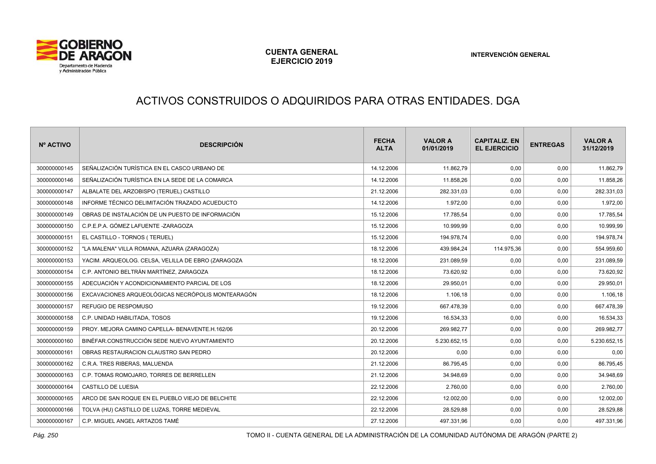

# ACTIVOS CONSTRUIDOS O ADQUIRIDOS PARA OTRAS ENTIDADES. DGA

| Nº ACTIVO    | <b>DESCRIPCIÓN</b>                                 | <b>FECHA</b><br><b>ALTA</b> | <b>VALOR A</b><br>01/01/2019 | <b>CAPITALIZ. EN</b><br><b>EL EJERCICIO</b> | <b>ENTREGAS</b> | <b>VALOR A</b><br>31/12/2019 |
|--------------|----------------------------------------------------|-----------------------------|------------------------------|---------------------------------------------|-----------------|------------------------------|
| 300000000145 | SEÑALIZACIÓN TURÍSTICA EN EL CASCO URBANO DE       | 14.12.2006                  | 11.862,79                    | 0,00                                        | 0,00            | 11.862,79                    |
| 300000000146 | SEÑALIZACIÓN TURÍSTICA EN LA SEDE DE LA COMARCA    | 14.12.2006                  | 11.858,26                    | 0,00                                        | 0,00            | 11.858,26                    |
| 300000000147 | ALBALATE DEL ARZOBISPO (TERUEL) CASTILLO           | 21.12.2006                  | 282.331,03                   | 0,00                                        | 0,00            | 282.331,03                   |
| 300000000148 | INFORME TÉCNICO DELIMITACIÓN TRAZADO ACUEDUCTO     | 14.12.2006                  | 1.972,00                     | 0,00                                        | 0,00            | 1.972,00                     |
| 300000000149 | OBRAS DE INSTALACIÓN DE UN PUESTO DE INFORMACIÓN   | 15.12.2006                  | 17.785,54                    | 0,00                                        | 0,00            | 17.785,54                    |
| 300000000150 | C.P.E.P.A. GÓMEZ LAFUENTE -ZARAGOZA                | 15.12.2006                  | 10.999,99                    | 0,00                                        | 0,00            | 10.999,99                    |
| 300000000151 | EL CASTILLO - TORNOS (TERUEL)                      | 15.12.2006                  | 194.978,74                   | 0,00                                        | 0,00            | 194.978,74                   |
| 300000000152 | "LA MALENA" VILLA ROMANA, AZUARA (ZARAGOZA)        | 18.12.2006                  | 439.984,24                   | 114.975,36                                  | 0,00            | 554.959,60                   |
| 300000000153 | YACIM. ARQUEOLOG. CELSA, VELILLA DE EBRO (ZARAGOZA | 18.12.2006                  | 231.089,59                   | 0,00                                        | 0,00            | 231.089,59                   |
| 300000000154 | C.P. ANTONIO BELTRÁN MARTÍNEZ, ZARAGOZA            | 18.12.2006                  | 73.620,92                    | 0,00                                        | 0,00            | 73.620,92                    |
| 300000000155 | ADECUACIÓN Y ACONDICIONAMIENTO PARCIAL DE LOS      | 18.12.2006                  | 29.950,01                    | 0,00                                        | 0,00            | 29.950,01                    |
| 300000000156 | EXCAVACIONES ARQUEOLÓGICAS NECRÓPOLIS MONTEARAGÓN  | 18.12.2006                  | 1.106.18                     | 0,00                                        | 0,00            | 1.106,18                     |
| 300000000157 | <b>REFUGIO DE RESPOMUSO</b>                        | 19.12.2006                  | 667.478,39                   | 0,00                                        | 0,00            | 667.478,39                   |
| 300000000158 | C.P. UNIDAD HABILITADA, TOSOS                      | 19.12.2006                  | 16.534,33                    | 0,00                                        | 0,00            | 16.534,33                    |
| 300000000159 | PROY. MEJORA CAMINO CAPELLA- BENAVENTE.H.162/06    | 20.12.2006                  | 269.982,77                   | 0,00                                        | 0,00            | 269.982,77                   |
| 300000000160 | BINÉFAR.CONSTRUCCIÓN SEDE NUEVO AYUNTAMIENTO       | 20.12.2006                  | 5.230.652,15                 | 0,00                                        | 0.00            | 5.230.652,15                 |
| 300000000161 | OBRAS RESTAURACION CLAUSTRO SAN PEDRO              | 20.12.2006                  | 0,00                         | 0,00                                        | 0,00            | 0,00                         |
| 300000000162 | C.R.A. TRES RIBERAS, MALUENDA                      | 21.12.2006                  | 86.795,45                    | 0,00                                        | 0,00            | 86.795,45                    |
| 300000000163 | C.P. TOMAS ROMOJARO, TORRES DE BERRELLEN           | 21.12.2006                  | 34.948,69                    | 0,00                                        | 0,00            | 34.948,69                    |
| 300000000164 | CASTILLO DE LUESIA                                 | 22.12.2006                  | 2.760.00                     | 0,00                                        | 0,00            | 2.760,00                     |
| 300000000165 | ARCO DE SAN ROQUE EN EL PUEBLO VIEJO DE BELCHITE   | 22.12.2006                  | 12.002,00                    | 0,00                                        | 0,00            | 12.002,00                    |
| 300000000166 | TOLVA (HU) CASTILLO DE LUZAS, TORRE MEDIEVAL       | 22.12.2006                  | 28.529,88                    | 0,00                                        | 0,00            | 28.529,88                    |
| 300000000167 | C.P. MIGUEL ANGEL ARTAZOS TAMÉ                     | 27.12.2006                  | 497.331,96                   | 0,00                                        | 0,00            | 497.331,96                   |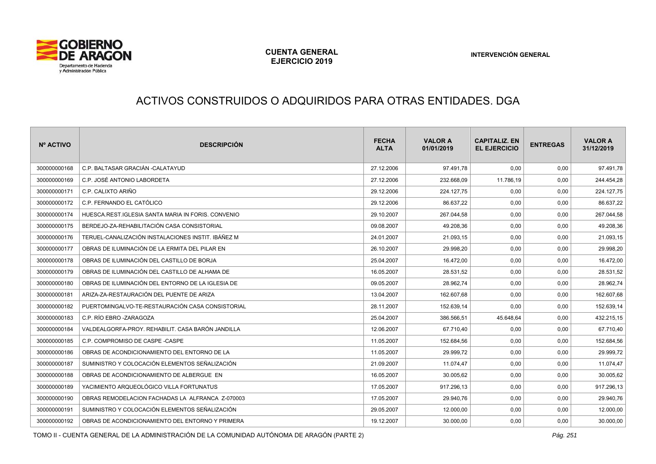

#### ACTIVOS CONSTRUIDOS O ADQUIRIDOS PARA OTRAS ENTIDADES. DGA

| Nº ACTIVO    | <b>DESCRIPCIÓN</b>                                 | <b>FECHA</b><br><b>ALTA</b> | <b>VALOR A</b><br>01/01/2019 | <b>CAPITALIZ. EN</b><br><b>EL EJERCICIO</b> | <b>ENTREGAS</b> | <b>VALOR A</b><br>31/12/2019 |
|--------------|----------------------------------------------------|-----------------------------|------------------------------|---------------------------------------------|-----------------|------------------------------|
| 300000000168 | C.P. BALTASAR GRACIÁN -CALATAYUD                   | 27.12.2006                  | 97.491,78                    | 0,00                                        | 0,00            | 97.491,78                    |
| 300000000169 | C.P. JOSÉ ANTONIO LABORDETA                        | 27.12.2006                  | 232.668,09                   | 11.786,19                                   | 0,00            | 244.454,28                   |
| 300000000171 | C.P. CALIXTO ARIÑO                                 | 29.12.2006                  | 224.127,75                   | 0,00                                        | 0,00            | 224.127,75                   |
| 300000000172 | C.P. FERNANDO EL CATÓLICO                          | 29.12.2006                  | 86.637,22                    | 0,00                                        | 0,00            | 86.637,22                    |
| 300000000174 | HUESCA.REST.IGLESIA SANTA MARIA IN FORIS. CONVENIO | 29.10.2007                  | 267.044,58                   | 0,00                                        | 0,00            | 267.044,58                   |
| 300000000175 | BERDEJO-ZA-REHABILITACIÓN CASA CONSISTORIAL        | 09.08.2007                  | 49.208,36                    | 0,00                                        | 0,00            | 49.208,36                    |
| 300000000176 | TERUEL-CANALIZACIÓN INSTALACIONES INSTIT. IBÁÑEZ M | 24.01.2007                  | 21.093,15                    | 0,00                                        | 0,00            | 21.093,15                    |
| 300000000177 | OBRAS DE ILUMINACIÓN DE LA ERMITA DEL PILAR EN     | 26.10.2007                  | 29.998,20                    | 0,00                                        | 0,00            | 29.998,20                    |
| 300000000178 | OBRAS DE ILUMINACIÓN DEL CASTILLO DE BORJA         | 25.04.2007                  | 16.472,00                    | 0,00                                        | 0,00            | 16.472,00                    |
| 300000000179 | OBRAS DE ILUMINACIÓN DEL CASTILLO DE ALHAMA DE     | 16.05.2007                  | 28.531,52                    | 0,00                                        | 0,00            | 28.531,52                    |
| 300000000180 | OBRAS DE ILUMINACIÓN DEL ENTORNO DE LA IGLESIA DE  | 09.05.2007                  | 28.962,74                    | 0,00                                        | 0,00            | 28.962,74                    |
| 300000000181 | ARIZA-ZA-RESTAURACIÓN DEL PUENTE DE ARIZA          | 13.04.2007                  | 162.607,68                   | 0,00                                        | 0,00            | 162.607,68                   |
| 300000000182 | PUERTOMINGALVO-TE-RESTAURACIÓN CASA CONSISTORIAL   | 28.11.2007                  | 152.639,14                   | 0,00                                        | 0,00            | 152.639,14                   |
| 300000000183 | C.P. RÍO EBRO -ZARAGOZA                            | 25.04.2007                  | 386.566,51                   | 45.648,64                                   | 0,00            | 432.215,15                   |
| 300000000184 | VALDEALGORFA-PROY, REHABILIT, CASA BARÓN JANDILLA  | 12.06.2007                  | 67.710,40                    | 0,00                                        | 0,00            | 67.710,40                    |
| 300000000185 | C.P. COMPROMISO DE CASPE -CASPE                    | 11.05.2007                  | 152.684,56                   | 0,00                                        | 0,00            | 152.684,56                   |
| 300000000186 | OBRAS DE ACONDICIONAMIENTO DEL ENTORNO DE LA       | 11.05.2007                  | 29.999,72                    | 0,00                                        | 0,00            | 29.999,72                    |
| 300000000187 | SUMINISTRO Y COLOCACIÓN ELEMENTOS SEÑALIZACIÓN     | 21.09.2007                  | 11.074,47                    | 0,00                                        | 0,00            | 11.074,47                    |
| 300000000188 | OBRAS DE ACONDICIONAMIENTO DE ALBERGUE EN          | 16.05.2007                  | 30.005,62                    | 0,00                                        | 0,00            | 30.005,62                    |
| 300000000189 | YACIMIENTO ARQUEOLÓGICO VILLA FORTUNATUS           | 17.05.2007                  | 917.296,13                   | 0,00                                        | 0,00            | 917.296,13                   |
| 300000000190 | OBRAS REMODELACION FACHADAS LA ALFRANCA Z-070003   | 17.05.2007                  | 29.940,76                    | 0,00                                        | 0,00            | 29.940,76                    |
| 300000000191 | SUMINISTRO Y COLOCACIÓN ELEMENTOS SEÑALIZACIÓN     | 29.05.2007                  | 12.000,00                    | 0,00                                        | 0,00            | 12.000,00                    |
| 300000000192 | OBRAS DE ACONDICIONAMIENTO DEL ENTORNO Y PRIMERA   | 19.12.2007                  | 30.000,00                    | 0,00                                        | 0,00            | 30.000,00                    |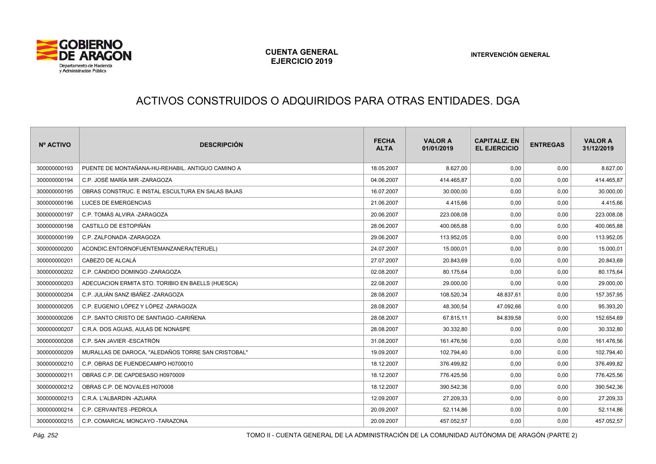

# ACTIVOS CONSTRUIDOS O ADQUIRIDOS PARA OTRAS ENTIDADES. DGA

| Nº ACTIVO    | <b>DESCRIPCIÓN</b>                                 | <b>FECHA</b><br><b>ALTA</b> | <b>VALOR A</b><br>01/01/2019 | <b>CAPITALIZ, EN</b><br><b>EL EJERCICIO</b> | <b>ENTREGAS</b> | <b>VALOR A</b><br>31/12/2019 |
|--------------|----------------------------------------------------|-----------------------------|------------------------------|---------------------------------------------|-----------------|------------------------------|
| 300000000193 | PUENTE DE MONTAÑANA-HU-REHABIL, ANTIGUO CAMINO A   | 18.05.2007                  | 8.627,00                     | 0,00                                        | 0,00            | 8.627,00                     |
| 300000000194 | C.P. JOSÉ MARÍA MIR -ZARAGOZA                      | 04.06.2007                  | 414.465,87                   | 0,00                                        | 0,00            | 414.465,87                   |
| 300000000195 | OBRAS CONSTRUC. E INSTAL ESCULTURA EN SALAS BAJAS  | 16.07.2007                  | 30.000,00                    | 0,00                                        | 0,00            | 30.000,00                    |
| 300000000196 | LUCES DE EMERGENCIAS                               | 21.06.2007                  | 4.415,66                     | 0,00                                        | 0,00            | 4.415,66                     |
| 300000000197 | C.P. TOMÁS ALVIRA -ZARAGOZA                        | 20.06.2007                  | 223.008,08                   | 0,00                                        | 0,00            | 223.008,08                   |
| 300000000198 | CASTILLO DE ESTOPIÑÁN                              | 28.06.2007                  | 400.065,88                   | 0,00                                        | 0,00            | 400.065,88                   |
| 300000000199 | C.P. ZALFONADA -ZARAGOZA                           | 29.06.2007                  | 113.952,05                   | 0,00                                        | 0,00            | 113.952,05                   |
| 300000000200 | ACONDIC.ENTORNOFUENTEMANZANERA(TERUEL)             | 24.07.2007                  | 15.000,01                    | 0,00                                        | 0,00            | 15.000,01                    |
| 300000000201 | CABEZO DE ALCALÁ                                   | 27.07.2007                  | 20.843,69                    | 0,00                                        | 0,00            | 20.843,69                    |
| 300000000202 | C.P. CÁNDIDO DOMINGO -ZARAGOZA                     | 02.08.2007                  | 80.175.64                    | 0,00                                        | 0,00            | 80.175,64                    |
| 300000000203 | ADECUACION ERMITA STO. TORIBIO EN BAELLS (HUESCA)  | 22.08.2007                  | 29.000,00                    | 0,00                                        | 0,00            | 29.000,00                    |
| 300000000204 | C.P. JULIÁN SANZ IBÁÑEZ -ZARAGOZA                  | 28.08.2007                  | 108.520,34                   | 48.837,61                                   | 0,00            | 157.357,95                   |
| 300000000205 | C.P. EUGENIO LÓPEZ Y LÓPEZ -ZARAGOZA               | 28.08.2007                  | 48.300,54                    | 47.092,66                                   | 0,00            | 95.393,20                    |
| 300000000206 | C.P. SANTO CRISTO DE SANTIAGO -CARIÑENA            | 28.08.2007                  | 67.815,11                    | 84.839,58                                   | 0,00            | 152.654,69                   |
| 300000000207 | C.R.A. DOS AGUAS, AULAS DE NONASPE                 | 28.08.2007                  | 30.332,80                    | 0,00                                        | 0,00            | 30.332,80                    |
| 300000000208 | C.P. SAN JAVIER - ESCATRÓN                         | 31.08.2007                  | 161.476,56                   | 0,00                                        | 0,00            | 161.476,56                   |
| 300000000209 | MURALLAS DE DAROCA, "ALEDAÑOS TORRE SAN CRISTOBAL" | 19.09.2007                  | 102.794,40                   | 0,00                                        | 0,00            | 102.794,40                   |
| 300000000210 | C.P. OBRAS DE FUENDECAMPO H0700010                 | 18.12.2007                  | 376.499,82                   | 0,00                                        | 0,00            | 376.499,82                   |
| 300000000211 | OBRAS C.P. DE CAPDESASO H0970009                   | 18.12.2007                  | 776.425,56                   | 0,00                                        | 0,00            | 776.425,56                   |
| 300000000212 | OBRAS C.P. DE NOVALES H070008                      | 18.12.2007                  | 390.542,36                   | 0,00                                        | 0,00            | 390.542,36                   |
| 300000000213 | C.R.A. L'ALBARDIN - AZUARA                         | 12.09.2007                  | 27.209,33                    | 0,00                                        | 0,00            | 27.209,33                    |
| 300000000214 | C.P. CERVANTES - PEDROLA                           | 20.09.2007                  | 52.114,86                    | 0,00                                        | 0,00            | 52.114,86                    |
| 300000000215 | C.P. COMARCAL MONCAYO -TARAZONA                    | 20.09.2007                  | 457.052,57                   | 0,00                                        | 0,00            | 457.052,57                   |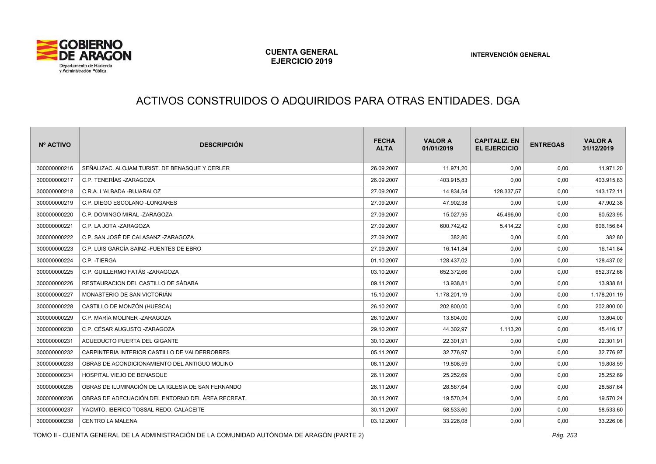

# ACTIVOS CONSTRUIDOS O ADQUIRIDOS PARA OTRAS ENTIDADES. DGA

| Nº ACTIVO    | <b>DESCRIPCIÓN</b>                                 | <b>FECHA</b><br><b>ALTA</b> | <b>VALOR A</b><br>01/01/2019 | <b>CAPITALIZ, EN</b><br><b>EL EJERCICIO</b> | <b>ENTREGAS</b> | <b>VALOR A</b><br>31/12/2019 |
|--------------|----------------------------------------------------|-----------------------------|------------------------------|---------------------------------------------|-----------------|------------------------------|
| 300000000216 | SEÑALIZAC, ALOJAM.TURIST, DE BENASQUE Y CERLER     | 26.09.2007                  | 11.971,20                    | 0,00                                        | 0,00            | 11.971,20                    |
| 300000000217 | C.P. TENERÍAS -ZARAGOZA                            | 26.09.2007                  | 403.915,83                   | 0,00                                        | 0,00            | 403.915,83                   |
| 300000000218 | C.R.A. L'ALBADA - BUJARALOZ                        | 27.09.2007                  | 14.834,54                    | 128.337,57                                  | 0,00            | 143.172,11                   |
| 300000000219 | C.P. DIEGO ESCOLANO - LONGARES                     | 27.09.2007                  | 47.902,38                    | 0,00                                        | 0,00            | 47.902,38                    |
| 300000000220 | C.P. DOMINGO MIRAL -ZARAGOZA                       | 27.09.2007                  | 15.027,95                    | 45.496,00                                   | 0,00            | 60.523,95                    |
| 300000000221 | C.P. LA JOTA -ZARAGOZA                             | 27.09.2007                  | 600.742,42                   | 5.414,22                                    | 0,00            | 606.156,64                   |
| 300000000222 | C.P. SAN JOSÉ DE CALASANZ -ZARAGOZA                | 27.09.2007                  | 382,80                       | 0,00                                        | 0,00            | 382,80                       |
| 300000000223 | C.P. LUIS GARCÍA SAINZ - FUENTES DE EBRO           | 27.09.2007                  | 16.141,84                    | 0,00                                        | 0,00            | 16.141,84                    |
| 300000000224 | C.P. - TIERGA                                      | 01.10.2007                  | 128.437,02                   | 0,00                                        | 0,00            | 128.437,02                   |
| 300000000225 | C.P. GUILLERMO FATÁS -ZARAGOZA                     | 03.10.2007                  | 652.372,66                   | 0,00                                        | 0,00            | 652.372,66                   |
| 300000000226 | RESTAURACION DEL CASTILLO DE SÁDABA                | 09.11.2007                  | 13.938,81                    | 0,00                                        | 0,00            | 13.938,81                    |
| 300000000227 | MONASTERIO DE SAN VICTORIÁN                        | 15.10.2007                  | 1.178.201,19                 | 0,00                                        | 0,00            | 1.178.201,19                 |
| 300000000228 | CASTILLO DE MONZÓN (HUESCA)                        | 26.10.2007                  | 202.800,00                   | 0,00                                        | 0,00            | 202.800,00                   |
| 300000000229 | C.P. MARÍA MOLINER -ZARAGOZA                       | 26.10.2007                  | 13.804,00                    | 0,00                                        | 0,00            | 13.804,00                    |
| 300000000230 | C.P. CÉSAR AUGUSTO -ZARAGOZA                       | 29.10.2007                  | 44.302,97                    | 1.113,20                                    | 0,00            | 45.416,17                    |
| 300000000231 | ACUEDUCTO PUERTA DEL GIGANTE                       | 30.10.2007                  | 22.301,91                    | 0,00                                        | 0,00            | 22.301,91                    |
| 300000000232 | CARPINTERIA INTERIOR CASTILLO DE VALDERROBRES      | 05.11.2007                  | 32.776,97                    | 0,00                                        | 0,00            | 32.776,97                    |
| 300000000233 | OBRAS DE ACONDICIONAMIENTO DEL ANTIGUO MOLINO      | 08.11.2007                  | 19.808,59                    | 0,00                                        | 0,00            | 19.808,59                    |
| 300000000234 | HOSPITAL VIEJO DE BENASQUE                         | 26.11.2007                  | 25.252,69                    | 0,00                                        | 0,00            | 25.252,69                    |
| 300000000235 | OBRAS DE ILUMINACIÓN DE LA IGLESIA DE SAN FERNANDO | 26.11.2007                  | 28.587,64                    | 0,00                                        | 0,00            | 28.587,64                    |
| 300000000236 | OBRAS DE ADECUACIÓN DEL ENTORNO DEL ÁREA RECREAT.  | 30.11.2007                  | 19.570,24                    | 0,00                                        | 0,00            | 19.570,24                    |
| 300000000237 | YACMTO. IBERICO TOSSAL REDO, CALACEITE             | 30.11.2007                  | 58.533,60                    | 0,00                                        | 0,00            | 58.533,60                    |
| 300000000238 | <b>CENTRO LA MALENA</b>                            | 03.12.2007                  | 33.226,08                    | 0,00                                        | 0,00            | 33.226,08                    |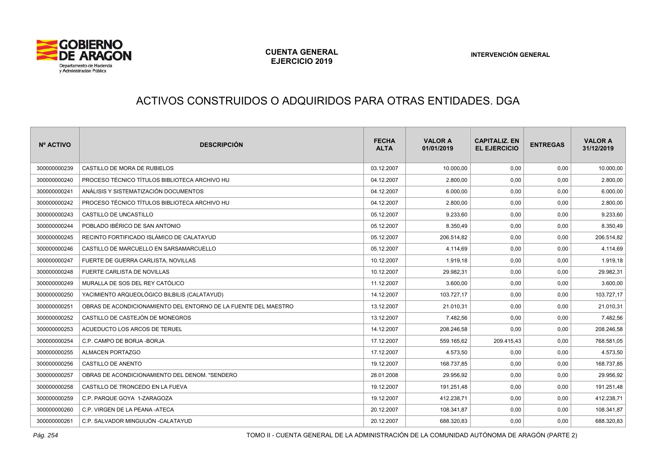

# ACTIVOS CONSTRUIDOS O ADQUIRIDOS PARA OTRAS ENTIDADES. DGA

| Nº ACTIVO    | <b>DESCRIPCIÓN</b>                                              | <b>FECHA</b><br><b>ALTA</b> | <b>VALOR A</b><br>01/01/2019 | <b>CAPITALIZ. EN</b><br><b>EL EJERCICIO</b> | <b>ENTREGAS</b> | <b>VALOR A</b><br>31/12/2019 |
|--------------|-----------------------------------------------------------------|-----------------------------|------------------------------|---------------------------------------------|-----------------|------------------------------|
| 300000000239 | CASTILLO DE MORA DE RUBIELOS                                    | 03.12.2007                  | 10.000,00                    | 0,00                                        | 0,00            | 10.000,00                    |
| 300000000240 | PROCESO TÉCNICO TÍTULOS BIBLIOTECA ARCHIVO HU                   | 04.12.2007                  | 2.800,00                     | 0,00                                        | 0,00            | 2.800,00                     |
| 300000000241 | ANÁLISIS Y SISTEMATIZACIÓN DOCUMENTOS                           | 04.12.2007                  | 6.000,00                     | 0,00                                        | 0,00            | 6.000,00                     |
| 300000000242 | PROCESO TÉCNICO TÍTULOS BIBLIOTECA ARCHIVO HU                   | 04.12.2007                  | 2.800,00                     | 0,00                                        | 0,00            | 2.800,00                     |
| 300000000243 | CASTILLO DE UNCASTILLO                                          | 05.12.2007                  | 9.233,60                     | 0,00                                        | 0,00            | 9.233,60                     |
| 300000000244 | POBLADO IBÉRICO DE SAN ANTONIO                                  | 05.12.2007                  | 8.350,49                     | 0,00                                        | 0,00            | 8.350,49                     |
| 300000000245 | RECINTO FORTIFICADO ISLÁMICO DE CALATAYUD                       | 05.12.2007                  | 206.514,82                   | 0,00                                        | 0,00            | 206.514,82                   |
| 300000000246 | CASTILLO DE MARCUELLO EN SARSAMARCUELLO                         | 05.12.2007                  | 4.114,69                     | 0,00                                        | 0,00            | 4.114,69                     |
| 300000000247 | FUERTE DE GUERRA CARLISTA, NOVILLAS                             | 10.12.2007                  | 1.919,18                     | 0,00                                        | 0,00            | 1.919,18                     |
| 300000000248 | FUERTE CARLISTA DE NOVILLAS                                     | 10.12.2007                  | 29.982,31                    | 0,00                                        | 0,00            | 29.982,31                    |
| 300000000249 | MURALLA DE SOS DEL REY CATÓLICO                                 | 11.12.2007                  | 3.600,00                     | 0,00                                        | 0,00            | 3.600,00                     |
| 300000000250 | YACIMIENTO ARQUEOLÓGICO BILBILIS (CALATAYUD)                    | 14.12.2007                  | 103.727,17                   | 0,00                                        | 0,00            | 103.727,17                   |
| 300000000251 | OBRAS DE ACONDICIONAMIENTO DEL ENTORNO DE LA FUENTE DEL MAESTRO | 13.12.2007                  | 21.010,31                    | 0,00                                        | 0,00            | 21.010,31                    |
| 300000000252 | CASTILLO DE CASTEJÓN DE MONEGROS                                | 13.12.2007                  | 7.482,56                     | 0,00                                        | 0,00            | 7.482,56                     |
| 300000000253 | ACUEDUCTO LOS ARCOS DE TERUEL                                   | 14.12.2007                  | 208.246,58                   | 0,00                                        | 0,00            | 208.246,58                   |
| 300000000254 | C.P. CAMPO DE BORJA - BORJA                                     | 17.12.2007                  | 559.165,62                   | 209.415,43                                  | 0,00            | 768.581,05                   |
| 300000000255 | <b>ALMACEN PORTAZGO</b>                                         | 17.12.2007                  | 4.573,50                     | 0,00                                        | 0,00            | 4.573,50                     |
| 300000000256 | <b>CASTILLO DE ANENTO</b>                                       | 19.12.2007                  | 168.737,85                   | 0,00                                        | 0,00            | 168.737,85                   |
| 300000000257 | OBRAS DE ACONDICIONAMIENTO DEL DENOM. "SENDERO                  | 28.01.2008                  | 29.956,92                    | 0,00                                        | 0,00            | 29.956,92                    |
| 300000000258 | CASTILLO DE TRONCEDO EN LA FUEVA                                | 19.12.2007                  | 191.251,48                   | 0,00                                        | 0,00            | 191.251,48                   |
| 300000000259 | C.P. PARQUE GOYA 1-ZARAGOZA                                     | 19.12.2007                  | 412.238,71                   | 0,00                                        | 0,00            | 412.238,71                   |
| 300000000260 | C.P. VIRGEN DE LA PEANA -ATECA                                  | 20.12.2007                  | 108.341,87                   | 0,00                                        | 0,00            | 108.341,87                   |
| 300000000261 | C.P. SALVADOR MINGUIJÓN -CALATAYUD                              | 20.12.2007                  | 688.320,83                   | 0,00                                        | 0,00            | 688.320,83                   |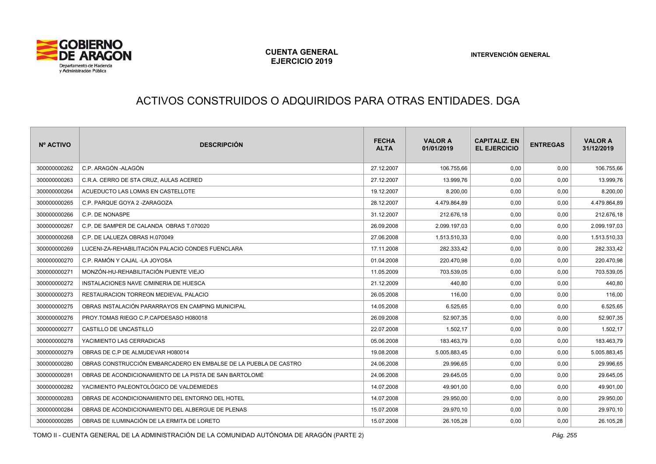

# ACTIVOS CONSTRUIDOS O ADQUIRIDOS PARA OTRAS ENTIDADES. DGA

| Nº ACTIVO    | <b>DESCRIPCIÓN</b>                                               | <b>FECHA</b><br><b>ALTA</b> | <b>VALOR A</b><br>01/01/2019 | <b>CAPITALIZ, EN</b><br><b>EL EJERCICIO</b> | <b>ENTREGAS</b> | <b>VALOR A</b><br>31/12/2019 |
|--------------|------------------------------------------------------------------|-----------------------------|------------------------------|---------------------------------------------|-----------------|------------------------------|
| 300000000262 | C.P. ARAGÓN - ALAGÓN                                             | 27.12.2007                  | 106.755.66                   | 0,00                                        | 0,00            | 106.755,66                   |
| 300000000263 | C.R.A. CERRO DE STA CRUZ. AULAS ACERED                           | 27.12.2007                  | 13.999,76                    | 0,00                                        | 0,00            | 13.999,76                    |
| 300000000264 | ACUEDUCTO LAS LOMAS EN CASTELLOTE                                | 19.12.2007                  | 8.200,00                     | 0,00                                        | 0,00            | 8.200,00                     |
| 300000000265 | C.P. PARQUE GOYA 2 -ZARAGOZA                                     | 28.12.2007                  | 4.479.864,89                 | 0,00                                        | 0,00            | 4.479.864,89                 |
| 300000000266 | C.P. DE NONASPE                                                  | 31.12.2007                  | 212.676,18                   | 0,00                                        | 0,00            | 212.676,18                   |
| 300000000267 | C.P. DE SAMPER DE CALANDA OBRAS T.070020                         | 26.09.2008                  | 2.099.197,03                 | 0,00                                        | 0,00            | 2.099.197,03                 |
| 300000000268 | C.P. DE LALUEZA OBRAS H.070049                                   | 27.06.2008                  | 1.513.510,33                 | 0,00                                        | 0,00            | 1.513.510,33                 |
| 300000000269 | LUCENI-ZA-REHABILITACIÓN PALACIO CONDES FUENCLARA                | 17.11.2008                  | 282.333,42                   | 0,00                                        | 0,00            | 282.333,42                   |
| 300000000270 | C.P. RAMÓN Y CAJAL -LA JOYOSA                                    | 01.04.2008                  | 220.470,98                   | 0,00                                        | 0,00            | 220.470,98                   |
| 300000000271 | MONZÓN-HU-REHABILITACIÓN PUENTE VIEJO                            | 11.05.2009                  | 703.539,05                   | 0,00                                        | 0,00            | 703.539,05                   |
| 300000000272 | INSTALACIONES NAVE C/MINERIA DE HUESCA                           | 21.12.2009                  | 440,80                       | 0,00                                        | 0,00            | 440,80                       |
| 300000000273 | RESTAURACION TORREON MEDIEVAL PALACIO                            | 26.05.2008                  | 116.00                       | 0,00                                        | 0,00            | 116,00                       |
| 300000000275 | OBRAS INSTALACIÓN PARARRAYOS EN CAMPING MUNICIPAL                | 14.05.2008                  | 6.525,65                     | 0,00                                        | 0,00            | 6.525,65                     |
| 300000000276 | PROY.TOMAS RIEGO C.P.CAPDESASO H080018                           | 26.09.2008                  | 52.907,35                    | 0,00                                        | 0,00            | 52.907,35                    |
| 300000000277 | CASTILLO DE UNCASTILLO                                           | 22.07.2008                  | 1.502,17                     | 0,00                                        | 0,00            | 1.502,17                     |
| 300000000278 | YACIMIENTO LAS CERRADICAS                                        | 05.06.2008                  | 183.463,79                   | 0,00                                        | 0,00            | 183.463,79                   |
| 300000000279 | OBRAS DE C.P DE ALMUDEVAR H080014                                | 19.08.2008                  | 5.005.883,45                 | 0,00                                        | 0,00            | 5.005.883,45                 |
| 300000000280 | OBRAS CONSTRUCCIÓN EMBARCADERO EN EMBALSE DE LA PUEBLA DE CASTRO | 24.06.2008                  | 29.996,65                    | 0,00                                        | 0,00            | 29.996,65                    |
| 300000000281 | OBRAS DE ACONDICIONAMIENTO DE LA PISTA DE SAN BARTOLOMÉ          | 24.06.2008                  | 29.645,05                    | 0,00                                        | 0,00            | 29.645,05                    |
| 300000000282 | YACIMIENTO PALEONTOLÓGICO DE VALDEMIEDES                         | 14.07.2008                  | 49.901,00                    | 0,00                                        | 0,00            | 49.901,00                    |
| 300000000283 | OBRAS DE ACONDICIONAMIENTO DEL ENTORNO DEL HOTEL                 | 14.07.2008                  | 29.950,00                    | 0,00                                        | 0,00            | 29.950,00                    |
| 300000000284 | OBRAS DE ACONDICIONAMIENTO DEL ALBERGUE DE PLENAS                | 15.07.2008                  | 29.970,10                    | 0,00                                        | 0,00            | 29.970,10                    |
| 300000000285 | OBRAS DE ILUMINACIÓN DE LA ERMITA DE LORETO                      | 15.07.2008                  | 26.105,28                    | 0,00                                        | 0,00            | 26.105,28                    |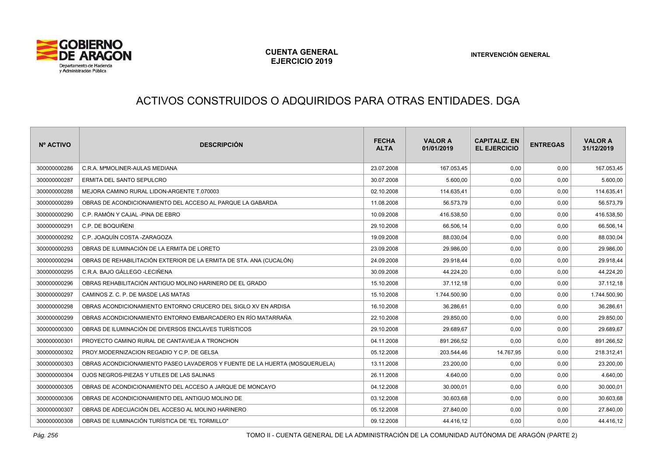

# ACTIVOS CONSTRUIDOS O ADQUIRIDOS PARA OTRAS ENTIDADES. DGA

| Nº ACTIVO    | <b>DESCRIPCIÓN</b>                                                          | <b>FECHA</b><br><b>ALTA</b> | <b>VALOR A</b><br>01/01/2019 | <b>CAPITALIZ. EN</b><br><b>EL EJERCICIO</b> | <b>ENTREGAS</b> | <b>VALOR A</b><br>31/12/2019 |
|--------------|-----------------------------------------------------------------------------|-----------------------------|------------------------------|---------------------------------------------|-----------------|------------------------------|
| 300000000286 | C.R.A. M <sup>a</sup> MOLINER-AULAS MEDIANA                                 | 23.07.2008                  | 167.053,45                   | 0,00                                        | 0,00            | 167.053,45                   |
| 300000000287 | <b>ERMITA DEL SANTO SEPULCRO</b>                                            | 30.07.2008                  | 5.600,00                     | 0,00                                        | 0,00            | 5.600,00                     |
| 300000000288 | MEJORA CAMINO RURAL LIDON-ARGENTE T.070003                                  | 02.10.2008                  | 114.635,41                   | 0,00                                        | 0,00            | 114.635,41                   |
| 300000000289 | OBRAS DE ACONDICIONAMIENTO DEL ACCESO AL PARQUE LA GABARDA                  | 11.08.2008                  | 56.573,79                    | 0,00                                        | 0,00            | 56.573,79                    |
| 300000000290 | C.P. RAMÓN Y CAJAL -PINA DE EBRO                                            | 10.09.2008                  | 416.538,50                   | 0,00                                        | 0,00            | 416.538,50                   |
| 300000000291 | C.P. DE BOQUIÑENI                                                           | 29.10.2008                  | 66.506,14                    | 0,00                                        | 0,00            | 66.506,14                    |
| 300000000292 | C.P. JOAQUÍN COSTA -ZARAGOZA                                                | 19.09.2008                  | 88.030,04                    | 0,00                                        | 0,00            | 88.030,04                    |
| 300000000293 | OBRAS DE ILUMINACIÓN DE LA ERMITA DE LORETO                                 | 23.09.2008                  | 29.986,00                    | 0,00                                        | 0,00            | 29.986,00                    |
| 300000000294 | OBRAS DE REHABILITACIÓN EXTERIOR DE LA ERMITA DE STA. ANA (CUCALÓN)         | 24.09.2008                  | 29.918,44                    | 0,00                                        | 0,00            | 29.918,44                    |
| 300000000295 | C.R.A. BAJO GÁLLEGO -LECIÑENA                                               | 30.09.2008                  | 44.224.20                    | 0,00                                        | 0,00            | 44.224,20                    |
| 300000000296 | OBRAS REHABILITACIÓN ANTIGUO MOLINO HARINERO DE EL GRADO                    | 15.10.2008                  | 37.112,18                    | 0,00                                        | 0,00            | 37.112,18                    |
| 300000000297 | CAMINOS Z. C. P. DE MASDE LAS MATAS                                         | 15.10.2008                  | 1.744.500,90                 | 0,00                                        | 0,00            | 1.744.500,90                 |
| 300000000298 | OBRAS ACONDICIONAMIENTO ENTORNO CRUCERO DEL SIGLO XV EN ARDISA              | 16.10.2008                  | 36.286.61                    | 0,00                                        | 0,00            | 36.286,61                    |
| 300000000299 | OBRAS ACONDICIONAMIENTO ENTORNO EMBARCADERO EN RÍO MATARRAÑA                | 22.10.2008                  | 29.850,00                    | 0,00                                        | 0,00            | 29.850,00                    |
| 300000000300 | OBRAS DE ILUMINACIÓN DE DIVERSOS ENCLAVES TURÍSTICOS                        | 29.10.2008                  | 29.689,67                    | 0,00                                        | 0,00            | 29.689,67                    |
| 300000000301 | PROYECTO CAMINO RURAL DE CANTAVIEJA A TRONCHON                              | 04.11.2008                  | 891.266,52                   | 0,00                                        | 0,00            | 891.266,52                   |
| 300000000302 | PROY.MODERNIZACION REGADIO Y C.P. DE GELSA                                  | 05.12.2008                  | 203.544,46                   | 14.767,95                                   | 0,00            | 218.312,41                   |
| 300000000303 | OBRAS ACONDICIONAMIENTO PASEO LAVADEROS Y FUENTE DE LA HUERTA (MOSQUERUELA) | 13.11.2008                  | 23.200,00                    | 0,00                                        | 0,00            | 23.200,00                    |
| 300000000304 | OJOS NEGROS-PIEZAS Y UTILES DE LAS SALINAS                                  | 26.11.2008                  | 4.640,00                     | 0,00                                        | 0,00            | 4.640,00                     |
| 300000000305 | OBRAS DE ACONDICIONAMIENTO DEL ACCESO A JARQUE DE MONCAYO                   | 04.12.2008                  | 30.000,01                    | 0,00                                        | 0,00            | 30.000,01                    |
| 300000000306 | OBRAS DE ACONDICIONAMIENTO DEL ANTIGUO MOLINO DE                            | 03.12.2008                  | 30.603,68                    | 0,00                                        | 0,00            | 30.603,68                    |
| 300000000307 | OBRAS DE ADECUACIÓN DEL ACCESO AL MOLINO HARINERO                           | 05.12.2008                  | 27.840,00                    | 0,00                                        | 0,00            | 27.840,00                    |
| 300000000308 | OBRAS DE ILUMINACIÓN TURÍSTICA DE "EL TORMILLO"                             | 09.12.2008                  | 44.416,12                    | 0,00                                        | 0,00            | 44.416,12                    |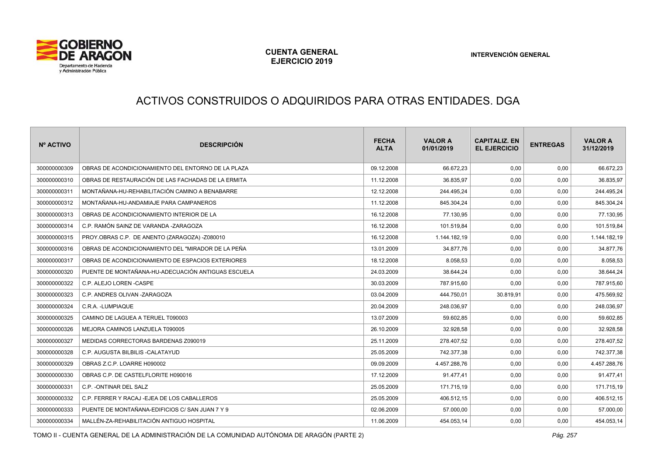

# ACTIVOS CONSTRUIDOS O ADQUIRIDOS PARA OTRAS ENTIDADES. DGA

| <b>Nº ACTIVO</b> | <b>DESCRIPCIÓN</b>                                 | <b>FECHA</b><br><b>ALTA</b> | <b>VALOR A</b><br>01/01/2019 | <b>CAPITALIZ, EN</b><br><b>EL EJERCICIO</b> | <b>ENTREGAS</b> | <b>VALOR A</b><br>31/12/2019 |
|------------------|----------------------------------------------------|-----------------------------|------------------------------|---------------------------------------------|-----------------|------------------------------|
| 300000000309     | OBRAS DE ACONDICIONAMIENTO DEL ENTORNO DE LA PLAZA | 09.12.2008                  | 66.672.23                    | 0.00                                        | 0,00            | 66.672,23                    |
| 300000000310     | OBRAS DE RESTAURACIÓN DE LAS FACHADAS DE LA ERMITA | 11.12.2008                  | 36.835,97                    | 0,00                                        | 0,00            | 36.835,97                    |
| 300000000311     | MONTAÑANA-HU-REHABILITACIÓN CAMINO A BENABARRE     | 12.12.2008                  | 244.495,24                   | 0,00                                        | 0,00            | 244.495,24                   |
| 300000000312     | MONTAÑANA-HU-ANDAMIAJE PARA CAMPANEROS             | 11.12.2008                  | 845.304.24                   | 0,00                                        | 0,00            | 845.304,24                   |
| 300000000313     | OBRAS DE ACONDICIONAMIENTO INTERIOR DE LA          | 16.12.2008                  | 77.130,95                    | 0,00                                        | 0,00            | 77.130,95                    |
| 300000000314     | C.P. RAMÓN SAINZ DE VARANDA -ZARAGOZA              | 16.12.2008                  | 101.519,84                   | 0,00                                        | 0,00            | 101.519,84                   |
| 300000000315     | PROY.OBRAS C.P. DE ANENTO (ZARAGOZA) -Z080010      | 16.12.2008                  | 1.144.182,19                 | 0,00                                        | 0,00            | 1.144.182,19                 |
| 300000000316     | OBRAS DE ACONDICIONAMIENTO DEL "MIRADOR DE LA PEÑA | 13.01.2009                  | 34.877,76                    | 0,00                                        | 0,00            | 34.877,76                    |
| 300000000317     | OBRAS DE ACONDICIONAMIENTO DE ESPACIOS EXTERIORES  | 18.12.2008                  | 8.058.53                     | 0.00                                        | 0,00            | 8.058,53                     |
| 300000000320     | PUENTE DE MONTAÑANA-HU-ADECUACIÓN ANTIGUAS ESCUELA | 24.03.2009                  | 38.644,24                    | 0,00                                        | 0,00            | 38.644,24                    |
| 300000000322     | C.P. ALEJO LOREN - CASPE                           | 30.03.2009                  | 787.915,60                   | 0,00                                        | 0,00            | 787.915,60                   |
| 300000000323     | C.P. ANDRES OLIVAN - ZARAGOZA                      | 03.04.2009                  | 444.750,01                   | 30.819,91                                   | 0,00            | 475.569,92                   |
| 300000000324     | C.R.A. - LUMPIAQUE                                 | 20.04.2009                  | 248.036,97                   | 0,00                                        | 0,00            | 248.036,97                   |
| 300000000325     | CAMINO DE LAGUEA A TERUEL T090003                  | 13.07.2009                  | 59.602.85                    | 0,00                                        | 0,00            | 59.602,85                    |
| 300000000326     | MEJORA CAMINOS LANZUELA T090005                    | 26.10.2009                  | 32.928,58                    | 0,00                                        | 0,00            | 32.928,58                    |
| 300000000327     | MEDIDAS CORRECTORAS BARDENAS Z090019               | 25.11.2009                  | 278.407,52                   | 0,00                                        | 0,00            | 278.407,52                   |
| 300000000328     | C.P. AUGUSTA BILBILIS - CALATAYUD                  | 25.05.2009                  | 742.377.38                   | 0,00                                        | 0,00            | 742.377,38                   |
| 300000000329     | OBRAS Z.C.P. LOARRE H090002                        | 09.09.2009                  | 4.457.288,76                 | 0,00                                        | 0,00            | 4.457.288,76                 |
| 300000000330     | OBRAS C.P. DE CASTELFLORITE H090016                | 17.12.2009                  | 91.477,41                    | 0,00                                        | 0,00            | 91.477,41                    |
| 300000000331     | C.P. - ONTINAR DEL SALZ                            | 25.05.2009                  | 171.715,19                   | 0,00                                        | 0,00            | 171.715,19                   |
| 300000000332     | C.P. FERRER Y RACAJ - EJEA DE LOS CABALLEROS       | 25.05.2009                  | 406.512,15                   | 0,00                                        | 0,00            | 406.512,15                   |
| 300000000333     | PUENTE DE MONTAÑANA-EDIFICIOS C/ SAN JUAN 7 Y 9    | 02.06.2009                  | 57.000,00                    | 0,00                                        | 0,00            | 57.000,00                    |
| 300000000334     | MALLÉN-ZA-REHABILITACIÓN ANTIGUO HOSPITAL          | 11.06.2009                  | 454.053,14                   | 0,00                                        | 0,00            | 454.053,14                   |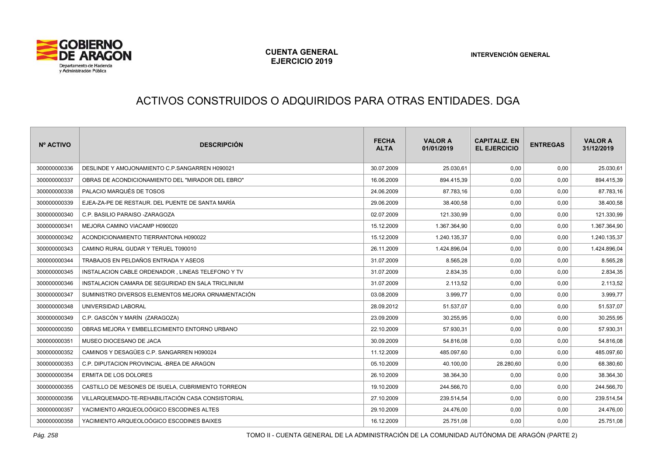

# ACTIVOS CONSTRUIDOS O ADQUIRIDOS PARA OTRAS ENTIDADES. DGA

| Nº ACTIVO    | <b>DESCRIPCIÓN</b>                                 | <b>FECHA</b><br><b>ALTA</b> | <b>VALOR A</b><br>01/01/2019 | <b>CAPITALIZ. EN</b><br><b>EL EJERCICIO</b> | <b>ENTREGAS</b> | <b>VALOR A</b><br>31/12/2019 |
|--------------|----------------------------------------------------|-----------------------------|------------------------------|---------------------------------------------|-----------------|------------------------------|
| 300000000336 | DESLINDE Y AMOJONAMIENTO C.P.SANGARREN H090021     | 30.07.2009                  | 25.030,61                    | 0,00                                        | 0,00            | 25.030,61                    |
| 300000000337 | OBRAS DE ACONDICIONAMIENTO DEL "MIRADOR DEL EBRO"  | 16.06.2009                  | 894.415,39                   | 0,00                                        | 0,00            | 894.415,39                   |
| 300000000338 | PALACIO MARQUÉS DE TOSOS                           | 24.06.2009                  | 87.783,16                    | 0,00                                        | 0,00            | 87.783,16                    |
| 300000000339 | EJEA-ZA-PE DE RESTAUR. DEL PUENTE DE SANTA MARÍA   | 29.06.2009                  | 38.400,58                    | 0,00                                        | 0,00            | 38.400,58                    |
| 300000000340 | C.P. BASILIO PARAISO - ZARAGOZA                    | 02.07.2009                  | 121.330,99                   | 0,00                                        | 0,00            | 121.330,99                   |
| 300000000341 | MEJORA CAMINO VIACAMP H090020                      | 15.12.2009                  | 1.367.364,90                 | 0,00                                        | 0,00            | 1.367.364,90                 |
| 300000000342 | ACONDICIONAMIENTO TIERRANTONA H090022              | 15.12.2009                  | 1.240.135,37                 | 0,00                                        | 0,00            | 1.240.135,37                 |
| 300000000343 | CAMINO RURAL GUDAR Y TERUEL T090010                | 26.11.2009                  | 1.424.896,04                 | 0,00                                        | 0,00            | 1.424.896,04                 |
| 300000000344 | TRABAJOS EN PELDAÑOS ENTRADA Y ASEOS               | 31.07.2009                  | 8.565,28                     | 0,00                                        | 0,00            | 8.565,28                     |
| 300000000345 | INSTALACION CABLE ORDENADOR . LINEAS TELEFONO Y TV | 31.07.2009                  | 2.834,35                     | 0,00                                        | 0,00            | 2.834,35                     |
| 300000000346 | INSTALACION CAMARA DE SEGURIDAD EN SALA TRICLINIUM | 31.07.2009                  | 2.113,52                     | 0,00                                        | 0,00            | 2.113,52                     |
| 300000000347 | SUMINISTRO DIVERSOS ELEMENTOS MEJORA ORNAMENTACIÓN | 03.08.2009                  | 3.999,77                     | 0,00                                        | 0,00            | 3.999,77                     |
| 300000000348 | UNIVERSIDAD LABORAL                                | 28.09.2012                  | 51.537,07                    | 0,00                                        | 0,00            | 51.537,07                    |
| 300000000349 | C.P. GASCÓN Y MARÍN (ZARAGOZA)                     | 23.09.2009                  | 30.255,95                    | 0,00                                        | 0,00            | 30.255,95                    |
| 300000000350 | OBRAS MEJORA Y EMBELLECIMIENTO ENTORNO URBANO      | 22.10.2009                  | 57.930,31                    | 0,00                                        | 0,00            | 57.930,31                    |
| 300000000351 | MUSEO DIOCESANO DE JACA                            | 30.09.2009                  | 54.816,08                    | 0,00                                        | 0,00            | 54.816,08                    |
| 300000000352 | CAMINOS Y DESAGÜES C.P. SANGARREN H090024          | 11.12.2009                  | 485.097,60                   | 0,00                                        | 0,00            | 485.097,60                   |
| 300000000353 | C.P. DIPUTACION PROVINCIAL -BREA DE ARAGON         | 05.10.2009                  | 40.100,00                    | 28.280,60                                   | 0,00            | 68.380,60                    |
| 300000000354 | ERMITA DE LOS DOLORES                              | 26.10.2009                  | 38.364,30                    | 0,00                                        | 0,00            | 38.364,30                    |
| 300000000355 | CASTILLO DE MESONES DE ISUELA, CUBRIMIENTO TORREON | 19.10.2009                  | 244.566,70                   | 0,00                                        | 0,00            | 244.566,70                   |
| 300000000356 | VILLARQUEMADO-TE-REHABILITACIÓN CASA CONSISTORIAL  | 27.10.2009                  | 239.514,54                   | 0,00                                        | 0,00            | 239.514,54                   |
| 300000000357 | YACIMIENTO ARQUEOLOÓGICO ESCODINES ALTES           | 29.10.2009                  | 24.476,00                    | 0,00                                        | 0,00            | 24.476,00                    |
| 300000000358 | YACIMIENTO ARQUEOLOÓGICO ESCODINES BAIXES          | 16.12.2009                  | 25.751,08                    | 0,00                                        | 0,00            | 25.751,08                    |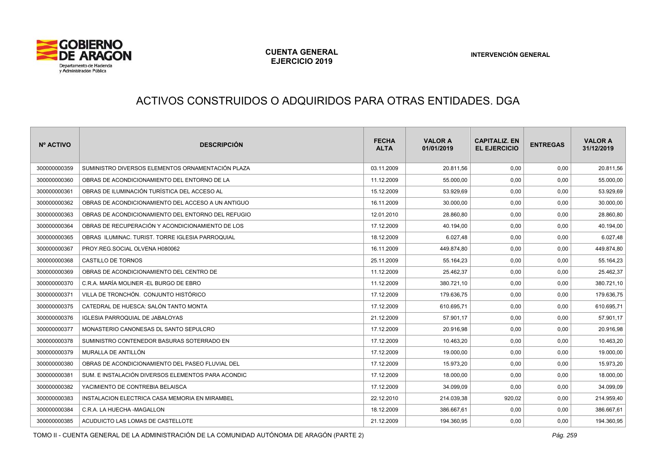

#### ACTIVOS CONSTRUIDOS O ADQUIRIDOS PARA OTRAS ENTIDADES. DGA

| Nº ACTIVO    | <b>DESCRIPCIÓN</b>                                 | <b>FECHA</b><br><b>ALTA</b> | <b>VALOR A</b><br>01/01/2019 | <b>CAPITALIZ. EN</b><br><b>EL EJERCICIO</b> | <b>ENTREGAS</b> | <b>VALOR A</b><br>31/12/2019 |
|--------------|----------------------------------------------------|-----------------------------|------------------------------|---------------------------------------------|-----------------|------------------------------|
| 300000000359 | SUMINISTRO DIVERSOS ELEMENTOS ORNAMENTACIÓN PLAZA  | 03.11.2009                  | 20.811,56                    | 0,00                                        | 0,00            | 20.811,56                    |
| 300000000360 | OBRAS DE ACONDICIONAMIENTO DEL ENTORNO DE LA       | 11.12.2009                  | 55.000,00                    | 0,00                                        | 0,00            | 55.000,00                    |
| 300000000361 | OBRAS DE ILUMINACIÓN TURÍSTICA DEL ACCESO AL       | 15.12.2009                  | 53.929,69                    | 0,00                                        | 0,00            | 53.929,69                    |
| 300000000362 | OBRAS DE ACONDICIONAMIENTO DEL ACCESO A UN ANTIGUO | 16.11.2009                  | 30.000,00                    | 0,00                                        | 0,00            | 30.000,00                    |
| 300000000363 | OBRAS DE ACONDICIONAMIENTO DEL ENTORNO DEL REFUGIO | 12.01.2010                  | 28.860,80                    | 0,00                                        | 0,00            | 28.860,80                    |
| 300000000364 | OBRAS DE RECUPERACIÓN Y ACONDICIONAMIENTO DE LOS   | 17.12.2009                  | 40.194,00                    | 0,00                                        | 0,00            | 40.194,00                    |
| 300000000365 | OBRAS ILUMINAC, TURIST, TORRE IGLESIA PARROQUIAL   | 18.12.2009                  | 6.027,48                     | 0,00                                        | 0,00            | 6.027,48                     |
| 300000000367 | PROY.REG.SOCIAL OLVENA H080062                     | 16.11.2009                  | 449.874,80                   | 0,00                                        | 0,00            | 449.874,80                   |
| 300000000368 | CASTILLO DE TORNOS                                 | 25.11.2009                  | 55.164,23                    | 0,00                                        | 0,00            | 55.164,23                    |
| 300000000369 | OBRAS DE ACONDICIONAMIENTO DEL CENTRO DE           | 11.12.2009                  | 25.462,37                    | 0,00                                        | 0,00            | 25.462,37                    |
| 300000000370 | C.R.A. MARÍA MOLINER -EL BURGO DE EBRO             | 11.12.2009                  | 380.721.10                   | 0,00                                        | 0,00            | 380.721,10                   |
| 300000000371 | VILLA DE TRONCHÓN. CONJUNTO HISTÓRICO              | 17.12.2009                  | 179.636,75                   | 0,00                                        | 0,00            | 179.636,75                   |
| 300000000375 | CATEDRAL DE HUESCA: SALÓN TANTO MONTA              | 17.12.2009                  | 610.695,71                   | 0,00                                        | 0,00            | 610.695,71                   |
| 300000000376 | <b>IGLESIA PARROQUIAL DE JABALOYAS</b>             | 21.12.2009                  | 57.901,17                    | 0,00                                        | 0,00            | 57.901,17                    |
| 300000000377 | MONASTERIO CANONESAS DL SANTO SEPULCRO             | 17.12.2009                  | 20.916,98                    | 0,00                                        | 0,00            | 20.916,98                    |
| 300000000378 | SUMINISTRO CONTENEDOR BASURAS SOTERRADO EN         | 17.12.2009                  | 10.463,20                    | 0,00                                        | 0,00            | 10.463,20                    |
| 300000000379 | MURALLA DE ANTILLÓN                                | 17.12.2009                  | 19.000,00                    | 0,00                                        | 0,00            | 19.000,00                    |
| 300000000380 | OBRAS DE ACONDICIONAMIENTO DEL PASEO FLUVIAL DEL   | 17.12.2009                  | 15.973,20                    | 0,00                                        | 0,00            | 15.973,20                    |
| 300000000381 | SUM. E INSTALACIÓN DIVERSOS ELEMENTOS PARA ACONDIC | 17.12.2009                  | 18.000,00                    | 0,00                                        | 0,00            | 18.000,00                    |
| 300000000382 | YACIMIENTO DE CONTREBIA BELAISCA                   | 17.12.2009                  | 34.099,09                    | 0,00                                        | 0,00            | 34.099,09                    |
| 300000000383 | INSTALACION ELECTRICA CASA MEMORIA EN MIRAMBEL     | 22.12.2010                  | 214.039,38                   | 920,02                                      | 0,00            | 214.959,40                   |
| 300000000384 | C.R.A. LA HUECHA -MAGALLON                         | 18.12.2009                  | 386.667,61                   | 0,00                                        | 0,00            | 386.667,61                   |
| 300000000385 | ACUDUICTO LAS LOMAS DE CASTELLOTE                  | 21.12.2009                  | 194.360,95                   | 0,00                                        | 0,00            | 194.360,95                   |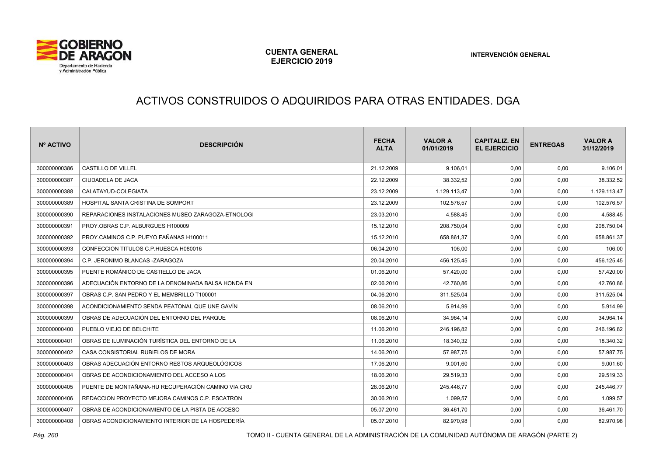

# ACTIVOS CONSTRUIDOS O ADQUIRIDOS PARA OTRAS ENTIDADES. DGA

| Nº ACTIVO    | <b>DESCRIPCIÓN</b>                                 | <b>FECHA</b><br><b>ALTA</b> | <b>VALOR A</b><br>01/01/2019 | <b>CAPITALIZ. EN</b><br><b>EL EJERCICIO</b> | <b>ENTREGAS</b> | <b>VALOR A</b><br>31/12/2019 |
|--------------|----------------------------------------------------|-----------------------------|------------------------------|---------------------------------------------|-----------------|------------------------------|
| 300000000386 | <b>CASTILLO DE VILLEL</b>                          | 21.12.2009                  | 9.106,01                     | 0,00                                        | 0,00            | 9.106,01                     |
| 300000000387 | CIUDADELA DE JACA                                  | 22.12.2009                  | 38.332,52                    | 0,00                                        | 0,00            | 38.332,52                    |
| 300000000388 | CALATAYUD-COLEGIATA                                | 23.12.2009                  | 1.129.113,47                 | 0,00                                        | 0,00            | 1.129.113,47                 |
| 300000000389 | HOSPITAL SANTA CRISTINA DE SOMPORT                 | 23.12.2009                  | 102.576.57                   | 0,00                                        | 0,00            | 102.576,57                   |
| 300000000390 | REPARACIONES INSTALACIONES MUSEO ZARAGOZA-ETNOLOGI | 23.03.2010                  | 4.588,45                     | 0,00                                        | 0,00            | 4.588,45                     |
| 300000000391 | PROY.OBRAS C.P. ALBURGUES H100009                  | 15.12.2010                  | 208.750,04                   | 0,00                                        | 0,00            | 208.750,04                   |
| 300000000392 | PROY.CAMINOS C.P. PUEYO FAÑANAS H100011            | 15.12.2010                  | 658.861,37                   | 0,00                                        | 0,00            | 658.861,37                   |
| 300000000393 | CONFECCION TITULOS C.P.HUESCA H080016              | 06.04.2010                  | 106,00                       | 0,00                                        | 0,00            | 106,00                       |
| 300000000394 | C.P. JERONIMO BLANCAS -ZARAGOZA                    | 20.04.2010                  | 456.125,45                   | 0,00                                        | 0,00            | 456.125,45                   |
| 300000000395 | PUENTE ROMÁNICO DE CASTIELLO DE JACA               | 01.06.2010                  | 57.420,00                    | 0,00                                        | 0,00            | 57.420,00                    |
| 300000000396 | ADECUACIÓN ENTORNO DE LA DENOMINADA BALSA HONDA EN | 02.06.2010                  | 42.760,86                    | 0,00                                        | 0,00            | 42.760,86                    |
| 300000000397 | OBRAS C.P. SAN PEDRO Y EL MEMBRILLO T100001        | 04.06.2010                  | 311.525,04                   | 0,00                                        | 0,00            | 311.525,04                   |
| 300000000398 | ACONDICIONAMIENTO SENDA PEATONAL QUE UNE GAVÍN     | 08.06.2010                  | 5.914,99                     | 0,00                                        | 0,00            | 5.914,99                     |
| 300000000399 | OBRAS DE ADECUACIÓN DEL ENTORNO DEL PARQUE         | 08.06.2010                  | 34.964,14                    | 0,00                                        | 0,00            | 34.964,14                    |
| 300000000400 | PUEBLO VIEJO DE BELCHITE                           | 11.06.2010                  | 246.196,82                   | 0,00                                        | 0,00            | 246.196,82                   |
| 300000000401 | OBRAS DE ILUMINACIÓN TURÍSTICA DEL ENTORNO DE LA   | 11.06.2010                  | 18.340,32                    | 0,00                                        | 0,00            | 18.340,32                    |
| 300000000402 | CASA CONSISTORIAL RUBIELOS DE MORA                 | 14.06.2010                  | 57.987,75                    | 0,00                                        | 0,00            | 57.987,75                    |
| 300000000403 | OBRAS ADECUACIÓN ENTORNO RESTOS ARQUEOLÓGICOS      | 17.06.2010                  | 9.001,60                     | 0,00                                        | 0,00            | 9.001,60                     |
| 300000000404 | OBRAS DE ACONDICIONAMIENTO DEL ACCESO A LOS        | 18.06.2010                  | 29.519,33                    | 0,00                                        | 0,00            | 29.519,33                    |
| 300000000405 | PUENTE DE MONTAÑANA-HU RECUPERACIÓN CAMINO VIA CRU | 28.06.2010                  | 245.446,77                   | 0,00                                        | 0,00            | 245.446,77                   |
| 300000000406 | REDACCION PROYECTO MEJORA CAMINOS C.P. ESCATRON    | 30.06.2010                  | 1.099,57                     | 0,00                                        | 0,00            | 1.099,57                     |
| 300000000407 | OBRAS DE ACONDICIONAMIENTO DE LA PISTA DE ACCESO   | 05.07.2010                  | 36.461,70                    | 0,00                                        | 0,00            | 36.461,70                    |
| 300000000408 | OBRAS ACONDICIONAMIENTO INTERIOR DE LA HOSPEDERÍA  | 05.07.2010                  | 82.970,98                    | 0,00                                        | 0,00            | 82.970,98                    |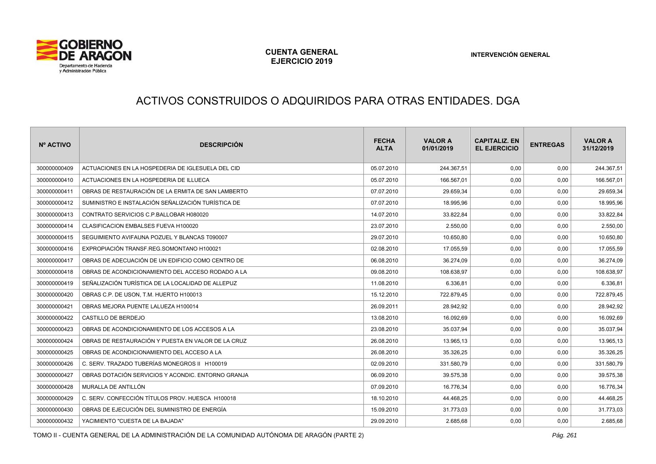

#### ACTIVOS CONSTRUIDOS O ADQUIRIDOS PARA OTRAS ENTIDADES. DGA

| Nº ACTIVO    | <b>DESCRIPCIÓN</b>                                 | <b>FECHA</b><br><b>ALTA</b> | <b>VALOR A</b><br>01/01/2019 | <b>CAPITALIZ, EN</b><br><b>EL EJERCICIO</b> | <b>ENTREGAS</b> | <b>VALOR A</b><br>31/12/2019 |
|--------------|----------------------------------------------------|-----------------------------|------------------------------|---------------------------------------------|-----------------|------------------------------|
| 300000000409 | ACTUACIONES EN LA HOSPEDERIA DE IGLESUELA DEL CID  | 05.07.2010                  | 244.367.51                   | 0,00                                        | 0,00            | 244.367,51                   |
| 300000000410 | ACTUACIONES EN LA HOSPEDERIA DE ILLUECA            | 05.07.2010                  | 166.567,01                   | 0,00                                        | 0,00            | 166.567,01                   |
| 300000000411 | OBRAS DE RESTAURACIÓN DE LA ERMITA DE SAN LAMBERTO | 07.07.2010                  | 29.659,34                    | 0,00                                        | 0,00            | 29.659,34                    |
| 300000000412 | SUMINISTRO E INSTALACIÓN SEÑALIZACIÓN TURÍSTICA DE | 07.07.2010                  | 18.995,96                    | 0,00                                        | 0,00            | 18.995,96                    |
| 300000000413 | CONTRATO SERVICIOS C.P.BALLOBAR H080020            | 14.07.2010                  | 33.822,84                    | 0,00                                        | 0,00            | 33.822,84                    |
| 300000000414 | CLASIFICACION EMBALSES FUEVA H100020               | 23.07.2010                  | 2.550,00                     | 0,00                                        | 0,00            | 2.550,00                     |
| 300000000415 | SEGUIMIENTO AVIFAUNA POZUEL Y BLANCAS T090007      | 29.07.2010                  | 10.650,80                    | 0,00                                        | 0,00            | 10.650,80                    |
| 300000000416 | EXPROPIACIÓN TRANSF.REG.SOMONTANO H100021          | 02.08.2010                  | 17.055,59                    | 0,00                                        | 0,00            | 17.055,59                    |
| 300000000417 | OBRAS DE ADECUACIÓN DE UN EDIFICIO COMO CENTRO DE  | 06.08.2010                  | 36.274,09                    | 0,00                                        | 0,00            | 36.274,09                    |
| 300000000418 | OBRAS DE ACONDICIONAMIENTO DEL ACCESO RODADO A LA  | 09.08.2010                  | 108.638,97                   | 0,00                                        | 0,00            | 108.638,97                   |
| 300000000419 | SEÑALIZACIÓN TURÍSTICA DE LA LOCALIDAD DE ALLEPUZ  | 11.08.2010                  | 6.336,81                     | 0,00                                        | 0,00            | 6.336,81                     |
| 300000000420 | OBRAS C.P. DE USON, T.M. HUERTO H100013            | 15.12.2010                  | 722.879,45                   | 0,00                                        | 0,00            | 722.879,45                   |
| 300000000421 | OBRAS MEJORA PUENTE LALUEZA H100014                | 26.09.2011                  | 28.942,92                    | 0,00                                        | 0,00            | 28.942,92                    |
| 300000000422 | CASTILLO DE BERDEJO                                | 13.08.2010                  | 16.092.69                    | 0,00                                        | 0,00            | 16.092,69                    |
| 300000000423 | OBRAS DE ACONDICIONAMIENTO DE LOS ACCESOS A LA     | 23.08.2010                  | 35.037,94                    | 0,00                                        | 0,00            | 35.037,94                    |
| 300000000424 | OBRAS DE RESTAURACIÓN Y PUESTA EN VALOR DE LA CRUZ | 26.08.2010                  | 13.965,13                    | 0,00                                        | 0,00            | 13.965,13                    |
| 300000000425 | OBRAS DE ACONDICIONAMIENTO DEL ACCESO A LA         | 26.08.2010                  | 35.326,25                    | 0,00                                        | 0,00            | 35.326,25                    |
| 300000000426 | C. SERV. TRAZADO TUBERÍAS MONEGROS II H100019      | 02.09.2010                  | 331.580,79                   | 0,00                                        | 0,00            | 331.580,79                   |
| 300000000427 | OBRAS DOTACIÓN SERVICIOS Y ACONDIC. ENTORNO GRANJA | 06.09.2010                  | 39.575,38                    | 0,00                                        | 0,00            | 39.575,38                    |
| 300000000428 | MURALLA DE ANTILLÓN                                | 07.09.2010                  | 16.776,34                    | 0,00                                        | 0,00            | 16.776,34                    |
| 300000000429 | C. SERV. CONFECCIÓN TÍTULOS PROV. HUESCA H100018   | 18.10.2010                  | 44.468,25                    | 0,00                                        | 0,00            | 44.468,25                    |
| 300000000430 | OBRAS DE EJECUCIÓN DEL SUMINISTRO DE ENERGÍA       | 15.09.2010                  | 31.773,03                    | 0,00                                        | 0,00            | 31.773,03                    |
| 300000000432 | YACIMIENTO "CUESTA DE LA BAJADA"                   | 29.09.2010                  | 2.685,68                     | 0,00                                        | 0,00            | 2.685,68                     |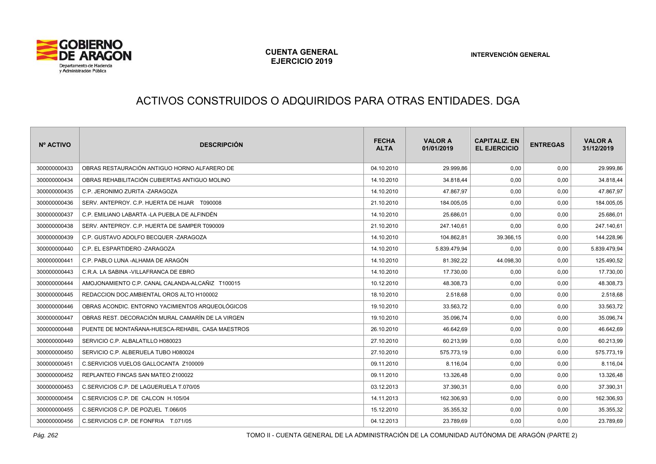

# ACTIVOS CONSTRUIDOS O ADQUIRIDOS PARA OTRAS ENTIDADES. DGA

| Nº ACTIVO    | <b>DESCRIPCIÓN</b>                                | <b>FECHA</b><br><b>ALTA</b> | <b>VALOR A</b><br>01/01/2019 | <b>CAPITALIZ, EN</b><br><b>EL EJERCICIO</b> | <b>ENTREGAS</b> | <b>VALOR A</b><br>31/12/2019 |
|--------------|---------------------------------------------------|-----------------------------|------------------------------|---------------------------------------------|-----------------|------------------------------|
| 300000000433 | OBRAS RESTAURACIÓN ANTIGUO HORNO ALFARERO DE      | 04.10.2010                  | 29.999,86                    | 0,00                                        | 0,00            | 29.999,86                    |
| 300000000434 | OBRAS REHABILITACIÓN CUBIERTAS ANTIGUO MOLINO     | 14.10.2010                  | 34.818,44                    | 0,00                                        | 0,00            | 34.818,44                    |
| 300000000435 | C.P. JERONIMO ZURITA -ZARAGOZA                    | 14.10.2010                  | 47.867,97                    | 0,00                                        | 0,00            | 47.867,97                    |
| 300000000436 | SERV. ANTEPROY. C.P. HUERTA DE HIJAR T090008      | 21.10.2010                  | 184.005,05                   | 0,00                                        | 0,00            | 184.005,05                   |
| 300000000437 | C.P. EMILIANO LABARTA -LA PUEBLA DE ALFINDÉN      | 14.10.2010                  | 25.686,01                    | 0,00                                        | 0,00            | 25.686,01                    |
| 300000000438 | SERV. ANTEPROY. C.P. HUERTA DE SAMPER T090009     | 21.10.2010                  | 247.140,61                   | 0,00                                        | 0,00            | 247.140,61                   |
| 300000000439 | C.P. GUSTAVO ADOLFO BECQUER -ZARAGOZA             | 14.10.2010                  | 104.862,81                   | 39.366,15                                   | 0,00            | 144.228,96                   |
| 300000000440 | C.P. EL ESPARTIDERO -ZARAGOZA                     | 14.10.2010                  | 5.839.479,94                 | 0,00                                        | 0,00            | 5.839.479,94                 |
| 300000000441 | C.P. PABLO LUNA -ALHAMA DE ARAGÓN                 | 14.10.2010                  | 81.392,22                    | 44.098,30                                   | 0,00            | 125.490,52                   |
| 300000000443 | C.R.A. LA SABINA - VILLAFRANCA DE EBRO            | 14.10.2010                  | 17.730,00                    | 0,00                                        | 0,00            | 17.730,00                    |
| 300000000444 | AMOJONAMIENTO C.P. CANAL CALANDA-ALCAÑIZ T100015  | 10.12.2010                  | 48.308,73                    | 0,00                                        | 0,00            | 48.308,73                    |
| 300000000445 | REDACCION DOC.AMBIENTAL OROS ALTO H100002         | 18.10.2010                  | 2.518,68                     | 0,00                                        | 0,00            | 2.518,68                     |
| 300000000446 | OBRAS ACONDIC. ENTORNO YACIMIENTOS ARQUEOLÓGICOS  | 19.10.2010                  | 33.563,72                    | 0,00                                        | 0,00            | 33.563,72                    |
| 300000000447 | OBRAS REST. DECORACIÓN MURAL CAMARÍN DE LA VIRGEN | 19.10.2010                  | 35.096,74                    | 0.00                                        | 0,00            | 35.096,74                    |
| 300000000448 | PUENTE DE MONTAÑANA-HUESCA-REHABIL, CASA MAESTROS | 26.10.2010                  | 46.642,69                    | 0,00                                        | 0,00            | 46.642,69                    |
| 300000000449 | SERVICIO C.P. ALBALATILLO H080023                 | 27.10.2010                  | 60.213,99                    | 0,00                                        | 0,00            | 60.213,99                    |
| 300000000450 | SERVICIO C.P. ALBERUELA TUBO H080024              | 27.10.2010                  | 575.773.19                   | 0.00                                        | 0,00            | 575.773,19                   |
| 300000000451 | C.SERVICIOS VUELOS GALLOCANTA Z100009             | 09.11.2010                  | 8.116,04                     | 0,00                                        | 0,00            | 8.116,04                     |
| 300000000452 | REPLANTEO FINCAS SAN MATEO Z100022                | 09.11.2010                  | 13.326,48                    | 0,00                                        | 0,00            | 13.326,48                    |
| 300000000453 | C.SERVICIOS C.P. DE LAGUERUELA T.070/05           | 03.12.2013                  | 37.390,31                    | 0,00                                        | 0,00            | 37.390,31                    |
| 300000000454 | C.SERVICIOS C.P. DE CALCON H.105/04               | 14.11.2013                  | 162.306,93                   | 0,00                                        | 0,00            | 162.306,93                   |
| 300000000455 | C.SERVICIOS C.P. DE POZUEL T.066/05               | 15.12.2010                  | 35.355,32                    | 0,00                                        | 0,00            | 35.355,32                    |
| 300000000456 | C.SERVICIOS C.P. DE FONFRIA T.071/05              | 04.12.2013                  | 23.789,69                    | 0,00                                        | 0,00            | 23.789,69                    |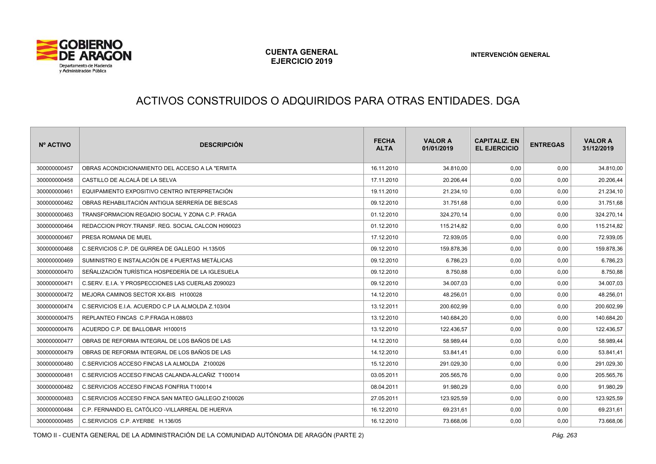

# ACTIVOS CONSTRUIDOS O ADQUIRIDOS PARA OTRAS ENTIDADES. DGA

| Nº ACTIVO    | <b>DESCRIPCIÓN</b>                                 | <b>FECHA</b><br><b>ALTA</b> | <b>VALOR A</b><br>01/01/2019 | <b>CAPITALIZ, EN</b><br><b>EL EJERCICIO</b> | <b>ENTREGAS</b> | <b>VALOR A</b><br>31/12/2019 |
|--------------|----------------------------------------------------|-----------------------------|------------------------------|---------------------------------------------|-----------------|------------------------------|
| 300000000457 | OBRAS ACONDICIONAMIENTO DEL ACCESO A LA "ERMITA    | 16.11.2010                  | 34.810.00                    | 0,00                                        | 0,00            | 34.810,00                    |
| 300000000458 | CASTILLO DE ALCALÁ DE LA SELVA                     | 17.11.2010                  | 20.206,44                    | 0,00                                        | 0,00            | 20.206,44                    |
| 300000000461 | EQUIPAMIENTO EXPOSITIVO CENTRO INTERPRETACIÓN      | 19.11.2010                  | 21.234.10                    | 0.00                                        | 0,00            | 21.234,10                    |
| 300000000462 | OBRAS REHABILITACIÓN ANTIGUA SERRERÍA DE BIESCAS   | 09.12.2010                  | 31.751,68                    | 0,00                                        | 0,00            | 31.751,68                    |
| 300000000463 | TRANSFORMACION REGADIO SOCIAL Y ZONA C.P. FRAGA    | 01.12.2010                  | 324.270,14                   | 0,00                                        | 0,00            | 324.270,14                   |
| 300000000464 | REDACCION PROY TRANSF. REG. SOCIAL CALCON H090023  | 01.12.2010                  | 115.214,82                   | 0,00                                        | 0,00            | 115.214,82                   |
| 300000000467 | PRESA ROMANA DE MUEL                               | 17.12.2010                  | 72.939,05                    | 0,00                                        | 0,00            | 72.939,05                    |
| 300000000468 | C.SERVICIOS C.P. DE GURREA DE GALLEGO H.135/05     | 09.12.2010                  | 159.878,36                   | 0,00                                        | 0,00            | 159.878,36                   |
| 300000000469 | SUMINISTRO E INSTALACIÓN DE 4 PUERTAS METÁLICAS    | 09.12.2010                  | 6.786,23                     | 0,00                                        | 0,00            | 6.786,23                     |
| 300000000470 | SEÑALIZACIÓN TURÍSTICA HOSPEDERÍA DE LA IGLESUELA  | 09.12.2010                  | 8.750,88                     | 0,00                                        | 0,00            | 8.750,88                     |
| 300000000471 | C.SERV. E.I.A. Y PROSPECCIONES LAS CUERLAS Z090023 | 09.12.2010                  | 34.007,03                    | 0,00                                        | 0,00            | 34.007,03                    |
| 300000000472 | MEJORA CAMINOS SECTOR XX-BIS H100028               | 14.12.2010                  | 48.256,01                    | 0,00                                        | 0,00            | 48.256,01                    |
| 300000000474 | C.SERVICIOS E.I.A. ACUERDO C.P LA ALMOLDA Z.103/04 | 13.12.2011                  | 200.602,99                   | 0,00                                        | 0,00            | 200.602,99                   |
| 300000000475 | REPLANTEO FINCAS C.P.FRAGA H.088/03                | 13.12.2010                  | 140.684,20                   | 0,00                                        | 0,00            | 140.684,20                   |
| 300000000476 | ACUERDO C.P. DE BALLOBAR H100015                   | 13.12.2010                  | 122.436.57                   | 0,00                                        | 0,00            | 122.436,57                   |
| 300000000477 | OBRAS DE REFORMA INTEGRAL DE LOS BAÑOS DE LAS      | 14.12.2010                  | 58.989,44                    | 0,00                                        | 0,00            | 58.989,44                    |
| 300000000479 | OBRAS DE REFORMA INTEGRAL DE LOS BAÑOS DE LAS      | 14.12.2010                  | 53.841,41                    | 0,00                                        | 0,00            | 53.841,41                    |
| 300000000480 | C.SERVICIOS ACCESO FINCAS LA ALMOLDA Z100026       | 15.12.2010                  | 291.029.30                   | 0,00                                        | 0,00            | 291.029,30                   |
| 300000000481 | C.SERVICIOS ACCESO FINCAS CALANDA-ALCAÑIZ T100014  | 03.05.2011                  | 205.565,76                   | 0,00                                        | 0,00            | 205.565,76                   |
| 300000000482 | C.SERVICIOS ACCESO FINCAS FONFRIA T100014          | 08.04.2011                  | 91.980,29                    | 0,00                                        | 0,00            | 91.980,29                    |
| 300000000483 | C.SERVICIOS ACCESO FINCA SAN MATEO GALLEGO Z100026 | 27.05.2011                  | 123.925.59                   | 0,00                                        | 0,00            | 123.925,59                   |
| 300000000484 | C.P. FERNANDO EL CATÓLICO - VILLARREAL DE HUERVA   | 16.12.2010                  | 69.231,61                    | 0,00                                        | 0,00            | 69.231,61                    |
| 300000000485 | C.SERVICIOS C.P. AYERBE H.136/05                   | 16.12.2010                  | 73.668,06                    | 0,00                                        | 0,00            | 73.668,06                    |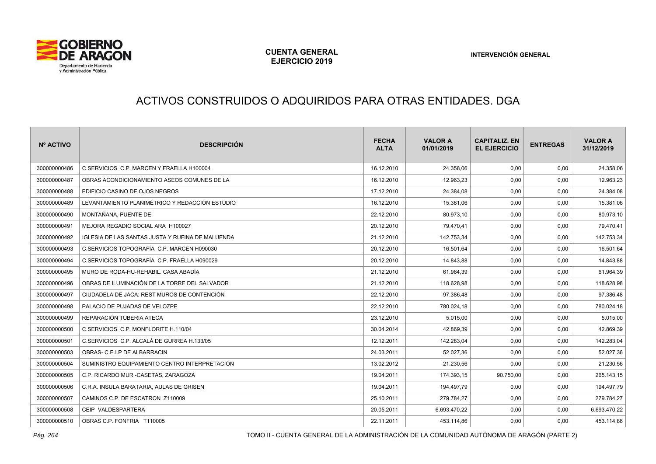

# ACTIVOS CONSTRUIDOS O ADQUIRIDOS PARA OTRAS ENTIDADES. DGA

| Nº ACTIVO    | <b>DESCRIPCIÓN</b>                               | <b>FECHA</b><br><b>ALTA</b> | <b>VALOR A</b><br>01/01/2019 | <b>CAPITALIZ. EN</b><br><b>EL EJERCICIO</b> | <b>ENTREGAS</b> | <b>VALOR A</b><br>31/12/2019 |
|--------------|--------------------------------------------------|-----------------------------|------------------------------|---------------------------------------------|-----------------|------------------------------|
| 300000000486 | C.SERVICIOS C.P. MARCEN Y FRAELLA H100004        | 16.12.2010                  | 24.358.06                    | 0.00                                        | 0.00            | 24.358,06                    |
| 300000000487 | OBRAS ACONDICIONAMIENTO ASEOS COMUNES DE LA      | 16.12.2010                  | 12.963,23                    | 0,00                                        | 0,00            | 12.963,23                    |
| 300000000488 | EDIFICIO CASINO DE OJOS NEGROS                   | 17.12.2010                  | 24.384.08                    | 0,00                                        | 0,00            | 24.384,08                    |
| 300000000489 | LEVANTAMIENTO PLANIMÉTRICO Y REDACCIÓN ESTUDIO   | 16.12.2010                  | 15.381,06                    | 0,00                                        | 0,00            | 15.381,06                    |
| 300000000490 | MONTAÑANA, PUENTE DE                             | 22.12.2010                  | 80.973,10                    | 0,00                                        | 0,00            | 80.973,10                    |
| 300000000491 | MEJORA REGADIO SOCIAL ARA H100027                | 20.12.2010                  | 79.470,41                    | 0,00                                        | 0,00            | 79.470,41                    |
| 300000000492 | IGLESIA DE LAS SANTAS JUSTA Y RUFINA DE MALUENDA | 21.12.2010                  | 142.753,34                   | 0,00                                        | 0,00            | 142.753,34                   |
| 300000000493 | C.SERVICIOS TOPOGRAFÍA C.P. MARCEN H090030       | 20.12.2010                  | 16.501,64                    | 0,00                                        | 0,00            | 16.501,64                    |
| 300000000494 | C.SERVICIOS TOPOGRAFÍA C.P. FRAELLA H090029      | 20.12.2010                  | 14.843,88                    | 0,00                                        | 0,00            | 14.843,88                    |
| 300000000495 | MURO DE RODA-HU-REHABIL. CASA ABADÍA             | 21.12.2010                  | 61.964,39                    | 0,00                                        | 0,00            | 61.964,39                    |
| 300000000496 | OBRAS DE ILUMINACIÓN DE LA TORRE DEL SALVADOR    | 21.12.2010                  | 118.628,98                   | 0,00                                        | 0,00            | 118.628,98                   |
| 300000000497 | CIUDADELA DE JACA: REST MUROS DE CONTENCIÓN      | 22.12.2010                  | 97.386,48                    | 0,00                                        | 0,00            | 97.386,48                    |
| 300000000498 | PALACIO DE PUJADAS DE VELOZPE                    | 22.12.2010                  | 780.024,18                   | 0,00                                        | 0,00            | 780.024,18                   |
| 300000000499 | REPARACIÓN TUBERIA ATECA                         | 23.12.2010                  | 5.015,00                     | 0,00                                        | 0,00            | 5.015,00                     |
| 300000000500 | C.SERVICIOS C.P. MONFLORITE H.110/04             | 30.04.2014                  | 42.869,39                    | 0,00                                        | 0,00            | 42.869,39                    |
| 300000000501 | C.SERVICIOS C.P. ALCALÁ DE GURREA H.133/05       | 12.12.2011                  | 142.283,04                   | 0,00                                        | 0,00            | 142.283,04                   |
| 300000000503 | OBRAS- C.E.I.P DE ALBARRACIN                     | 24.03.2011                  | 52.027.36                    | 0,00                                        | 0,00            | 52.027,36                    |
| 300000000504 | SUMINISTRO EQUIPAMIENTO CENTRO INTERPRETACIÓN    | 13.02.2012                  | 21.230,56                    | 0,00                                        | 0,00            | 21.230,56                    |
| 300000000505 | C.P. RICARDO MUR -CASETAS, ZARAGOZA              | 19.04.2011                  | 174.393.15                   | 90.750,00                                   | 0,00            | 265.143,15                   |
| 300000000506 | C.R.A. INSULA BARATARIA, AULAS DE GRISEN         | 19.04.2011                  | 194.497,79                   | 0,00                                        | 0,00            | 194.497,79                   |
| 300000000507 | CAMINOS C.P. DE ESCATRON Z110009                 | 25.10.2011                  | 279.784.27                   | 0,00                                        | 0,00            | 279.784,27                   |
| 300000000508 | CEIP VALDESPARTERA                               | 20.05.2011                  | 6.693.470,22                 | 0,00                                        | 0,00            | 6.693.470,22                 |
| 300000000510 | OBRAS C.P. FONFRIA T110005                       | 22.11.2011                  | 453.114,86                   | 0.00                                        | 0.00            | 453.114,86                   |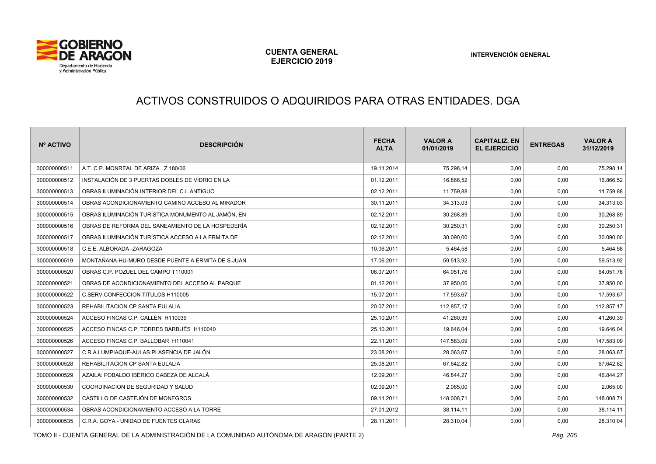

# ACTIVOS CONSTRUIDOS O ADQUIRIDOS PARA OTRAS ENTIDADES. DGA

| Nº ACTIVO    | <b>DESCRIPCIÓN</b>                                 | <b>FECHA</b><br><b>ALTA</b> | <b>VALOR A</b><br>01/01/2019 | <b>CAPITALIZ, EN</b><br><b>EL EJERCICIO</b> | <b>ENTREGAS</b> | <b>VALOR A</b><br>31/12/2019 |
|--------------|----------------------------------------------------|-----------------------------|------------------------------|---------------------------------------------|-----------------|------------------------------|
| 300000000511 | A.T. C.P. MONREAL DE ARIZA Z.180/06                | 19.11.2014                  | 75.298,14                    | 0,00                                        | 0,00            | 75.298,14                    |
| 300000000512 | INSTALACIÓN DE 3 PUERTAS DOBLES DE VIDRIO EN LA    | 01.12.2011                  | 16.866,52                    | 0,00                                        | 0,00            | 16.866,52                    |
| 300000000513 | OBRAS ILUMINACIÓN INTERIOR DEL C.I. ANTIGUO        | 02.12.2011                  | 11.759,88                    | 0,00                                        | 0,00            | 11.759,88                    |
| 300000000514 | OBRAS ACONDICIONAMIENTO CAMINO ACCESO AL MIRADOR   | 30.11.2011                  | 34.313,03                    | 0,00                                        | 0,00            | 34.313,03                    |
| 300000000515 | OBRAS ILUMINACIÓN TURÍSTICA MONUMENTO AL JAMÓN. EN | 02.12.2011                  | 30.268.89                    | 0,00                                        | 0,00            | 30.268,89                    |
| 300000000516 | OBRAS DE REFORMA DEL SANEAMIENTO DE LA HOSPEDERÍA  | 02.12.2011                  | 30.250,31                    | 0,00                                        | 0,00            | 30.250,31                    |
| 300000000517 | OBRAS ILUMINACIÓN TURÍSTICA ACCESO A LA ERMITA DE  | 02.12.2011                  | 30.090,00                    | 0,00                                        | 0,00            | 30.090,00                    |
| 300000000518 | C.E.E. ALBORADA -ZARAGOZA                          | 10.06.2011                  | 5.464,58                     | 0,00                                        | 0,00            | 5.464,58                     |
| 300000000519 | MONTAÑANA-HU-MURO DESDE PUENTE A ERMITA DE S.JUAN  | 17.06.2011                  | 59.513,92                    | 0,00                                        | 0,00            | 59.513,92                    |
| 300000000520 | OBRAS C.P. POZUEL DEL CAMPO T110001                | 06.07.2011                  | 64.051,76                    | 0,00                                        | 0,00            | 64.051,76                    |
| 300000000521 | OBRAS DE ACONDICIONAMIENTO DEL ACCESO AL PARQUE    | 01.12.2011                  | 37.950,00                    | 0,00                                        | 0,00            | 37.950,00                    |
| 300000000522 | C.SERV.CONFECCION TITULOS H110005                  | 15.07.2011                  | 17.593,67                    | 0,00                                        | 0,00            | 17.593,67                    |
| 300000000523 | REHABILITACION CP SANTA EULALIA                    | 20.07.2011                  | 112.857,17                   | 0,00                                        | 0,00            | 112.857,17                   |
| 300000000524 | ACCESO FINCAS C.P. CALLÉN H110039                  | 25.10.2011                  | 41.260,39                    | 0,00                                        | 0,00            | 41.260,39                    |
| 300000000525 | ACCESO FINCAS C.P. TORRES BARBUÉS H110040          | 25.10.2011                  | 19.646,04                    | 0,00                                        | 0,00            | 19.646,04                    |
| 300000000526 | ACCESO FINCAS C.P. BALLOBAR H110041                | 22.11.2011                  | 147.583,09                   | 0,00                                        | 0,00            | 147.583,09                   |
| 300000000527 | C.R.A.LUMPIAQUE-AULAS PLASENCIA DE JALÓN           | 23.08.2011                  | 28.063,67                    | 0,00                                        | 0,00            | 28.063,67                    |
| 300000000528 | REHABILITACION CP SANTA EULALIA                    | 25.08.2011                  | 67.642,82                    | 0,00                                        | 0,00            | 67.642,82                    |
| 300000000529 | AZAILA: POBALDO IBÉRICO CABEZA DE ALCALÁ           | 12.09.2011                  | 46.844,27                    | 0,00                                        | 0,00            | 46.844,27                    |
| 300000000530 | COORDINACION DE SEGURIDAD Y SALUD                  | 02.09.2011                  | 2.065,00                     | 0,00                                        | 0,00            | 2.065,00                     |
| 300000000532 | CASTILLO DE CASTEJÓN DE MONEGROS                   | 09.11.2011                  | 148.008.71                   | 0,00                                        | 0.00            | 148.008,71                   |
| 300000000534 | OBRAS ACONDICIONAMIENTO ACCESO A LA TORRE          | 27.01.2012                  | 38.114,11                    | 0,00                                        | 0,00            | 38.114,11                    |
| 300000000535 | C.R.A. GOYA.- UNIDAD DE FUENTES CLARAS             | 28.11.2011                  | 28.310,04                    | 0,00                                        | 0,00            | 28.310,04                    |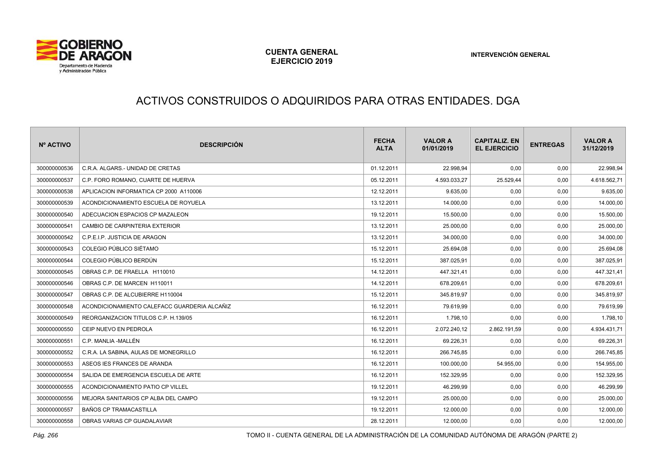

# ACTIVOS CONSTRUIDOS O ADQUIRIDOS PARA OTRAS ENTIDADES. DGA

| Nº ACTIVO    | <b>DESCRIPCIÓN</b>                           | <b>FECHA</b><br><b>ALTA</b> | <b>VALOR A</b><br>01/01/2019 | <b>CAPITALIZ. EN</b><br><b>EL EJERCICIO</b> | <b>ENTREGAS</b> | <b>VALOR A</b><br>31/12/2019 |
|--------------|----------------------------------------------|-----------------------------|------------------------------|---------------------------------------------|-----------------|------------------------------|
| 300000000536 | C.R.A. ALGARS.- UNIDAD DE CRETAS             | 01.12.2011                  | 22.998,94                    | 0,00                                        | 0,00            | 22.998,94                    |
| 300000000537 | C.P. FORO ROMANO. CUARTE DE HUERVA           | 05.12.2011                  | 4.593.033.27                 | 25.529,44                                   | 0.00            | 4.618.562,71                 |
| 300000000538 | APLICACION INFORMATICA CP 2000 A110006       | 12.12.2011                  | 9.635,00                     | 0,00                                        | 0,00            | 9.635,00                     |
| 300000000539 | ACONDICIONAMIENTO ESCUELA DE ROYUELA         | 13.12.2011                  | 14.000,00                    | 0,00                                        | 0,00            | 14.000,00                    |
| 300000000540 | ADECUACION ESPACIOS CP MAZALEON              | 19.12.2011                  | 15.500,00                    | 0,00                                        | 0,00            | 15.500,00                    |
| 300000000541 | CAMBIO DE CARPINTERIA EXTERIOR               | 13.12.2011                  | 25.000,00                    | 0,00                                        | 0,00            | 25.000,00                    |
| 300000000542 | C.P.E.I.P. JUSTICIA DE ARAGON                | 13.12.2011                  | 34.000,00                    | 0,00                                        | 0,00            | 34.000,00                    |
| 300000000543 | COLEGIO PÚBLICO SIÉTAMO                      | 15.12.2011                  | 25.694,08                    | 0,00                                        | 0,00            | 25.694,08                    |
| 300000000544 | COLEGIO PÚBLICO BERDÚN                       | 15.12.2011                  | 387.025,91                   | 0,00                                        | 0,00            | 387.025,91                   |
| 300000000545 | OBRAS C.P. DE FRAELLA H110010                | 14.12.2011                  | 447.321,41                   | 0,00                                        | 0,00            | 447.321,41                   |
| 300000000546 | OBRAS C.P. DE MARCEN H110011                 | 14.12.2011                  | 678.209,61                   | 0,00                                        | 0,00            | 678.209,61                   |
| 300000000547 | OBRAS C.P. DE ALCUBIERRE H110004             | 15.12.2011                  | 345.819,97                   | 0,00                                        | 0,00            | 345.819,97                   |
| 300000000548 | ACONDICIONAMIENTO CALEFACC GUARDERIA ALCAÑIZ | 16.12.2011                  | 79.619.99                    | 0.00                                        | 0,00            | 79.619,99                    |
| 300000000549 | REORGANIZACION TITULOS C.P. H.139/05         | 16.12.2011                  | 1.798,10                     | 0,00                                        | 0,00            | 1.798,10                     |
| 300000000550 | CEIP NUEVO EN PEDROLA                        | 16.12.2011                  | 2.072.240,12                 | 2.862.191,59                                | 0,00            | 4.934.431,71                 |
| 300000000551 | C.P. MANLIA -MALLÉN                          | 16.12.2011                  | 69.226.31                    | 0,00                                        | 0,00            | 69.226,31                    |
| 300000000552 | C.R.A. LA SABINA, AULAS DE MONEGRILLO        | 16.12.2011                  | 266.745,85                   | 0,00                                        | 0,00            | 266.745,85                   |
| 300000000553 | ASEOS IES FRANCES DE ARANDA                  | 16.12.2011                  | 100.000,00                   | 54.955,00                                   | 0,00            | 154.955,00                   |
| 300000000554 | SALIDA DE EMERGENCIA ESCUELA DE ARTE         | 16.12.2011                  | 152.329,95                   | 0,00                                        | 0,00            | 152.329,95                   |
| 300000000555 | ACONDICIONAMIENTO PATIO CP VILLEL            | 19.12.2011                  | 46.299,99                    | 0,00                                        | 0,00            | 46.299,99                    |
| 300000000556 | MEJORA SANITARIOS CP ALBA DEL CAMPO          | 19.12.2011                  | 25.000,00                    | 0,00                                        | 0,00            | 25.000,00                    |
| 300000000557 | <b>BAÑOS CP TRAMACASTILLA</b>                | 19.12.2011                  | 12.000,00                    | 0,00                                        | 0,00            | 12.000,00                    |
| 300000000558 | OBRAS VARIAS CP GUADALAVIAR                  | 28.12.2011                  | 12.000,00                    | 0,00                                        | 0,00            | 12.000,00                    |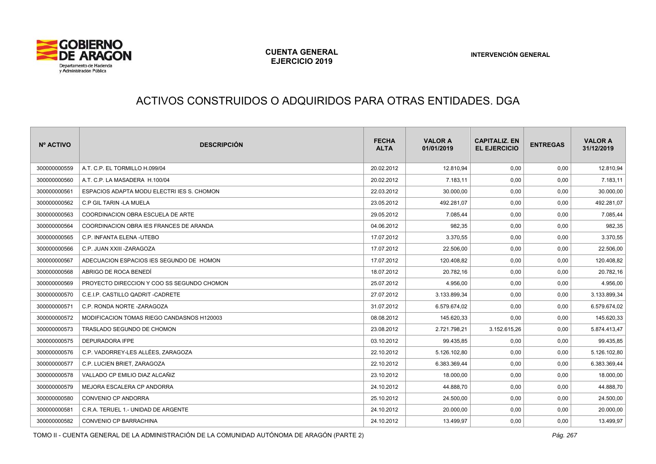

#### ACTIVOS CONSTRUIDOS O ADQUIRIDOS PARA OTRAS ENTIDADES. DGA

| Nº ACTIVO    | <b>DESCRIPCIÓN</b>                         | <b>FECHA</b><br><b>ALTA</b> | <b>VALOR A</b><br>01/01/2019 | <b>CAPITALIZ, EN</b><br><b>EL EJERCICIO</b> | <b>ENTREGAS</b> | <b>VALOR A</b><br>31/12/2019 |
|--------------|--------------------------------------------|-----------------------------|------------------------------|---------------------------------------------|-----------------|------------------------------|
| 300000000559 | A.T. C.P. EL TORMILLO H.099/04             | 20.02.2012                  | 12.810,94                    | 0,00                                        | 0,00            | 12.810,94                    |
| 300000000560 | A.T. C.P. LA MASADERA H.100/04             | 20.02.2012                  | 7.183,11                     | 0,00                                        | 0,00            | 7.183,11                     |
| 300000000561 | ESPACIOS ADAPTA MODU ELECTRI IES S. CHOMON | 22.03.2012                  | 30.000,00                    | 0,00                                        | 0,00            | 30.000,00                    |
| 300000000562 | C.P GIL TARIN -LA MUELA                    | 23.05.2012                  | 492.281,07                   | 0,00                                        | 0,00            | 492.281,07                   |
| 300000000563 | COORDINACION OBRA ESCUELA DE ARTE          | 29.05.2012                  | 7.085,44                     | 0,00                                        | 0,00            | 7.085,44                     |
| 300000000564 | COORDINACION OBRA IES FRANCES DE ARANDA    | 04.06.2012                  | 982,35                       | 0,00                                        | 0,00            | 982,35                       |
| 300000000565 | C.P. INFANTA ELENA -UTEBO                  | 17.07.2012                  | 3.370,55                     | 0,00                                        | 0,00            | 3.370,55                     |
| 300000000566 | C.P. JUAN XXIII - ZARAGOZA                 | 17.07.2012                  | 22.506,00                    | 0,00                                        | 0,00            | 22.506,00                    |
| 300000000567 | ADECUACION ESPACIOS IES SEGUNDO DE HOMON   | 17.07.2012                  | 120.408,82                   | 0,00                                        | 0,00            | 120.408,82                   |
| 300000000568 | ABRIGO DE ROCA BENEDÍ                      | 18.07.2012                  | 20.782,16                    | 0,00                                        | 0,00            | 20.782,16                    |
| 300000000569 | PROYECTO DIRECCION Y COO SS SEGUNDO CHOMON | 25.07.2012                  | 4.956,00                     | 0,00                                        | 0,00            | 4.956,00                     |
| 300000000570 | C.E.I.P. CASTILLO QADRIT -CADRETE          | 27.07.2012                  | 3.133.899,34                 | 0,00                                        | 0,00            | 3.133.899,34                 |
| 300000000571 | C.P. RONDA NORTE -ZARAGOZA                 | 31.07.2012                  | 6.579.674,02                 | 0,00                                        | 0,00            | 6.579.674,02                 |
| 300000000572 | MODIFICACION TOMAS RIEGO CANDASNOS H120003 | 08.08.2012                  | 145.620,33                   | 0,00                                        | 0,00            | 145.620,33                   |
| 300000000573 | TRASLADO SEGUNDO DE CHOMON                 | 23.08.2012                  | 2.721.798,21                 | 3.152.615,26                                | 0,00            | 5.874.413,47                 |
| 300000000575 | DEPURADORA IFPE                            | 03.10.2012                  | 99.435.85                    | 0,00                                        | 0,00            | 99.435,85                    |
| 300000000576 | C.P. VADORREY-LES ALLÉES. ZARAGOZA         | 22.10.2012                  | 5.126.102,80                 | 0,00                                        | 0,00            | 5.126.102,80                 |
| 300000000577 | C.P. LUCIEN BRIET, ZARAGOZA                | 22.10.2012                  | 6.383.369,44                 | 0,00                                        | 0,00            | 6.383.369,44                 |
| 300000000578 | VALLADO CP EMILIO DIAZ ALCAÑIZ             | 23.10.2012                  | 18.000,00                    | 0,00                                        | 0,00            | 18.000,00                    |
| 300000000579 | MEJORA ESCALERA CP ANDORRA                 | 24.10.2012                  | 44.888,70                    | 0,00                                        | 0,00            | 44.888,70                    |
| 300000000580 | CONVENIO CP ANDORRA                        | 25.10.2012                  | 24.500,00                    | 0,00                                        | 0,00            | 24.500,00                    |
| 300000000581 | C.R.A. TERUEL 1.- UNIDAD DE ARGENTE        | 24.10.2012                  | 20.000,00                    | 0,00                                        | 0,00            | 20.000,00                    |
| 300000000582 | CONVENIO CP BARRACHINA                     | 24.10.2012                  | 13.499,97                    | 0,00                                        | 0,00            | 13.499,97                    |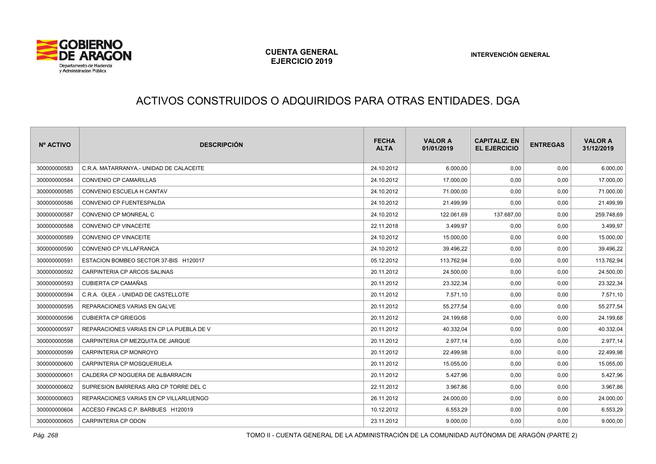

# ACTIVOS CONSTRUIDOS O ADQUIRIDOS PARA OTRAS ENTIDADES. DGA

| Nº ACTIVO    | <b>DESCRIPCIÓN</b>                       | <b>FECHA</b><br><b>ALTA</b> | <b>VALOR A</b><br>01/01/2019 | <b>CAPITALIZ, EN</b><br><b>EL EJERCICIO</b> | <b>ENTREGAS</b> | <b>VALOR A</b><br>31/12/2019 |
|--------------|------------------------------------------|-----------------------------|------------------------------|---------------------------------------------|-----------------|------------------------------|
| 300000000583 | C.R.A. MATARRANYA.- UNIDAD DE CALACEITE  | 24.10.2012                  | 6.000,00                     | 0,00                                        | 0,00            | 6.000,00                     |
| 300000000584 | <b>CONVENIO CP CAMARILLAS</b>            | 24.10.2012                  | 17.000,00                    | 0,00                                        | 0,00            | 17.000,00                    |
| 300000000585 | CONVENIO ESCUELA H CANTAV                | 24.10.2012                  | 71.000,00                    | 0,00                                        | 0,00            | 71.000,00                    |
| 300000000586 | CONVENIO CP FUENTESPALDA                 | 24.10.2012                  | 21.499.99                    | 0,00                                        | 0,00            | 21.499,99                    |
| 300000000587 | CONVENIO CP MONREAL C                    | 24.10.2012                  | 122.061,69                   | 137.687,00                                  | 0,00            | 259.748,69                   |
| 300000000588 | CONVENIO CP VINACEITE                    | 22.11.2018                  | 3.499,97                     | 0,00                                        | 0,00            | 3.499,97                     |
| 300000000589 | CONVENIO CP VINACEITE                    | 24.10.2012                  | 15.000,00                    | 0,00                                        | 0,00            | 15.000,00                    |
| 300000000590 | CONVENIO CP VILLAFRANCA                  | 24.10.2012                  | 39.496,22                    | 0,00                                        | 0,00            | 39.496,22                    |
| 300000000591 | ESTACION BOMBEO SECTOR 37-BIS H120017    | 05.12.2012                  | 113.762.94                   | 0,00                                        | 0,00            | 113.762,94                   |
| 300000000592 | CARPINTERIA CP ARCOS SALINAS             | 20.11.2012                  | 24.500,00                    | 0,00                                        | 0,00            | 24.500,00                    |
| 300000000593 | <b>CUBIERTA CP CAMAÑAS</b>               | 20.11.2012                  | 23.322,34                    | 0,00                                        | 0,00            | 23.322,34                    |
| 300000000594 | C.R.A. OLEA .- UNIDAD DE CASTELLOTE      | 20.11.2012                  | 7.571,10                     | 0,00                                        | 0,00            | 7.571,10                     |
| 300000000595 | REPARACIONES VARIAS EN GALVE             | 20.11.2012                  | 55.277,54                    | 0,00                                        | 0,00            | 55.277,54                    |
| 300000000596 | <b>CUBIERTA CP GRIEGOS</b>               | 20.11.2012                  | 24.199,68                    | 0,00                                        | 0,00            | 24.199,68                    |
| 300000000597 | REPARACIONES VARIAS EN CP LA PUEBLA DE V | 20.11.2012                  | 40.332,04                    | 0,00                                        | 0,00            | 40.332,04                    |
| 300000000598 | CARPINTERIA CP MEZQUITA DE JARQUE        | 20.11.2012                  | 2.977,14                     | 0,00                                        | 0,00            | 2.977,14                     |
| 300000000599 | CARPINTERIA CP MONROYO                   | 20.11.2012                  | 22.499,98                    | 0,00                                        | 0,00            | 22.499,98                    |
| 300000000600 | CARPINTERIA CP MOSQUERUELA               | 20.11.2012                  | 15.055,00                    | 0,00                                        | 0,00            | 15.055,00                    |
| 300000000601 | CALDERA CP NOGUERA DE ALBARRACIN         | 20.11.2012                  | 5.427,96                     | 0,00                                        | 0,00            | 5.427,96                     |
| 300000000602 | SUPRESION BARRERAS ARQ CP TORRE DEL C    | 22.11.2012                  | 3.967,86                     | 0,00                                        | 0,00            | 3.967,86                     |
| 300000000603 | REPARACIONES VARIAS EN CP VILLARLUENGO   | 26.11.2012                  | 24.000,00                    | 0,00                                        | 0,00            | 24.000,00                    |
| 300000000604 | ACCESO FINCAS C.P. BARBUES H120019       | 10.12.2012                  | 6.553,29                     | 0,00                                        | 0,00            | 6.553,29                     |
| 300000000605 | CARPINTERIA CP ODON                      | 23.11.2012                  | 9.000,00                     | 0,00                                        | 0,00            | 9.000,00                     |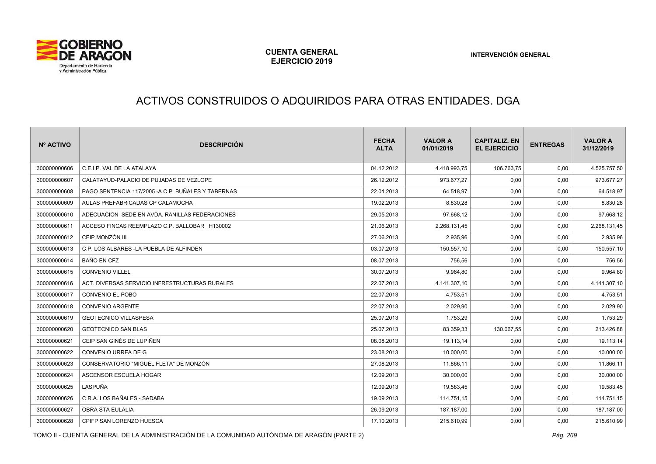

#### ACTIVOS CONSTRUIDOS O ADQUIRIDOS PARA OTRAS ENTIDADES. DGA

| Nº ACTIVO    | <b>DESCRIPCIÓN</b>                                  | <b>FECHA</b><br><b>ALTA</b> | <b>VALOR A</b><br>01/01/2019 | <b>CAPITALIZ, EN</b><br><b>EL EJERCICIO</b> | <b>ENTREGAS</b> | <b>VALOR A</b><br>31/12/2019 |
|--------------|-----------------------------------------------------|-----------------------------|------------------------------|---------------------------------------------|-----------------|------------------------------|
| 300000000606 | C.E.I.P. VAL DE LA ATALAYA                          | 04.12.2012                  | 4.418.993,75                 | 106.763,75                                  | 0,00            | 4.525.757,50                 |
| 300000000607 | CALATAYUD-PALACIO DE PUJADAS DE VEZLOPE             | 26.12.2012                  | 973.677,27                   | 0,00                                        | 0,00            | 973.677,27                   |
| 300000000608 | PAGO SENTENCIA 117/2005 - A C.P. BUÑALES Y TABERNAS | 22.01.2013                  | 64.518,97                    | 0,00                                        | 0,00            | 64.518,97                    |
| 300000000609 | AULAS PREFABRICADAS CP CALAMOCHA                    | 19.02.2013                  | 8.830,28                     | 0,00                                        | 0,00            | 8.830,28                     |
| 300000000610 | ADECUACION SEDE EN AVDA, RANILLAS FEDERACIONES      | 29.05.2013                  | 97.668,12                    | 0,00                                        | 0,00            | 97.668,12                    |
| 300000000611 | ACCESO FINCAS REEMPLAZO C.P. BALLOBAR H130002       | 21.06.2013                  | 2.268.131.45                 | 0,00                                        | 0,00            | 2.268.131,45                 |
| 300000000612 | CEIP MONZÓN III                                     | 27.06.2013                  | 2.935.96                     | 0,00                                        | 0,00            | 2.935,96                     |
| 300000000613 | C.P. LOS ALBARES -LA PUEBLA DE ALFINDEN             | 03.07.2013                  | 150.557,10                   | 0,00                                        | 0,00            | 150.557,10                   |
| 300000000614 | BAÑO EN CFZ                                         | 08.07.2013                  | 756.56                       | 0,00                                        | 0,00            | 756,56                       |
| 300000000615 | <b>CONVENIO VILLEL</b>                              | 30.07.2013                  | 9.964.80                     | 0,00                                        | 0,00            | 9.964,80                     |
| 300000000616 | ACT. DIVERSAS SERVICIO INFRESTRUCTURAS RURALES      | 22.07.2013                  | 4.141.307,10                 | 0,00                                        | 0,00            | 4.141.307,10                 |
| 300000000617 | <b>CONVENIO EL POBO</b>                             | 22.07.2013                  | 4.753,51                     | 0,00                                        | 0,00            | 4.753,51                     |
| 300000000618 | <b>CONVENIO ARGENTE</b>                             | 22.07.2013                  | 2.029,90                     | 0,00                                        | 0,00            | 2.029,90                     |
| 300000000619 | <b>GEOTECNICO VILLASPESA</b>                        | 25.07.2013                  | 1.753,29                     | 0,00                                        | 0,00            | 1.753,29                     |
| 300000000620 | <b>GEOTECNICO SAN BLAS</b>                          | 25.07.2013                  | 83.359,33                    | 130.067,55                                  | 0,00            | 213.426,88                   |
| 300000000621 | CEIP SAN GINÉS DE LUPIÑEN                           | 08.08.2013                  | 19.113,14                    | 0,00                                        | 0,00            | 19.113,14                    |
| 300000000622 | CONVENIO URREA DE G                                 | 23.08.2013                  | 10.000,00                    | 0,00                                        | 0,00            | 10.000,00                    |
| 300000000623 | CONSERVATORIO "MIGUEL FLETA" DE MONZÓN              | 27.08.2013                  | 11.866,11                    | 0,00                                        | 0,00            | 11.866,11                    |
| 300000000624 | ASCENSOR ESCUELA HOGAR                              | 12.09.2013                  | 30.000,00                    | 0,00                                        | 0,00            | 30.000,00                    |
| 300000000625 | LASPUÑA                                             | 12.09.2013                  | 19.583,45                    | 0,00                                        | 0,00            | 19.583,45                    |
| 300000000626 | C.R.A. LOS BAÑALES - SADABA                         | 19.09.2013                  | 114.751,15                   | 0,00                                        | 0,00            | 114.751,15                   |
| 300000000627 | OBRA STA EULALIA                                    | 26.09.2013                  | 187.187,00                   | 0,00                                        | 0,00            | 187.187,00                   |
| 300000000628 | CPIFP SAN LORENZO HUESCA                            | 17.10.2013                  | 215.610.99                   | 0,00                                        | 0,00            | 215.610,99                   |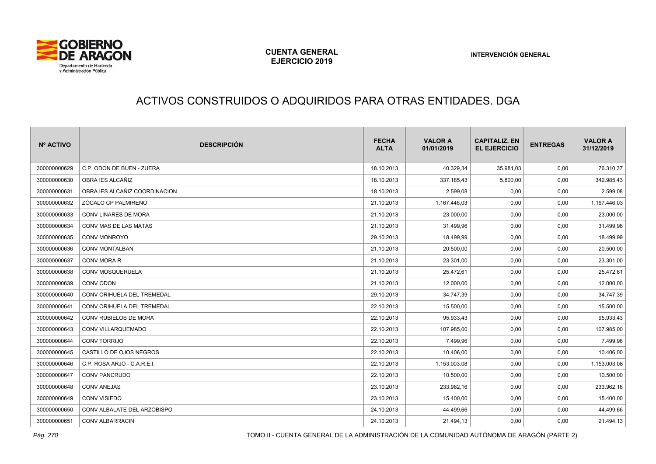

# ACTIVOS CONSTRUIDOS O ADQUIRIDOS PARA OTRAS ENTIDADES. DGA

| Nº ACTIVO    | <b>DESCRIPCIÓN</b>            | <b>FECHA</b><br><b>ALTA</b> | <b>VALOR A</b><br>01/01/2019 | <b>CAPITALIZ, EN</b><br><b>EL EJERCICIO</b> | <b>ENTREGAS</b> | <b>VALOR A</b><br>31/12/2019 |
|--------------|-------------------------------|-----------------------------|------------------------------|---------------------------------------------|-----------------|------------------------------|
| 300000000629 | C.P. ODON DE BUEN - ZUERA     | 18.10.2013                  | 40.329,34                    | 35.981,03                                   | 0,00            | 76.310,37                    |
| 300000000630 | OBRA IES ALCAÑIZ              | 18.10.2013                  | 337.185,43                   | 5.800,00                                    | 0,00            | 342.985,43                   |
| 300000000631 | OBRA IES ALCAÑIZ COORDINACION | 18.10.2013                  | 2.599,08                     | 0,00                                        | 0,00            | 2.599,08                     |
| 300000000632 | ZÓCALO CP PALMIRENO           | 21.10.2013                  | 1.167.446,03                 | 0,00                                        | 0,00            | 1.167.446,03                 |
| 300000000633 | CONV LINARES DE MORA          | 21.10.2013                  | 23.000,00                    | 0,00                                        | 0,00            | 23.000,00                    |
| 300000000634 | CONV MAS DE LAS MATAS         | 21.10.2013                  | 31.499,96                    | 0,00                                        | 0,00            | 31.499,96                    |
| 300000000635 | CONV MONROYO                  | 29.10.2013                  | 18.499,99                    | 0,00                                        | 0,00            | 18.499,99                    |
| 300000000636 | CONV MONTALBAN                | 21.10.2013                  | 20.500,00                    | 0,00                                        | 0,00            | 20.500,00                    |
| 300000000637 | CONV MORA R                   | 21.10.2013                  | 23.301,00                    | 0,00                                        | 0,00            | 23.301,00                    |
| 300000000638 | CONV MOSQUERUELA              | 21.10.2013                  | 25.472,61                    | 0,00                                        | 0,00            | 25.472,61                    |
| 300000000639 | CONV ODON                     | 21.10.2013                  | 12.000,00                    | 0,00                                        | 0,00            | 12.000,00                    |
| 300000000640 | CONV ORIHUELA DEL TREMEDAL    | 29.10.2013                  | 34.747,39                    | 0,00                                        | 0,00            | 34.747,39                    |
| 300000000641 | CONV ORIHUELA DEL TREMEDAL    | 22.10.2013                  | 15.500,00                    | 0,00                                        | 0,00            | 15.500,00                    |
| 300000000642 | CONV RUBIELOS DE MORA         | 22.10.2013                  | 95.933,43                    | 0,00                                        | 0,00            | 95.933,43                    |
| 300000000643 | CONV VILLARQUEMADO            | 22.10.2013                  | 107.985,00                   | 0,00                                        | 0,00            | 107.985,00                   |
| 300000000644 | <b>CONV TORRIJO</b>           | 22.10.2013                  | 7.499,96                     | 0,00                                        | 0,00            | 7.499,96                     |
| 300000000645 | CASTILLO DE OJOS NEGROS       | 22.10.2013                  | 10.406,00                    | 0,00                                        | 0,00            | 10.406,00                    |
| 300000000646 | C.P. ROSA ARJO - C.A.R.E.I.   | 22.10.2013                  | 1.153.003,08                 | 0,00                                        | 0,00            | 1.153.003,08                 |
| 300000000647 | CONV PANCRUDO                 | 22.10.2013                  | 10.500,00                    | 0,00                                        | 0,00            | 10.500,00                    |
| 300000000648 | <b>CONV ANEJAS</b>            | 23.10.2013                  | 233.962,16                   | 0,00                                        | 0,00            | 233.962,16                   |
| 300000000649 | CONV VISIEDO                  | 23.10.2013                  | 15.400,00                    | 0,00                                        | 0,00            | 15.400,00                    |
| 300000000650 | CONV ALBALATE DEL ARZOBISPO   | 24.10.2013                  | 44.499,66                    | 0,00                                        | 0,00            | 44.499,66                    |
| 300000000651 | <b>CONV ALBARRACIN</b>        | 24.10.2013                  | 21.494,13                    | 0,00                                        | 0,00            | 21.494,13                    |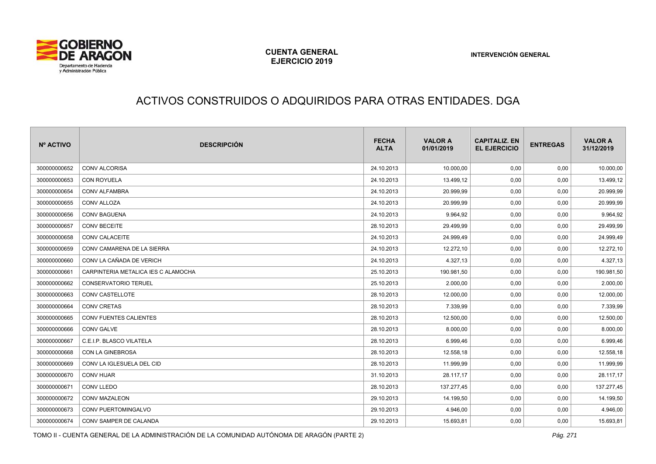

# ACTIVOS CONSTRUIDOS O ADQUIRIDOS PARA OTRAS ENTIDADES. DGA

| Nº ACTIVO    | <b>DESCRIPCIÓN</b>                  | <b>FECHA</b><br><b>ALTA</b> | <b>VALOR A</b><br>01/01/2019 | <b>CAPITALIZ, EN</b><br><b>EL EJERCICIO</b> | <b>ENTREGAS</b> | <b>VALOR A</b><br>31/12/2019 |
|--------------|-------------------------------------|-----------------------------|------------------------------|---------------------------------------------|-----------------|------------------------------|
| 300000000652 | <b>CONV ALCORISA</b>                | 24.10.2013                  | 10.000,00                    | 0,00                                        | 0,00            | 10.000,00                    |
| 300000000653 | CON ROYUELA                         | 24.10.2013                  | 13.499,12                    | 0,00                                        | 0,00            | 13.499,12                    |
| 300000000654 | CONV ALFAMBRA                       | 24.10.2013                  | 20.999,99                    | 0,00                                        | 0,00            | 20.999,99                    |
| 300000000655 | <b>CONV ALLOZA</b>                  | 24.10.2013                  | 20.999,99                    | 0,00                                        | 0,00            | 20.999,99                    |
| 300000000656 | <b>CONV BAGUENA</b>                 | 24.10.2013                  | 9.964,92                     | 0,00                                        | 0,00            | 9.964,92                     |
| 300000000657 | <b>CONV BECEITE</b>                 | 28.10.2013                  | 29.499,99                    | 0,00                                        | 0,00            | 29.499,99                    |
| 300000000658 | CONV CALACEITE                      | 24.10.2013                  | 24.999,49                    | 0,00                                        | 0,00            | 24.999,49                    |
| 300000000659 | CONV CAMARENA DE LA SIERRA          | 24.10.2013                  | 12.272,10                    | 0,00                                        | 0,00            | 12.272,10                    |
| 300000000660 | CONV LA CAÑADA DE VERICH            | 24.10.2013                  | 4.327,13                     | 0,00                                        | 0,00            | 4.327,13                     |
| 300000000661 | CARPINTERIA METALICA IES C ALAMOCHA | 25.10.2013                  | 190.981,50                   | 0,00                                        | 0,00            | 190.981,50                   |
| 300000000662 | <b>CONSERVATORIO TERUEL</b>         | 25.10.2013                  | 2.000,00                     | 0,00                                        | 0,00            | 2.000,00                     |
| 300000000663 | CONV CASTELLOTE                     | 28.10.2013                  | 12.000,00                    | 0,00                                        | 0,00            | 12.000,00                    |
| 300000000664 | <b>CONV CRETAS</b>                  | 28.10.2013                  | 7.339,99                     | 0,00                                        | 0,00            | 7.339,99                     |
| 300000000665 | CONV FUENTES CALIENTES              | 28.10.2013                  | 12.500,00                    | 0,00                                        | 0,00            | 12.500,00                    |
| 300000000666 | CONV GALVE                          | 28.10.2013                  | 8.000,00                     | 0,00                                        | 0,00            | 8.000,00                     |
| 300000000667 | C.E.I.P. BLASCO VILATELA            | 28.10.2013                  | 6.999,46                     | 0,00                                        | 0,00            | 6.999,46                     |
| 300000000668 | CON LA GINEBROSA                    | 28.10.2013                  | 12.558,18                    | 0,00                                        | 0,00            | 12.558,18                    |
| 300000000669 | CONV LA IGLESUELA DEL CID           | 28.10.2013                  | 11.999,99                    | 0,00                                        | 0,00            | 11.999,99                    |
| 300000000670 | <b>CONV HIJAR</b>                   | 31.10.2013                  | 28.117,17                    | 0,00                                        | 0,00            | 28.117,17                    |
| 300000000671 | CONV LLEDO                          | 28.10.2013                  | 137.277,45                   | 0,00                                        | 0,00            | 137.277,45                   |
| 300000000672 | CONV MAZALEON                       | 29.10.2013                  | 14.199,50                    | 0,00                                        | 0,00            | 14.199,50                    |
| 300000000673 | CONV PUERTOMINGALVO                 | 29.10.2013                  | 4.946,00                     | 0,00                                        | 0,00            | 4.946,00                     |
| 300000000674 | CONV SAMPER DE CALANDA              | 29.10.2013                  | 15.693,81                    | 0,00                                        | 0,00            | 15.693,81                    |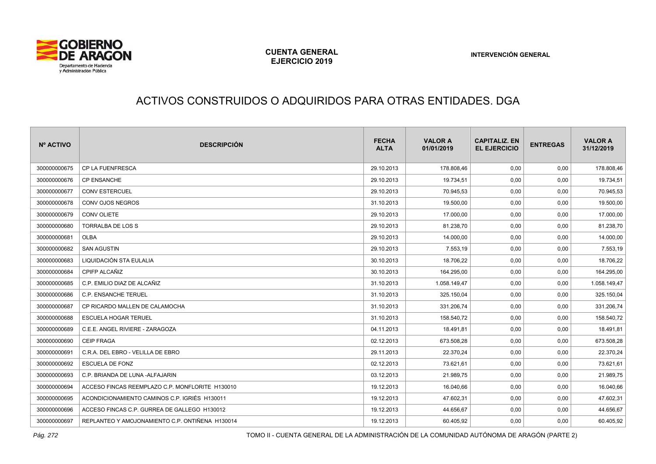

# ACTIVOS CONSTRUIDOS O ADQUIRIDOS PARA OTRAS ENTIDADES. DGA

| Nº ACTIVO    | <b>DESCRIPCIÓN</b>                              | <b>FECHA</b><br><b>ALTA</b> | <b>VALOR A</b><br>01/01/2019 | <b>CAPITALIZ. EN</b><br><b>EL EJERCICIO</b> | <b>ENTREGAS</b> | <b>VALOR A</b><br>31/12/2019 |
|--------------|-------------------------------------------------|-----------------------------|------------------------------|---------------------------------------------|-----------------|------------------------------|
| 300000000675 | CP LA FUENFRESCA                                | 29.10.2013                  | 178.808,46                   | 0,00                                        | 0,00            | 178.808,46                   |
| 300000000676 | CP ENSANCHE                                     | 29.10.2013                  | 19.734,51                    | 0,00                                        | 0,00            | 19.734,51                    |
| 300000000677 | <b>CONV ESTERCUEL</b>                           | 29.10.2013                  | 70.945,53                    | 0,00                                        | 0,00            | 70.945,53                    |
| 300000000678 | CONV OJOS NEGROS                                | 31.10.2013                  | 19.500,00                    | 0,00                                        | 0,00            | 19.500,00                    |
| 300000000679 | <b>CONV OLIETE</b>                              | 29.10.2013                  | 17.000,00                    | 0,00                                        | 0,00            | 17.000,00                    |
| 300000000680 | TORRALBA DE LOS S                               | 29.10.2013                  | 81.238,70                    | 0,00                                        | 0,00            | 81.238,70                    |
| 300000000681 | OLBA                                            | 29.10.2013                  | 14.000,00                    | 0,00                                        | 0,00            | 14.000,00                    |
| 300000000682 | <b>SAN AGUSTIN</b>                              | 29.10.2013                  | 7.553,19                     | 0,00                                        | 0,00            | 7.553,19                     |
| 300000000683 | LIQUIDACIÓN STA EULALIA                         | 30.10.2013                  | 18.706,22                    | 0,00                                        | 0,00            | 18.706,22                    |
| 300000000684 | CPIFP ALCAÑIZ                                   | 30.10.2013                  | 164.295,00                   | 0,00                                        | 0,00            | 164.295,00                   |
| 300000000685 | C.P. EMILIO DIAZ DE ALCAÑIZ                     | 31.10.2013                  | 1.058.149,47                 | 0,00                                        | 0,00            | 1.058.149,47                 |
| 300000000686 | C.P. ENSANCHE TERUEL                            | 31.10.2013                  | 325.150,04                   | 0,00                                        | 0,00            | 325.150,04                   |
| 300000000687 | CP RICARDO MALLEN DE CALAMOCHA                  | 31.10.2013                  | 331.206,74                   | 0,00                                        | 0,00            | 331.206,74                   |
| 300000000688 | <b>ESCUELA HOGAR TERUEL</b>                     | 31.10.2013                  | 158.540,72                   | 0,00                                        | 0,00            | 158.540,72                   |
| 300000000689 | C.E.E. ANGEL RIVIERE - ZARAGOZA                 | 04.11.2013                  | 18.491,81                    | 0,00                                        | 0,00            | 18.491,81                    |
| 300000000690 | <b>CEIP FRAGA</b>                               | 02.12.2013                  | 673.508,28                   | 0,00                                        | 0,00            | 673.508,28                   |
| 300000000691 | C.R.A. DEL EBRO - VELILLA DE EBRO               | 29.11.2013                  | 22.370,24                    | 0,00                                        | 0,00            | 22.370,24                    |
| 300000000692 | <b>ESCUELA DE FONZ</b>                          | 02.12.2013                  | 73.621,61                    | 0,00                                        | 0,00            | 73.621,61                    |
| 300000000693 | C.P. BRIANDA DE LUNA - ALFAJARIN                | 03.12.2013                  | 21.989,75                    | 0,00                                        | 0,00            | 21.989,75                    |
| 300000000694 | ACCESO FINCAS REEMPLAZO C.P. MONFLORITE H130010 | 19.12.2013                  | 16.040,66                    | 0,00                                        | 0,00            | 16.040,66                    |
| 300000000695 | ACONDICIONAMIENTO CAMINOS C.P. IGRIÉS H130011   | 19.12.2013                  | 47.602,31                    | 0,00                                        | 0,00            | 47.602,31                    |
| 300000000696 | ACCESO FINCAS C.P. GURREA DE GALLEGO H130012    | 19.12.2013                  | 44.656,67                    | 0,00                                        | 0,00            | 44.656,67                    |
| 300000000697 | REPLANTEO Y AMOJONAMIENTO C.P. ONTIÑENA H130014 | 19.12.2013                  | 60.405,92                    | 0,00                                        | 0,00            | 60.405,92                    |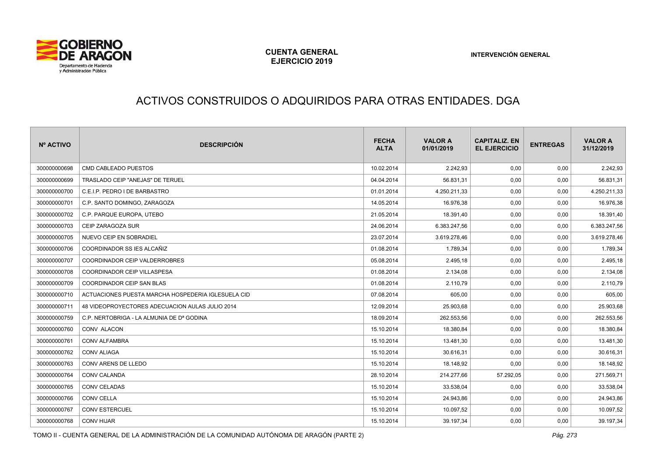

# ACTIVOS CONSTRUIDOS O ADQUIRIDOS PARA OTRAS ENTIDADES. DGA

| Nº ACTIVO    | <b>DESCRIPCIÓN</b>                                 | <b>FECHA</b><br><b>ALTA</b> | <b>VALOR A</b><br>01/01/2019 | <b>CAPITALIZ. EN</b><br><b>EL EJERCICIO</b> | <b>ENTREGAS</b> | <b>VALOR A</b><br>31/12/2019 |
|--------------|----------------------------------------------------|-----------------------------|------------------------------|---------------------------------------------|-----------------|------------------------------|
| 300000000698 | CMD CABLEADO PUESTOS                               | 10.02.2014                  | 2.242,93                     | 0,00                                        | 0,00            | 2.242,93                     |
| 300000000699 | TRASLADO CEIP "ANEJAS" DE TERUEL                   | 04.04.2014                  | 56.831,31                    | 0,00                                        | 0,00            | 56.831,31                    |
| 300000000700 | C.E.I.P. PEDRO I DE BARBASTRO                      | 01.01.2014                  | 4.250.211,33                 | 0,00                                        | 0,00            | 4.250.211,33                 |
| 300000000701 | C.P. SANTO DOMINGO, ZARAGOZA                       | 14.05.2014                  | 16.976,38                    | 0,00                                        | 0,00            | 16.976,38                    |
| 300000000702 | C.P. PARQUE EUROPA, UTEBO                          | 21.05.2014                  | 18.391,40                    | 0,00                                        | 0,00            | 18.391,40                    |
| 300000000703 | CEIP ZARAGOZA SUR                                  | 24.06.2014                  | 6.383.247,56                 | 0,00                                        | 0,00            | 6.383.247,56                 |
| 300000000705 | NUEVO CEIP EN SOBRADIEL                            | 23.07.2014                  | 3.619.278,46                 | 0,00                                        | 0,00            | 3.619.278,46                 |
| 300000000706 | COORDINADOR SS IES ALCAÑIZ                         | 01.08.2014                  | 1.789,34                     | 0,00                                        | 0,00            | 1.789,34                     |
| 300000000707 | COORDINADOR CEIP VALDERROBRES                      | 05.08.2014                  | 2.495,18                     | 0,00                                        | 0,00            | 2.495,18                     |
| 300000000708 | COORDINADOR CEIP VILLASPESA                        | 01.08.2014                  | 2.134,08                     | 0,00                                        | 0,00            | 2.134,08                     |
| 300000000709 | COORDINADOR CEIP SAN BLAS                          | 01.08.2014                  | 2.110,79                     | 0,00                                        | 0,00            | 2.110,79                     |
| 300000000710 | ACTUACIONES PUESTA MARCHA HOSPEDERIA IGLESUELA CID | 07.08.2014                  | 605,00                       | 0,00                                        | 0,00            | 605,00                       |
| 300000000711 | 48 VIDEOPROYECTORES ADECUACION AULAS JULIO 2014    | 12.09.2014                  | 25.903,68                    | 0,00                                        | 0,00            | 25.903,68                    |
| 300000000759 | C.P. NERTOBRIGA - LA ALMUNIA DE Dª GODINA          | 18.09.2014                  | 262.553,56                   | 0,00                                        | 0,00            | 262.553,56                   |
| 300000000760 | CONV ALACON                                        | 15.10.2014                  | 18.380,84                    | 0,00                                        | 0,00            | 18.380,84                    |
| 300000000761 | CONV ALFAMBRA                                      | 15.10.2014                  | 13.481,30                    | 0,00                                        | 0,00            | 13.481,30                    |
| 300000000762 | <b>CONV ALIAGA</b>                                 | 15.10.2014                  | 30.616,31                    | 0,00                                        | 0,00            | 30.616,31                    |
| 300000000763 | CONV ARENS DE LLEDO                                | 15.10.2014                  | 18.148,92                    | 0,00                                        | 0,00            | 18.148,92                    |
| 300000000764 | CONV CALANDA                                       | 28.10.2014                  | 214.277,66                   | 57.292,05                                   | 0,00            | 271.569,71                   |
| 300000000765 | <b>CONV CELADAS</b>                                | 15.10.2014                  | 33.538,04                    | 0,00                                        | 0,00            | 33.538,04                    |
| 300000000766 | <b>CONV CELLA</b>                                  | 15.10.2014                  | 24.943,86                    | 0,00                                        | 0,00            | 24.943,86                    |
| 300000000767 | <b>CONV ESTERCUEL</b>                              | 15.10.2014                  | 10.097,52                    | 0,00                                        | 0,00            | 10.097,52                    |
| 300000000768 | <b>CONV HIJAR</b>                                  | 15.10.2014                  | 39.197,34                    | 0,00                                        | 0,00            | 39.197,34                    |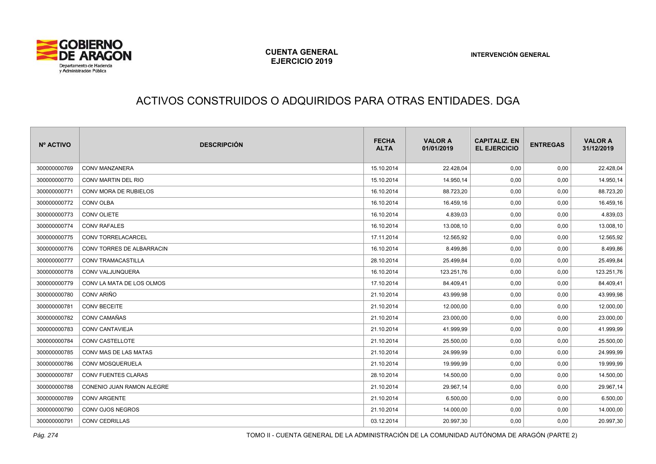

# ACTIVOS CONSTRUIDOS O ADQUIRIDOS PARA OTRAS ENTIDADES. DGA

| Nº ACTIVO    | <b>DESCRIPCIÓN</b>         | <b>FECHA</b><br><b>ALTA</b> | <b>VALOR A</b><br>01/01/2019 | <b>CAPITALIZ. EN</b><br><b>EL EJERCICIO</b> | <b>ENTREGAS</b> | <b>VALOR A</b><br>31/12/2019 |
|--------------|----------------------------|-----------------------------|------------------------------|---------------------------------------------|-----------------|------------------------------|
| 300000000769 | <b>CONV MANZANERA</b>      | 15.10.2014                  | 22.428,04                    | 0,00                                        | 0,00            | 22.428,04                    |
| 300000000770 | CONV MARTIN DEL RIO        | 15.10.2014                  | 14.950,14                    | 0,00                                        | 0,00            | 14.950,14                    |
| 300000000771 | CONV MORA DE RUBIELOS      | 16.10.2014                  | 88.723,20                    | 0,00                                        | 0,00            | 88.723,20                    |
| 300000000772 | CONV OLBA                  | 16.10.2014                  | 16.459,16                    | 0,00                                        | 0,00            | 16.459,16                    |
| 300000000773 | CONV OLIETE                | 16.10.2014                  | 4.839,03                     | 0,00                                        | 0,00            | 4.839,03                     |
| 300000000774 | <b>CONV RAFALES</b>        | 16.10.2014                  | 13.008,10                    | 0,00                                        | 0,00            | 13.008,10                    |
| 300000000775 | <b>CONV TORRELACARCEL</b>  | 17.11.2014                  | 12.565,92                    | 0,00                                        | 0,00            | 12.565,92                    |
| 300000000776 | CONVITORRES DE ALBARRACIN  | 16.10.2014                  | 8.499,86                     | 0,00                                        | 0,00            | 8.499,86                     |
| 300000000777 | <b>CONV TRAMACASTILLA</b>  | 28.10.2014                  | 25.499,84                    | 0,00                                        | 0,00            | 25.499,84                    |
| 300000000778 | CONV VALJUNQUERA           | 16.10.2014                  | 123.251,76                   | 0,00                                        | 0,00            | 123.251,76                   |
| 300000000779 | CONVILA MATA DE LOS OLMOS  | 17.10.2014                  | 84.409,41                    | 0,00                                        | 0,00            | 84.409,41                    |
| 300000000780 | CONV ARIÑO                 | 21.10.2014                  | 43.999,98                    | 0,00                                        | 0,00            | 43.999,98                    |
| 300000000781 | <b>CONV BECEITE</b>        | 21.10.2014                  | 12.000,00                    | 0,00                                        | 0,00            | 12.000,00                    |
| 300000000782 | CONV CAMAÑAS               | 21.10.2014                  | 23.000,00                    | 0,00                                        | 0,00            | 23.000,00                    |
| 300000000783 | <b>CONV CANTAVIEJA</b>     | 21.10.2014                  | 41.999,99                    | 0,00                                        | 0,00            | 41.999,99                    |
| 300000000784 | CONV CASTELLOTE            | 21.10.2014                  | 25.500,00                    | 0,00                                        | 0,00            | 25.500,00                    |
| 300000000785 | CONV MAS DE LAS MATAS      | 21.10.2014                  | 24.999,99                    | 0,00                                        | 0,00            | 24.999,99                    |
| 300000000786 | <b>CONV MOSQUERUELA</b>    | 21.10.2014                  | 19.999,99                    | 0,00                                        | 0,00            | 19.999,99                    |
| 300000000787 | <b>CONV FUENTES CLARAS</b> | 28.10.2014                  | 14.500,00                    | 0,00                                        | 0,00            | 14.500,00                    |
| 300000000788 | CONENIO JUAN RAMON ALEGRE  | 21.10.2014                  | 29.967,14                    | 0,00                                        | 0,00            | 29.967,14                    |
| 300000000789 | <b>CONV ARGENTE</b>        | 21.10.2014                  | 6.500,00                     | 0,00                                        | 0,00            | 6.500,00                     |
| 300000000790 | CONV OJOS NEGROS           | 21.10.2014                  | 14.000,00                    | 0,00                                        | 0,00            | 14.000,00                    |
| 300000000791 | <b>CONV CEDRILLAS</b>      | 03.12.2014                  | 20.997,30                    | 0,00                                        | 0,00            | 20.997,30                    |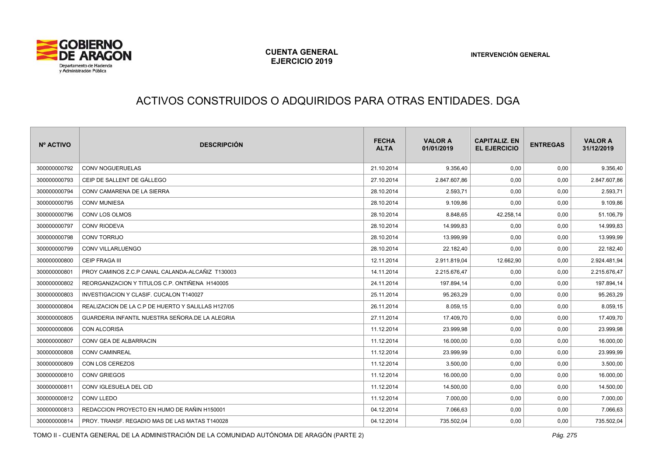

# ACTIVOS CONSTRUIDOS O ADQUIRIDOS PARA OTRAS ENTIDADES. DGA

| Nº ACTIVO    | <b>DESCRIPCIÓN</b>                                 | <b>FECHA</b><br><b>ALTA</b> | <b>VALOR A</b><br>01/01/2019 | <b>CAPITALIZ, EN</b><br><b>EL EJERCICIO</b> | <b>ENTREGAS</b> | <b>VALOR A</b><br>31/12/2019 |
|--------------|----------------------------------------------------|-----------------------------|------------------------------|---------------------------------------------|-----------------|------------------------------|
| 300000000792 | CONV NOGUERUELAS                                   | 21.10.2014                  | 9.356,40                     | 0,00                                        | 0,00            | 9.356,40                     |
| 300000000793 | CEIP DE SALLENT DE GÁLLEGO                         | 27.10.2014                  | 2.847.607,86                 | 0,00                                        | 0,00            | 2.847.607,86                 |
| 300000000794 | CONV CAMARENA DE LA SIERRA                         | 28.10.2014                  | 2.593,71                     | 0,00                                        | 0,00            | 2.593,71                     |
| 300000000795 | <b>CONV MUNIESA</b>                                | 28.10.2014                  | 9.109,86                     | 0,00                                        | 0,00            | 9.109,86                     |
| 300000000796 | CONV LOS OLMOS                                     | 28.10.2014                  | 8.848,65                     | 42.258,14                                   | 0,00            | 51.106,79                    |
| 300000000797 | <b>CONV RIODEVA</b>                                | 28.10.2014                  | 14.999,83                    | 0,00                                        | 0,00            | 14.999,83                    |
| 300000000798 | <b>CONV TORRIJO</b>                                | 28.10.2014                  | 13.999,99                    | 0,00                                        | 0,00            | 13.999,99                    |
| 300000000799 | CONV VILLARLUENGO                                  | 28.10.2014                  | 22.182,40                    | 0,00                                        | 0,00            | 22.182,40                    |
| 300000000800 | <b>CEIP FRAGA III</b>                              | 12.11.2014                  | 2.911.819,04                 | 12.662,90                                   | 0,00            | 2.924.481,94                 |
| 300000000801 | PROY CAMINOS Z.C.P CANAL CALANDA-ALCAÑIZ T130003   | 14.11.2014                  | 2.215.676,47                 | 0,00                                        | 0,00            | 2.215.676,47                 |
| 300000000802 | REORGANIZACION Y TITULOS C.P. ONTIÑENA H140005     | 24.11.2014                  | 197.894,14                   | 0,00                                        | 0,00            | 197.894,14                   |
| 300000000803 | <b>INVESTIGACION Y CLASIF, CUCALON T140027</b>     | 25.11.2014                  | 95.263,29                    | 0,00                                        | 0,00            | 95.263,29                    |
| 300000000804 | REALIZACION DE LA C.P DE HUERTO Y SALILLAS H127/05 | 26.11.2014                  | 8.059,15                     | 0,00                                        | 0,00            | 8.059,15                     |
| 300000000805 | GUARDERIA INFANTIL NUESTRA SEÑORA.DE LA ALEGRIA    | 27.11.2014                  | 17.409,70                    | 0,00                                        | 0,00            | 17.409,70                    |
| 300000000806 | CON ALCORISA                                       | 11.12.2014                  | 23.999,98                    | 0,00                                        | 0,00            | 23.999,98                    |
| 300000000807 | CONV GEA DE ALBARRACIN                             | 11.12.2014                  | 16.000,00                    | 0,00                                        | 0,00            | 16.000,00                    |
| 300000000808 | <b>CONV CAMINREAL</b>                              | 11.12.2014                  | 23.999,99                    | 0,00                                        | 0,00            | 23.999,99                    |
| 300000000809 | CON LOS CEREZOS                                    | 11.12.2014                  | 3.500,00                     | 0,00                                        | 0,00            | 3.500,00                     |
| 300000000810 | <b>CONV GRIEGOS</b>                                | 11.12.2014                  | 16.000,00                    | 0,00                                        | 0,00            | 16.000,00                    |
| 300000000811 | CONV IGLESUELA DEL CID                             | 11.12.2014                  | 14.500,00                    | 0,00                                        | 0,00            | 14.500,00                    |
| 300000000812 | CONV LLEDO                                         | 11.12.2014                  | 7.000,00                     | 0,00                                        | 0,00            | 7.000,00                     |
| 300000000813 | REDACCION PROYECTO EN HUMO DE RAÑIN H150001        | 04.12.2014                  | 7.066,63                     | 0,00                                        | 0,00            | 7.066,63                     |
| 300000000814 | PROY. TRANSF. REGADIO MAS DE LAS MATAS T140028     | 04.12.2014                  | 735.502,04                   | 0,00                                        | 0,00            | 735.502,04                   |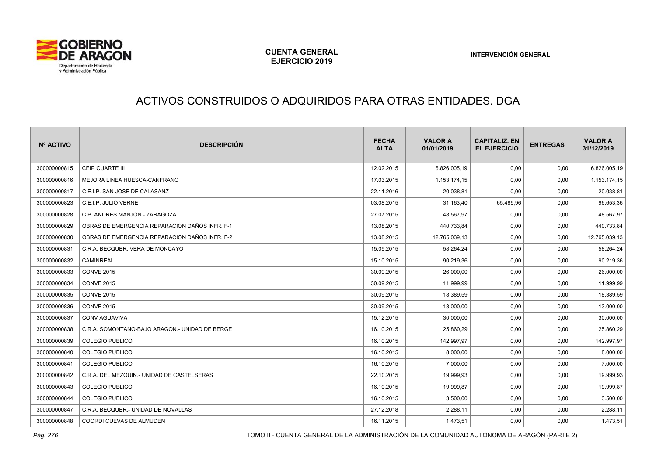

# ACTIVOS CONSTRUIDOS O ADQUIRIDOS PARA OTRAS ENTIDADES. DGA

| Nº ACTIVO    | <b>DESCRIPCIÓN</b>                             | <b>FECHA</b><br><b>ALTA</b> | <b>VALOR A</b><br>01/01/2019 | <b>CAPITALIZ, EN</b><br><b>EL EJERCICIO</b> | <b>ENTREGAS</b> | <b>VALOR A</b><br>31/12/2019 |
|--------------|------------------------------------------------|-----------------------------|------------------------------|---------------------------------------------|-----------------|------------------------------|
| 300000000815 | CEIP CUARTE III                                | 12.02.2015                  | 6.826.005,19                 | 0,00                                        | 0,00            | 6.826.005,19                 |
| 300000000816 | MEJORA LINEA HUESCA-CANFRANC                   | 17.03.2015                  | 1.153.174,15                 | 0,00                                        | 0,00            | 1.153.174,15                 |
| 300000000817 | C.E.I.P. SAN JOSE DE CALASANZ                  | 22.11.2016                  | 20.038,81                    | 0,00                                        | 0,00            | 20.038,81                    |
| 300000000823 | C.E.I.P. JULIO VERNE                           | 03.08.2015                  | 31.163,40                    | 65.489,96                                   | 0,00            | 96.653,36                    |
| 300000000828 | C.P. ANDRES MANJON - ZARAGOZA                  | 27.07.2015                  | 48.567,97                    | 0,00                                        | 0,00            | 48.567,97                    |
| 300000000829 | OBRAS DE EMERGENCIA REPARACION DAÑOS INFR. F-1 | 13.08.2015                  | 440.733,84                   | 0,00                                        | 0,00            | 440.733,84                   |
| 300000000830 | OBRAS DE EMERGENCIA REPARACION DAÑOS INFR. F-2 | 13.08.2015                  | 12.765.039,13                | 0,00                                        | 0,00            | 12.765.039,13                |
| 300000000831 | C.R.A. BECQUER, VERA DE MONCAYO                | 15.09.2015                  | 58.264,24                    | 0,00                                        | 0,00            | 58.264,24                    |
| 300000000832 | CAMINREAL                                      | 15.10.2015                  | 90.219,36                    | 0,00                                        | 0,00            | 90.219,36                    |
| 300000000833 | <b>CONVE 2015</b>                              | 30.09.2015                  | 26.000,00                    | 0,00                                        | 0,00            | 26.000,00                    |
| 300000000834 | <b>CONVE 2015</b>                              | 30.09.2015                  | 11.999,99                    | 0,00                                        | 0,00            | 11.999,99                    |
| 300000000835 | <b>CONVE 2015</b>                              | 30.09.2015                  | 18.389,59                    | 0,00                                        | 0,00            | 18.389,59                    |
| 300000000836 | <b>CONVE 2015</b>                              | 30.09.2015                  | 13.000,00                    | 0,00                                        | 0,00            | 13.000,00                    |
| 300000000837 | <b>CONV AGUAVIVA</b>                           | 15.12.2015                  | 30.000,00                    | 0,00                                        | 0,00            | 30.000,00                    |
| 300000000838 | C.R.A. SOMONTANO-BAJO ARAGON.- UNIDAD DE BERGE | 16.10.2015                  | 25.860,29                    | 0,00                                        | 0,00            | 25.860,29                    |
| 300000000839 | <b>COLEGIO PUBLICO</b>                         | 16.10.2015                  | 142.997,97                   | 0,00                                        | 0,00            | 142.997,97                   |
| 300000000840 | <b>COLEGIO PUBLICO</b>                         | 16.10.2015                  | 8.000,00                     | 0,00                                        | 0,00            | 8.000,00                     |
| 300000000841 | <b>COLEGIO PUBLICO</b>                         | 16.10.2015                  | 7.000,00                     | 0,00                                        | 0,00            | 7.000,00                     |
| 300000000842 | C.R.A. DEL MEZQUIN.- UNIDAD DE CASTELSERAS     | 22.10.2015                  | 19.999,93                    | 0,00                                        | 0,00            | 19.999,93                    |
| 300000000843 | <b>COLEGIO PUBLICO</b>                         | 16.10.2015                  | 19.999,87                    | 0,00                                        | 0,00            | 19.999,87                    |
| 300000000844 | <b>COLEGIO PUBLICO</b>                         | 16.10.2015                  | 3.500,00                     | 0,00                                        | 0,00            | 3.500,00                     |
| 300000000847 | C.R.A. BECQUER.- UNIDAD DE NOVALLAS            | 27.12.2018                  | 2.288,11                     | 0,00                                        | 0,00            | 2.288,11                     |
| 300000000848 | COORDI CUEVAS DE ALMUDEN                       | 16.11.2015                  | 1.473,51                     | 0,00                                        | 0,00            | 1.473,51                     |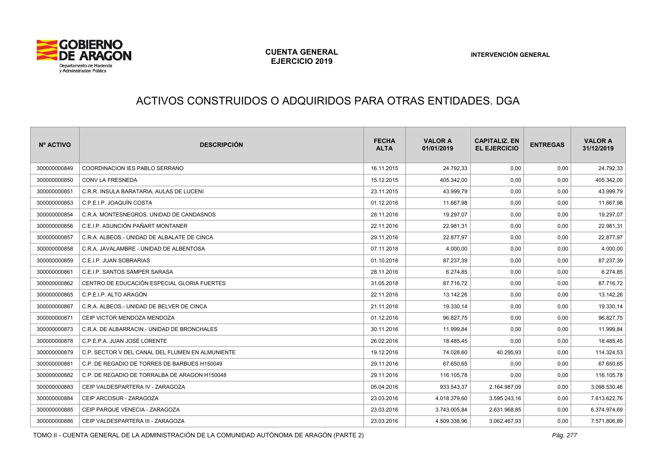

#### ACTIVOS CONSTRUIDOS O ADQUIRIDOS PARA OTRAS ENTIDADES. DGA

| Nº ACTIVO    | <b>DESCRIPCIÓN</b>                               | <b>FECHA</b><br><b>ALTA</b> | <b>VALOR A</b><br>01/01/2019 | <b>CAPITALIZ, EN</b><br><b>EL EJERCICIO</b> | <b>ENTREGAS</b> | <b>VALOR A</b><br>31/12/2019 |
|--------------|--------------------------------------------------|-----------------------------|------------------------------|---------------------------------------------|-----------------|------------------------------|
| 300000000849 | COORDINACION IES PABLO SERRANO                   | 16.11.2015                  | 24.792,33                    | 0,00                                        | 0,00            | 24.792,33                    |
| 300000000850 | <b>CONV LA FRESNEDA</b>                          | 15.12.2015                  | 405.342,00                   | 0,00                                        | 0,00            | 405.342,00                   |
| 300000000851 | C.R.R. INSULA BARATARIA. AULAS DE LUCENI         | 23.11.2015                  | 43.999,79                    | 0,00                                        | 0,00            | 43.999,79                    |
| 300000000853 | C.P.E.I.P. JOAQUÍN COSTA                         | 01.12.2016                  | 11.667,98                    | 0,00                                        | 0,00            | 11.667,98                    |
| 300000000854 | C.R.A. MONTESNEGROS, UNIDAD DE CANDASNOS         | 28.11.2016                  | 19.297,07                    | 0,00                                        | 0,00            | 19.297,07                    |
| 300000000856 | C.E.I.P. ASUNCIÓN PAÑART MONTANER                | 22.11.2016                  | 22.981,31                    | 0,00                                        | 0,00            | 22.981,31                    |
| 300000000857 | C.R.A. ALBEOS.- UNIDAD DE ALBALATE DE CINCA      | 29.11.2016                  | 22.877,97                    | 0,00                                        | 0,00            | 22.877,97                    |
| 300000000858 | C.R.A. JAVALAMBRE - UNIDAD DE ALBENTOSA          | 07.11.2018                  | 4.000,00                     | 0,00                                        | 0,00            | 4.000,00                     |
| 300000000859 | C.E.I.P. JUAN SOBRARIAS                          | 01.10.2018                  | 87.237,39                    | 0,00                                        | 0,00            | 87.237,39                    |
| 300000000861 | C.E.I.P. SANTOS SAMPER SARASA                    | 28.11.2016                  | 6.274,85                     | 0,00                                        | 0,00            | 6.274,85                     |
| 300000000862 | CENTRO DE EDUCACIÓN ESPECIAL GLORIA FUERTES      | 31.05.2018                  | 87.716.72                    | 0,00                                        | 0,00            | 87.716,72                    |
| 300000000865 | C.P.E.I.P. ALTO ARAGÓN                           | 22.11.2016                  | 13.142,26                    | 0,00                                        | 0,00            | 13.142,26                    |
| 300000000867 | C.R.A. ALBEOS.- UNIDAD DE BELVER DE CINCA        | 21.11.2016                  | 19.330,14                    | 0,00                                        | 0,00            | 19.330,14                    |
| 300000000871 | CEIP VICTOR MENDOZA MENDOZA                      | 01.12.2016                  | 96.827,75                    | 0,00                                        | 0,00            | 96.827,75                    |
| 300000000873 | C.R.A. DE ALBARRACIN.- UNIDAD DE BRONCHALES      | 30.11.2016                  | 11.999,84                    | 0,00                                        | 0,00            | 11.999,84                    |
| 300000000878 | C.P.E.P.A. JUAN JOSÉ LORENTE                     | 26.02.2016                  | 18.485,45                    | 0,00                                        | 0,00            | 18.485,45                    |
| 300000000879 | C.P. SECTOR V DEL CANAL DEL FLUMEN EN ALMUNIENTE | 19.12.2016                  | 74.028,60                    | 40.295,93                                   | 0,00            | 114.324,53                   |
| 300000000881 | C.P. DE REGADIO DE TORRES DE BARBUES H150049     | 29.11.2016                  | 67.650,65                    | 0,00                                        | 0,00            | 67.650,65                    |
| 300000000882 | C.P. DE REGADIO DE TORRALBA DE ARAGON H150048    | 29.11.2016                  | 116.105,78                   | 0,00                                        | 0,00            | 116.105,78                   |
| 300000000883 | CEIP VALDESPARTERA IV - ZARAGOZA                 | 05.04.2016                  | 933.543,37                   | 2.164.987,09                                | 0,00            | 3.098.530,46                 |
| 300000000884 | CEIP ARCOSUR - ZARAGOZA                          | 23.03.2016                  | 4.018.379.60                 | 3.595.243,16                                | 0.00            | 7.613.622,76                 |
| 300000000885 | CEIP PAROUE VENECIA - ZARAGOZA                   | 23.03.2016                  | 3.743.005,84                 | 2.631.968,85                                | 0,00            | 6.374.974,69                 |
| 300000000886 | CEIP VALDESPARTERA III - ZARAGOZA                | 23.03.2016                  | 4.509.338,96                 | 3.062.467,93                                | 0,00            | 7.571.806,89                 |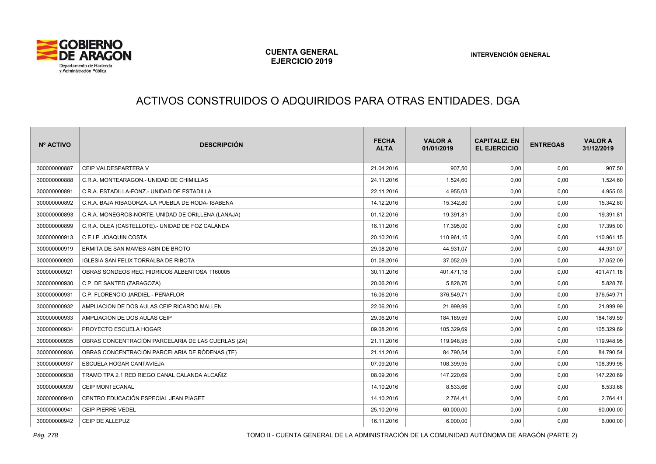

# ACTIVOS CONSTRUIDOS O ADQUIRIDOS PARA OTRAS ENTIDADES. DGA

| Nº ACTIVO    | <b>DESCRIPCIÓN</b>                                 | <b>FECHA</b><br><b>ALTA</b> | <b>VALOR A</b><br>01/01/2019 | <b>CAPITALIZ, EN</b><br><b>EL EJERCICIO</b> | <b>ENTREGAS</b> | <b>VALOR A</b><br>31/12/2019 |
|--------------|----------------------------------------------------|-----------------------------|------------------------------|---------------------------------------------|-----------------|------------------------------|
| 300000000887 | CEIP VALDESPARTERA V                               | 21.04.2016                  | 907.50                       | 0,00                                        | 0,00            | 907,50                       |
| 300000000888 | C.R.A. MONTEARAGON.- UNIDAD DE CHIMILLAS           | 24.11.2016                  | 1.524,60                     | 0,00                                        | 0,00            | 1.524,60                     |
| 300000000891 | C.R.A. ESTADILLA-FONZ.- UNIDAD DE ESTADILLA        | 22.11.2016                  | 4.955,03                     | 0,00                                        | 0,00            | 4.955,03                     |
| 300000000892 | C.R.A. BAJA RIBAGORZA.-LA PUEBLA DE RODA- ISABENA  | 14.12.2016                  | 15.342,80                    | 0,00                                        | 0,00            | 15.342,80                    |
| 300000000893 | C.R.A. MONEGROS-NORTE. UNIDAD DE ORILLENA (LANAJA) | 01.12.2016                  | 19.391,81                    | 0,00                                        | 0,00            | 19.391,81                    |
| 300000000899 | C.R.A. OLEA (CASTELLOTE).- UNIDAD DE FOZ CALANDA   | 16.11.2016                  | 17.395,00                    | 0,00                                        | 0,00            | 17.395,00                    |
| 300000000913 | C.E.I.P. JOAQUIN COSTA                             | 20.10.2016                  | 110.961,15                   | 0,00                                        | 0,00            | 110.961,15                   |
| 300000000919 | ERMITA DE SAN MAMES ASIN DE BROTO                  | 29.08.2016                  | 44.931,07                    | 0,00                                        | 0,00            | 44.931,07                    |
| 300000000920 | <b>IGLESIA SAN FELIX TORRALBA DE RIBOTA</b>        | 01.08.2016                  | 37.052,09                    | 0,00                                        | 0,00            | 37.052,09                    |
| 300000000921 | OBRAS SONDEOS REC. HIDRICOS ALBENTOSA T160005      | 30.11.2016                  | 401.471,18                   | 0,00                                        | 0,00            | 401.471,18                   |
| 300000000930 | C.P. DE SANTED (ZARAGOZA)                          | 20.06.2016                  | 5.828,76                     | 0,00                                        | 0,00            | 5.828,76                     |
| 300000000931 | C.P. FLORENCIO JARDIEL - PEÑAFLOR                  | 16.06.2016                  | 376.549,71                   | 0,00                                        | 0,00            | 376.549,71                   |
| 300000000932 | AMPLIACION DE DOS AULAS CEIP RICARDO MALLEN        | 22.06.2016                  | 21.999,99                    | 0,00                                        | 0,00            | 21.999,99                    |
| 300000000933 | AMPLIACION DE DOS AULAS CEIP                       | 29.06.2016                  | 184.189.59                   | 0,00                                        | 0,00            | 184.189,59                   |
| 300000000934 | PROYECTO ESCUELA HOGAR                             | 09.08.2016                  | 105.329,69                   | 0,00                                        | 0,00            | 105.329,69                   |
| 300000000935 | OBRAS CONCENTRACIÓN PARCELARIA DE LAS CUERLAS (ZA) | 21.11.2016                  | 119.948,95                   | 0,00                                        | 0,00            | 119.948,95                   |
| 300000000936 | OBRAS CONCENTRACIÓN PARCELARIA DE RÓDENAS (TE)     | 21.11.2016                  | 84.790,54                    | 0,00                                        | 0,00            | 84.790,54                    |
| 300000000937 | <b>ESCUELA HOGAR CANTAVIEJA</b>                    | 07.09.2016                  | 108.399,95                   | 0,00                                        | 0,00            | 108.399,95                   |
| 300000000938 | TRAMO TPA 2.1 RED RIEGO CANAL CALANDA ALCAÑIZ      | 08.09.2016                  | 147.220,69                   | 0,00                                        | 0,00            | 147.220,69                   |
| 300000000939 | CEIP MONTECANAL                                    | 14.10.2016                  | 8.533,66                     | 0,00                                        | 0,00            | 8.533,66                     |
| 300000000940 | CENTRO EDUCACIÓN ESPECIAL JEAN PIAGET              | 14.10.2016                  | 2.764,41                     | 0,00                                        | 0,00            | 2.764,41                     |
| 300000000941 | CEIP PIERRE VEDEL                                  | 25.10.2016                  | 60.000,00                    | 0,00                                        | 0,00            | 60.000,00                    |
| 300000000942 | CEIP DE ALLEPUZ                                    | 16.11.2016                  | 6.000,00                     | 0,00                                        | 0,00            | 6.000,00                     |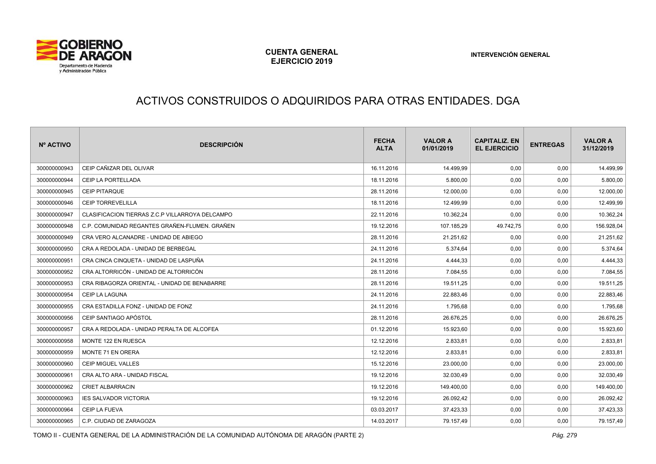

# ACTIVOS CONSTRUIDOS O ADQUIRIDOS PARA OTRAS ENTIDADES. DGA

| Nº ACTIVO    | <b>DESCRIPCIÓN</b>                              | <b>FECHA</b><br><b>ALTA</b> | <b>VALOR A</b><br>01/01/2019 | <b>CAPITALIZ, EN</b><br><b>EL EJERCICIO</b> | <b>ENTREGAS</b> | <b>VALOR A</b><br>31/12/2019 |
|--------------|-------------------------------------------------|-----------------------------|------------------------------|---------------------------------------------|-----------------|------------------------------|
| 300000000943 | CEIP CAÑIZAR DEL OLIVAR                         | 16.11.2016                  | 14.499,99                    | 0,00                                        | 0,00            | 14.499,99                    |
| 300000000944 | CEIP LA PORTELLADA                              | 18.11.2016                  | 5.800,00                     | 0,00                                        | 0,00            | 5.800,00                     |
| 300000000945 | CEIP PITARQUE                                   | 28.11.2016                  | 12.000,00                    | 0,00                                        | 0,00            | 12.000,00                    |
| 300000000946 | <b>CEIP TORREVELILLA</b>                        | 18.11.2016                  | 12.499,99                    | 0,00                                        | 0,00            | 12.499,99                    |
| 300000000947 | CLASIFICACION TIERRAS Z.C.P VILLARROYA DELCAMPO | 22.11.2016                  | 10.362,24                    | 0,00                                        | 0,00            | 10.362,24                    |
| 300000000948 | C.P. COMUNIDAD REGANTES GRAÑEN-FLUMEN. GRAÑEN   | 19.12.2016                  | 107.185,29                   | 49.742,75                                   | 0,00            | 156.928,04                   |
| 300000000949 | CRA VERO ALCANADRE - UNIDAD DE ABIEGO           | 28.11.2016                  | 21.251,62                    | 0,00                                        | 0,00            | 21.251,62                    |
| 300000000950 | CRA A REDOLADA - UNIDAD DE BERBEGAL             | 24.11.2016                  | 5.374,64                     | 0,00                                        | 0,00            | 5.374,64                     |
| 300000000951 | CRA CINCA CINQUETA - UNIDAD DE LASPUÑA          | 24.11.2016                  | 4.444,33                     | 0,00                                        | 0,00            | 4.444,33                     |
| 300000000952 | CRA ALTORRICÓN - UNIDAD DE ALTORRICÓN           | 28.11.2016                  | 7.084,55                     | 0,00                                        | 0,00            | 7.084,55                     |
| 300000000953 | CRA RIBAGORZA ORIENTAL - UNIDAD DE BENABARRE    | 28.11.2016                  | 19.511,25                    | 0,00                                        | 0,00            | 19.511,25                    |
| 300000000954 | CEIP LA LAGUNA                                  | 24.11.2016                  | 22.883,46                    | 0,00                                        | 0,00            | 22.883,46                    |
| 300000000955 | CRA ESTADILLA FONZ - UNIDAD DE FONZ             | 24.11.2016                  | 1.795,68                     | 0,00                                        | 0,00            | 1.795,68                     |
| 300000000956 | CEIP SANTIAGO APÓSTOL                           | 28.11.2016                  | 26.676.25                    | 0,00                                        | 0,00            | 26.676,25                    |
| 300000000957 | CRA A REDOLADA - UNIDAD PERALTA DE ALCOFEA      | 01.12.2016                  | 15.923,60                    | 0,00                                        | 0,00            | 15.923,60                    |
| 300000000958 | MONTE 122 EN RUESCA                             | 12.12.2016                  | 2.833,81                     | 0,00                                        | 0,00            | 2.833,81                     |
| 300000000959 | <b>MONTE 71 EN ORERA</b>                        | 12.12.2016                  | 2.833,81                     | 0,00                                        | 0,00            | 2.833,81                     |
| 300000000960 | <b>CEIP MIGUEL VALLES</b>                       | 15.12.2016                  | 23.000,00                    | 0,00                                        | 0,00            | 23.000,00                    |
| 300000000961 | CRA ALTO ARA - UNIDAD FISCAL                    | 19.12.2016                  | 32.030,49                    | 0,00                                        | 0,00            | 32.030,49                    |
| 300000000962 | <b>CRIET ALBARRACIN</b>                         | 19.12.2016                  | 149.400,00                   | 0,00                                        | 0,00            | 149.400,00                   |
| 300000000963 | <b>IES SALVADOR VICTORIA</b>                    | 19.12.2016                  | 26.092,42                    | 0,00                                        | 0,00            | 26.092,42                    |
| 300000000964 | CEIP LA FUEVA                                   | 03.03.2017                  | 37.423,33                    | 0,00                                        | 0,00            | 37.423,33                    |
| 300000000965 | C.P. CIUDAD DE ZARAGOZA                         | 14.03.2017                  | 79.157,49                    | 0,00                                        | 0,00            | 79.157,49                    |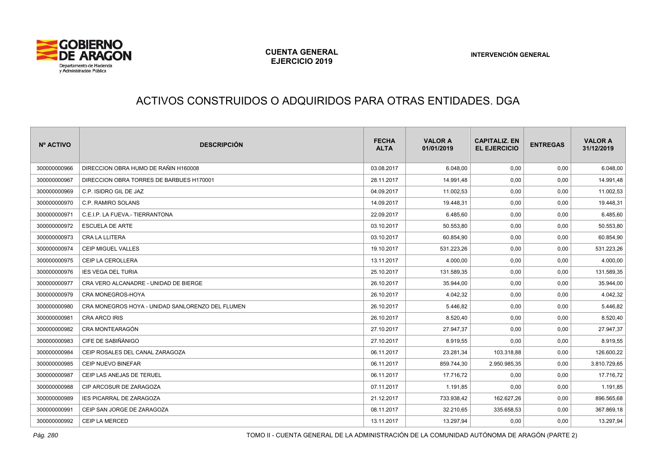

# ACTIVOS CONSTRUIDOS O ADQUIRIDOS PARA OTRAS ENTIDADES. DGA

| Nº ACTIVO    | <b>DESCRIPCIÓN</b>                               | <b>FECHA</b><br><b>ALTA</b> | <b>VALOR A</b><br>01/01/2019 | <b>CAPITALIZ. EN</b><br><b>EL EJERCICIO</b> | <b>ENTREGAS</b> | <b>VALOR A</b><br>31/12/2019 |
|--------------|--------------------------------------------------|-----------------------------|------------------------------|---------------------------------------------|-----------------|------------------------------|
| 300000000966 | DIRECCION OBRA HUMO DE RAÑIN H160008             | 03.08.2017                  | 6.048,00                     | 0,00                                        | 0,00            | 6.048,00                     |
| 300000000967 | DIRECCION OBRA TORRES DE BARBUES H170001         | 28.11.2017                  | 14.991,48                    | 0,00                                        | 0,00            | 14.991,48                    |
| 300000000969 | C.P. ISIDRO GIL DE JAZ                           | 04.09.2017                  | 11.002,53                    | 0,00                                        | 0,00            | 11.002,53                    |
| 300000000970 | C.P. RAMIRO SOLANS                               | 14.09.2017                  | 19.448,31                    | 0,00                                        | 0,00            | 19.448,31                    |
| 300000000971 | C.E.I.P. LA FUEVA.- TIERRANTONA                  | 22.09.2017                  | 6.485,60                     | 0,00                                        | 0,00            | 6.485,60                     |
| 300000000972 | <b>ESCUELA DE ARTE</b>                           | 03.10.2017                  | 50.553,80                    | 0,00                                        | 0,00            | 50.553,80                    |
| 300000000973 | CRA LA LLITERA                                   | 03.10.2017                  | 60.854,90                    | 0,00                                        | 0,00            | 60.854,90                    |
| 300000000974 | <b>CEIP MIGUEL VALLES</b>                        | 19.10.2017                  | 531.223,26                   | 0,00                                        | 0,00            | 531.223,26                   |
| 300000000975 | CEIP LA CEROLLERA                                | 13.11.2017                  | 4.000,00                     | 0,00                                        | 0,00            | 4.000,00                     |
| 300000000976 | <b>IES VEGA DEL TURIA</b>                        | 25.10.2017                  | 131.589,35                   | 0,00                                        | 0,00            | 131.589,35                   |
| 300000000977 | CRA VERO ALCANADRE - UNIDAD DE BIERGE            | 26.10.2017                  | 35.944,00                    | 0,00                                        | 0,00            | 35.944,00                    |
| 300000000979 | CRA MONEGROS-HOYA                                | 26.10.2017                  | 4.042,32                     | 0,00                                        | 0,00            | 4.042,32                     |
| 300000000980 | CRA MONEGROS HOYA - UNIDAD SANLORENZO DEL FLUMEN | 26.10.2017                  | 5.446.82                     | 0,00                                        | 0,00            | 5.446,82                     |
| 300000000981 | CRA ARCO IRIS                                    | 26.10.2017                  | 8.520,40                     | 0,00                                        | 0,00            | 8.520,40                     |
| 300000000982 | CRA MONTEARAGÓN                                  | 27.10.2017                  | 27.947,37                    | 0,00                                        | 0,00            | 27.947,37                    |
| 300000000983 | CIFE DE SABIÑÁNIGO                               | 27.10.2017                  | 8.919,55                     | 0,00                                        | 0,00            | 8.919,55                     |
| 300000000984 | CEIP ROSALES DEL CANAL ZARAGOZA                  | 06.11.2017                  | 23.281,34                    | 103.318,88                                  | 0,00            | 126.600,22                   |
| 300000000985 | <b>CEIP NUEVO BINEFAR</b>                        | 06.11.2017                  | 859.744,30                   | 2.950.985,35                                | 0,00            | 3.810.729,65                 |
| 300000000987 | CEIP LAS ANEJAS DE TERUEL                        | 06.11.2017                  | 17.716,72                    | 0,00                                        | 0,00            | 17.716,72                    |
| 300000000988 | CIP ARCOSUR DE ZARAGOZA                          | 07.11.2017                  | 1.191,85                     | 0,00                                        | 0,00            | 1.191,85                     |
| 300000000989 | <b>IES PICARRAL DE ZARAGOZA</b>                  | 21.12.2017                  | 733.938,42                   | 162.627,26                                  | 0,00            | 896.565,68                   |
| 300000000991 | CEIP SAN JORGE DE ZARAGOZA                       | 08.11.2017                  | 32.210,65                    | 335.658,53                                  | 0,00            | 367.869,18                   |
| 300000000992 | CEIP LA MERCED                                   | 13.11.2017                  | 13.297,94                    | 0,00                                        | 0,00            | 13.297,94                    |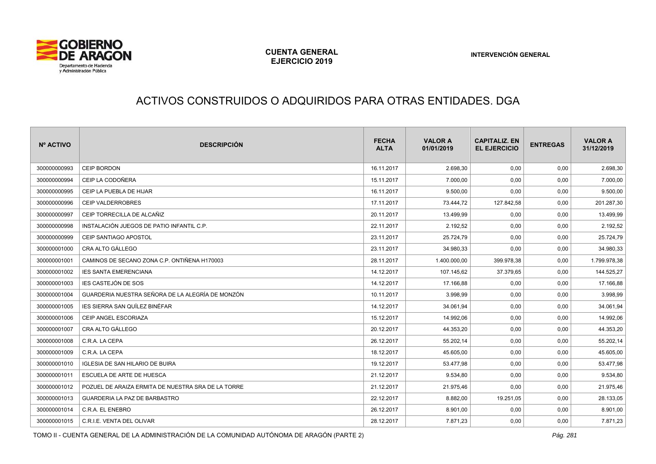

#### ACTIVOS CONSTRUIDOS O ADQUIRIDOS PARA OTRAS ENTIDADES. DGA

| Nº ACTIVO    | <b>DESCRIPCIÓN</b>                                 | <b>FECHA</b><br><b>ALTA</b> | <b>VALOR A</b><br>01/01/2019 | <b>CAPITALIZ. EN</b><br><b>EL EJERCICIO</b> | <b>ENTREGAS</b> | <b>VALOR A</b><br>31/12/2019 |
|--------------|----------------------------------------------------|-----------------------------|------------------------------|---------------------------------------------|-----------------|------------------------------|
| 300000000993 | <b>CEIP BORDON</b>                                 | 16.11.2017                  | 2.698,30                     | 0,00                                        | 0,00            | 2.698,30                     |
| 300000000994 | CEIP LA CODOÑERA                                   | 15.11.2017                  | 7.000,00                     | 0,00                                        | 0,00            | 7.000,00                     |
| 300000000995 | CEIP LA PUEBLA DE HIJAR                            | 16.11.2017                  | 9.500,00                     | 0,00                                        | 0,00            | 9.500,00                     |
| 300000000996 | CEIP VALDERROBRES                                  | 17.11.2017                  | 73.444,72                    | 127.842,58                                  | 0,00            | 201.287,30                   |
| 300000000997 | CEIP TORRECILLA DE ALCAÑIZ                         | 20.11.2017                  | 13.499,99                    | 0,00                                        | 0,00            | 13.499,99                    |
| 300000000998 | INSTALACIÓN JUEGOS DE PATIO INFANTIL C.P.          | 22.11.2017                  | 2.192,52                     | 0,00                                        | 0,00            | 2.192,52                     |
| 300000000999 | CEIP SANTIAGO APOSTOL                              | 23.11.2017                  | 25.724,79                    | 0,00                                        | 0,00            | 25.724,79                    |
| 300000001000 | CRA ALTO GÁLLEGO                                   | 23.11.2017                  | 34.980,33                    | 0,00                                        | 0,00            | 34.980,33                    |
| 300000001001 | CAMINOS DE SECANO ZONA C.P. ONTIÑENA H170003       | 28.11.2017                  | 1.400.000,00                 | 399.978,38                                  | 0,00            | 1.799.978,38                 |
| 300000001002 | <b>IES SANTA EMERENCIANA</b>                       | 14.12.2017                  | 107.145,62                   | 37.379,65                                   | 0,00            | 144.525,27                   |
| 300000001003 | <b>IES CASTEJÓN DE SOS</b>                         | 14.12.2017                  | 17.166,88                    | 0,00                                        | 0,00            | 17.166,88                    |
| 300000001004 | GUARDERIA NUESTRA SEÑORA DE LA ALEGRÍA DE MONZÓN   | 10.11.2017                  | 3.998,99                     | 0,00                                        | 0,00            | 3.998,99                     |
| 300000001005 | IES SIERRA SAN QUÍLEZ BINÉFAR                      | 14.12.2017                  | 34.061,94                    | 0,00                                        | 0,00            | 34.061,94                    |
| 300000001006 | CEIP ANGEL ESCORIAZA                               | 15.12.2017                  | 14.992,06                    | 0,00                                        | 0,00            | 14.992,06                    |
| 300000001007 | CRA ALTO GÁLLEGO                                   | 20.12.2017                  | 44.353,20                    | 0,00                                        | 0,00            | 44.353,20                    |
| 300000001008 | C.R.A. LA CEPA                                     | 26.12.2017                  | 55.202,14                    | 0,00                                        | 0,00            | 55.202,14                    |
| 300000001009 | C.R.A. LA CEPA                                     | 18.12.2017                  | 45.605,00                    | 0,00                                        | 0,00            | 45.605,00                    |
| 300000001010 | IGLESIA DE SAN HILARIO DE BUIRA                    | 19.12.2017                  | 53.477,98                    | 0,00                                        | 0,00            | 53.477,98                    |
| 300000001011 | ESCUELA DE ARTE DE HUESCA                          | 21.12.2017                  | 9.534,80                     | 0,00                                        | 0,00            | 9.534,80                     |
| 300000001012 | POZUEL DE ARAIZA ERMITA DE NUESTRA SRA DE LA TORRE | 21.12.2017                  | 21.975,46                    | 0,00                                        | 0,00            | 21.975,46                    |
| 300000001013 | GUARDERIA LA PAZ DE BARBASTRO                      | 22.12.2017                  | 8.882,00                     | 19.251,05                                   | 0,00            | 28.133,05                    |
| 300000001014 | C.R.A. EL ENEBRO                                   | 26.12.2017                  | 8.901,00                     | 0,00                                        | 0,00            | 8.901,00                     |
| 300000001015 | C.R.I.E. VENTA DEL OLIVAR                          | 28.12.2017                  | 7.871,23                     | 0,00                                        | 0,00            | 7.871,23                     |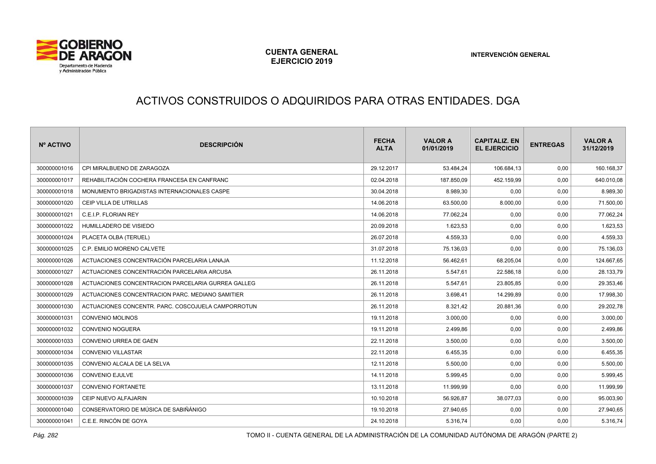

# ACTIVOS CONSTRUIDOS O ADQUIRIDOS PARA OTRAS ENTIDADES. DGA

| Nº ACTIVO    | <b>DESCRIPCIÓN</b>                                 | <b>FECHA</b><br><b>ALTA</b> | <b>VALOR A</b><br>01/01/2019 | <b>CAPITALIZ, EN</b><br><b>EL EJERCICIO</b> | <b>ENTREGAS</b> | <b>VALOR A</b><br>31/12/2019 |
|--------------|----------------------------------------------------|-----------------------------|------------------------------|---------------------------------------------|-----------------|------------------------------|
| 300000001016 | CPI MIRALBUENO DE ZARAGOZA                         | 29.12.2017                  | 53.484,24                    | 106.684,13                                  | 0,00            | 160.168,37                   |
| 300000001017 | REHABILITACIÓN COCHERA FRANCESA EN CANFRANC        | 02.04.2018                  | 187.850,09                   | 452.159,99                                  | 0,00            | 640.010,08                   |
| 300000001018 | MONUMENTO BRIGADISTAS INTERNACIONALES CASPE        | 30.04.2018                  | 8.989,30                     | 0,00                                        | 0,00            | 8.989,30                     |
| 300000001020 | CEIP VILLA DE UTRILLAS                             | 14.06.2018                  | 63.500,00                    | 8.000,00                                    | 0,00            | 71.500,00                    |
| 300000001021 | C.E.I.P. FLORIAN REY                               | 14.06.2018                  | 77.062,24                    | 0,00                                        | 0,00            | 77.062,24                    |
| 300000001022 | HUMILLADERO DE VISIEDO                             | 20.09.2018                  | 1.623,53                     | 0,00                                        | 0,00            | 1.623,53                     |
| 300000001024 | PLACETA OLBA (TERUEL)                              | 26.07.2018                  | 4.559,33                     | 0,00                                        | 0,00            | 4.559,33                     |
| 300000001025 | C.P. EMILIO MORENO CALVETE                         | 31.07.2018                  | 75.136,03                    | 0,00                                        | 0,00            | 75.136,03                    |
| 300000001026 | ACTUACIONES CONCENTRACIÓN PARCELARIA LANAJA        | 11.12.2018                  | 56.462,61                    | 68.205,04                                   | 0,00            | 124.667,65                   |
| 300000001027 | ACTUACIONES CONCENTRACIÓN PARCELARIA ARCUSA        | 26.11.2018                  | 5.547,61                     | 22.586,18                                   | 0,00            | 28.133,79                    |
| 300000001028 | ACTUACIONES CONCENTRACION PARCELARIA GURREA GALLEG | 26.11.2018                  | 5.547,61                     | 23.805,85                                   | 0,00            | 29.353,46                    |
| 300000001029 | ACTUACIONES CONCENTRACION PARC. MEDIANO SAMITIER   | 26.11.2018                  | 3.698,41                     | 14.299,89                                   | 0,00            | 17.998,30                    |
| 300000001030 | ACTUACIONES CONCENTR. PARC. COSCOJUELA CAMPORROTUN | 26.11.2018                  | 8.321,42                     | 20.881,36                                   | 0,00            | 29.202,78                    |
| 300000001031 | <b>CONVENIO MOLINOS</b>                            | 19.11.2018                  | 3.000,00                     | 0,00                                        | 0,00            | 3.000,00                     |
| 300000001032 | <b>CONVENIO NOGUERA</b>                            | 19.11.2018                  | 2.499,86                     | 0,00                                        | 0,00            | 2.499,86                     |
| 300000001033 | CONVENIO URREA DE GAEN                             | 22.11.2018                  | 3.500,00                     | 0,00                                        | 0,00            | 3.500,00                     |
| 300000001034 | CONVENIO VILLASTAR                                 | 22.11.2018                  | 6.455,35                     | 0,00                                        | 0,00            | 6.455,35                     |
| 300000001035 | CONVENIO ALCALA DE LA SELVA                        | 12.11.2018                  | 5.500,00                     | 0,00                                        | 0,00            | 5.500,00                     |
| 300000001036 | <b>CONVENIO EJULVE</b>                             | 14.11.2018                  | 5.999,45                     | 0,00                                        | 0,00            | 5.999,45                     |
| 300000001037 | <b>CONVENIO FORTANETE</b>                          | 13.11.2018                  | 11.999,99                    | 0,00                                        | 0,00            | 11.999,99                    |
| 300000001039 | CEIP NUEVO ALFAJARIN                               | 10.10.2018                  | 56.926,87                    | 38.077,03                                   | 0,00            | 95.003,90                    |
| 300000001040 | CONSERVATORIO DE MÚSICA DE SABIÑÁNIGO              | 19.10.2018                  | 27.940,65                    | 0,00                                        | 0,00            | 27.940,65                    |
| 300000001041 | C.E.E. RINCÓN DE GOYA                              | 24.10.2018                  | 5.316,74                     | 0,00                                        | 0,00            | 5.316,74                     |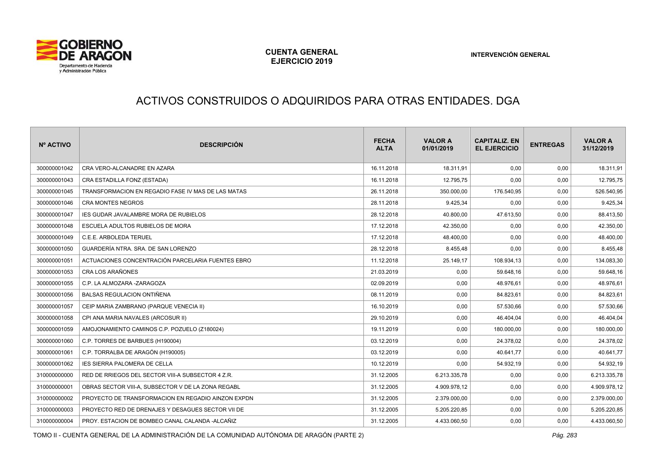

# ACTIVOS CONSTRUIDOS O ADQUIRIDOS PARA OTRAS ENTIDADES. DGA

| Nº ACTIVO    | <b>DESCRIPCIÓN</b>                                 | <b>FECHA</b><br><b>ALTA</b> | <b>VALOR A</b><br>01/01/2019 | <b>CAPITALIZ. EN</b><br><b>EL EJERCICIO</b> | <b>ENTREGAS</b> | <b>VALOR A</b><br>31/12/2019 |
|--------------|----------------------------------------------------|-----------------------------|------------------------------|---------------------------------------------|-----------------|------------------------------|
| 300000001042 | CRA VERO-ALCANADRE EN AZARA                        | 16.11.2018                  | 18.311,91                    | 0,00                                        | 0,00            | 18.311,91                    |
| 300000001043 | CRA ESTADILLA FONZ (ESTADA)                        | 16.11.2018                  | 12.795,75                    | 0,00                                        | 0,00            | 12.795,75                    |
| 300000001045 | TRANSFORMACION EN REGADIO FASE IV MAS DE LAS MATAS | 26.11.2018                  | 350.000,00                   | 176.540,95                                  | 0,00            | 526.540,95                   |
| 300000001046 | <b>CRA MONTES NEGROS</b>                           | 28.11.2018                  | 9.425,34                     | 0,00                                        | 0,00            | 9.425,34                     |
| 300000001047 | <b>IES GUDAR JAVALAMBRE MORA DE RUBIELOS</b>       | 28.12.2018                  | 40.800,00                    | 47.613,50                                   | 0,00            | 88.413,50                    |
| 300000001048 | ESCUELA ADULTOS RUBIELOS DE MORA                   | 17.12.2018                  | 42.350,00                    | 0,00                                        | 0,00            | 42.350,00                    |
| 300000001049 | C.E.E. ARBOLEDA TERUEL                             | 17.12.2018                  | 48.400,00                    | 0,00                                        | 0,00            | 48.400,00                    |
| 300000001050 | GUARDERÍA NTRA. SRA. DE SAN LORENZO                | 28.12.2018                  | 8.455,48                     | 0,00                                        | 0,00            | 8.455,48                     |
| 300000001051 | ACTUACIONES CONCENTRACIÓN PARCELARIA FUENTES EBRO  | 11.12.2018                  | 25.149,17                    | 108.934,13                                  | 0,00            | 134.083,30                   |
| 300000001053 | <b>CRA LOS ARAÑONES</b>                            | 21.03.2019                  | 0,00                         | 59.648,16                                   | 0,00            | 59.648,16                    |
| 300000001055 | C.P. LA ALMOZARA -ZARAGOZA                         | 02.09.2019                  | 0,00                         | 48.976,61                                   | 0,00            | 48.976,61                    |
| 300000001056 | <b>BALSAS REGULACION ONTIÑENA</b>                  | 08.11.2019                  | 0,00                         | 84.823,61                                   | 0,00            | 84.823,61                    |
| 300000001057 | CEIP MARIA ZAMBRANO (PARQUE VENECIA II)            | 16.10.2019                  | 0,00                         | 57.530,66                                   | 0,00            | 57.530,66                    |
| 300000001058 | CPI ANA MARIA NAVALES (ARCOSUR II)                 | 29.10.2019                  | 0,00                         | 46.404,04                                   | 0,00            | 46.404,04                    |
| 300000001059 | AMOJONAMIENTO CAMINOS C.P. POZUELO (Z180024)       | 19.11.2019                  | 0,00                         | 180.000,00                                  | 0,00            | 180.000,00                   |
| 300000001060 | C.P. TORRES DE BARBUES (H190004)                   | 03.12.2019                  | 0,00                         | 24.378,02                                   | 0,00            | 24.378,02                    |
| 300000001061 | C.P. TORRALBA DE ARAGÓN (H190005)                  | 03.12.2019                  | 0,00                         | 40.641,77                                   | 0,00            | 40.641,77                    |
| 300000001062 | <b>IES SIERRA PALOMERA DE CELLA</b>                | 10.12.2019                  | 0,00                         | 54.932,19                                   | 0,00            | 54.932,19                    |
| 310000000000 | RED DE RRIEGOS DEL SECTOR VIII-A SUBSECTOR 4 Z.R.  | 31.12.2005                  | 6.213.335,78                 | 0,00                                        | 0,00            | 6.213.335,78                 |
| 310000000001 | OBRAS SECTOR VIII-A. SUBSECTOR V DE LA ZONA REGABL | 31.12.2005                  | 4.909.978,12                 | 0,00                                        | 0,00            | 4.909.978,12                 |
| 310000000002 | PROYECTO DE TRANSFORMACION EN REGADIO AINZON EXPDN | 31.12.2005                  | 2.379.000,00                 | 0,00                                        | 0,00            | 2.379.000,00                 |
| 310000000003 | PROYECTO RED DE DRENAJES Y DESAGUES SECTOR VII DE  | 31.12.2005                  | 5.205.220,85                 | 0,00                                        | 0,00            | 5.205.220,85                 |
| 310000000004 | PROY. ESTACION DE BOMBEO CANAL CALANDA -ALCAÑIZ    | 31.12.2005                  | 4.433.060,50                 | 0,00                                        | 0,00            | 4.433.060,50                 |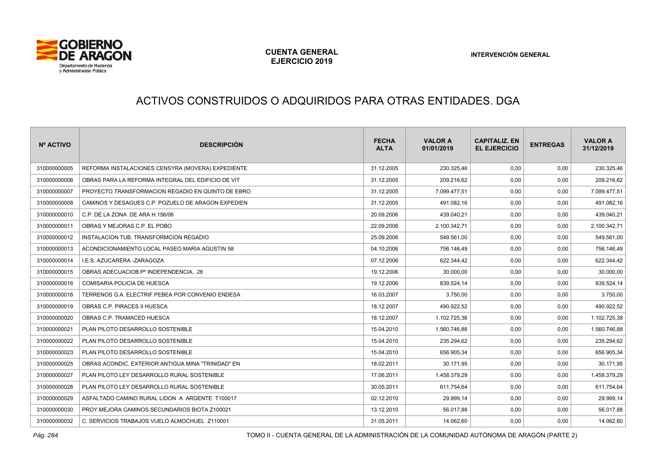

# ACTIVOS CONSTRUIDOS O ADQUIRIDOS PARA OTRAS ENTIDADES. DGA

| Nº ACTIVO    | <b>DESCRIPCIÓN</b>                                 | <b>FECHA</b><br><b>ALTA</b> | <b>VALOR A</b><br>01/01/2019 | <b>CAPITALIZ. EN</b><br><b>EL EJERCICIO</b> | <b>ENTREGAS</b> | <b>VALOR A</b><br>31/12/2019 |
|--------------|----------------------------------------------------|-----------------------------|------------------------------|---------------------------------------------|-----------------|------------------------------|
| 310000000005 | REFORMA INSTALACIONES CENSYRA (MOVERA) EXPEDIENTE  | 31.12.2005                  | 230.325,46                   | 0,00                                        | 0,00            | 230.325,46                   |
| 310000000006 | OBRAS PARA LA REFORMA INTEGRAL DEL EDIFICIO DE VIT | 31.12.2005                  | 209.216,62                   | 0,00                                        | 0,00            | 209.216,62                   |
| 310000000007 | PROYECTO TRANSFORMACION REGADIO EN QUINTO DE EBRO  | 31.12.2005                  | 7.099.477.51                 | 0,00                                        | 0,00            | 7.099.477,51                 |
| 310000000008 | CAMINOS Y DESAGUES C.P. POZUELO DE ARAGON EXPEDIEN | 31.12.2005                  | 491.082,16                   | 0,00                                        | 0,00            | 491.082,16                   |
| 310000000010 | C.P. DE LA ZONA DE ARA H.156/06                    | 20.09.2006                  | 439.040,21                   | 0,00                                        | 0,00            | 439.040,21                   |
| 310000000011 | OBRAS Y MEJORAS C.P. EL POBO                       | 22.09.2006                  | 2.100.342,71                 | 0,00                                        | 0,00            | 2.100.342,71                 |
| 310000000012 | INSTALACION TUB. TRANSFORMCION REGADIO             | 25.09.2006                  | 549.561,00                   | 0,00                                        | 0,00            | 549.561,00                   |
| 310000000013 | ACONDICIONAMIENTO LOCAL PASEO MARIA AGUSTIN 58     | 04.10.2006                  | 756.146,49                   | 0,00                                        | 0,00            | 756.146,49                   |
| 310000000014 | I.E.S. AZUCARERA -ZARAGOZA                         | 07.12.2006                  | 622.344,42                   | 0,00                                        | 0,00            | 622.344,42                   |
| 310000000015 | OBRAS ADECUACIOB Pº INDEPENDENCIA. 28              | 19.12.2006                  | 30.000,00                    | 0,00                                        | 0,00            | 30.000,00                    |
| 310000000016 | COMISARIA POLICIA DE HUESCA                        | 19.12.2006                  | 839.524,14                   | 0,00                                        | 0,00            | 839.524,14                   |
| 310000000018 | TERRENOS G.A. ELECTRIF.PEBEA POR CONVENIO ENDESA   | 16.03.2007                  | 3.750,00                     | 0,00                                        | 0,00            | 3.750,00                     |
| 310000000019 | OBRAS C.P. PIRACES II HUESCA                       | 18.12.2007                  | 490.922,52                   | 0,00                                        | 0,00            | 490.922,52                   |
| 310000000020 | OBRAS C.P. TRAMACED HUESCA                         | 18.12.2007                  | 1.102.725,38                 | 0,00                                        | 0,00            | 1.102.725,38                 |
| 310000000021 | PLAN PILOTO DESARROLLO SOSTENIBLE                  | 15.04.2010                  | 1.560.746,88                 | 0,00                                        | 0,00            | 1.560.746,88                 |
| 310000000022 | PLAN PILOTO DESARROLLO SOSTENIBLE                  | 15.04.2010                  | 235.294,62                   | 0,00                                        | 0,00            | 235.294,62                   |
| 310000000023 | PLAN PILOTO DESARROLLO SOSTENIBLE                  | 15.04.2010                  | 656.905,34                   | 0,00                                        | 0,00            | 656.905,34                   |
| 310000000025 | OBRAS ACONDIC. EXTERIOR ANTIGUA MINA "TRINIDAD" EN | 18.02.2011                  | 30.171,95                    | 0,00                                        | 0,00            | 30.171,95                    |
| 310000000027 | PLAN PILOTO LEY DESARROLLO RURAL SOSTENIBLE        | 17.06.2011                  | 1.458.379,29                 | 0,00                                        | 0,00            | 1.458.379,29                 |
| 310000000028 | PLAN PILOTO LEY DESARROLLO RURAL SOSTENIBLE        | 30.05.2011                  | 611.754,64                   | 0,00                                        | 0,00            | 611.754,64                   |
| 310000000029 | ASFALTADO CAMINO RURAL LIDON A ARGENTE T100017     | 02.12.2010                  | 29.999,14                    | 0,00                                        | 0,00            | 29.999,14                    |
| 310000000030 | PROY.MEJORA CAMINOS SECUNDARIOS BIOTA Z100021      | 13.12.2010                  | 56.017,88                    | 0,00                                        | 0,00            | 56.017,88                    |
| 310000000032 | C. SERVICIOS TRABAJOS VUELO ALMOCHUEL Z110001      | 31.05.2011                  | 14.062,60                    | 0,00                                        | 0,00            | 14.062,60                    |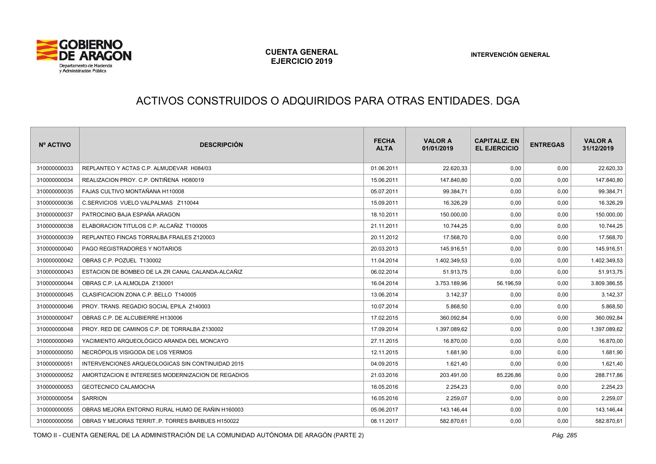

# ACTIVOS CONSTRUIDOS O ADQUIRIDOS PARA OTRAS ENTIDADES. DGA

| Nº ACTIVO    | <b>DESCRIPCIÓN</b>                                 | <b>FECHA</b><br><b>ALTA</b> | <b>VALOR A</b><br>01/01/2019 | <b>CAPITALIZ, EN</b><br><b>EL EJERCICIO</b> | <b>ENTREGAS</b> | <b>VALOR A</b><br>31/12/2019 |
|--------------|----------------------------------------------------|-----------------------------|------------------------------|---------------------------------------------|-----------------|------------------------------|
| 310000000033 | REPLANTEO Y ACTAS C.P. ALMUDEVAR H084/03           | 01.06.2011                  | 22.620,33                    | 0.00                                        | 0,00            | 22.620,33                    |
| 310000000034 | REALIZACION PROY. C.P. ONTIÑENA H080019            | 15.06.2011                  | 147.840,80                   | 0,00                                        | 0.00            | 147.840,80                   |
| 310000000035 | FAJAS CULTIVO MONTAÑANA H110008                    | 05.07.2011                  | 99.384,71                    | 0,00                                        | 0,00            | 99.384,71                    |
| 310000000036 | C.SERVICIOS VUELO VALPALMAS Z110044                | 15.09.2011                  | 16.326,29                    | 0,00                                        | 0,00            | 16.326,29                    |
| 310000000037 | PATROCINIO BAJA ESPAÑA ARAGON                      | 18.10.2011                  | 150.000,00                   | 0,00                                        | 0,00            | 150.000,00                   |
| 310000000038 | ELABORACION TITULOS C.P. ALCAÑIZ T100005           | 21.11.2011                  | 10.744,25                    | 0,00                                        | 0,00            | 10.744,25                    |
| 310000000039 | REPLANTEO FINCAS TORRALBA FRAILES Z120003          | 20.11.2012                  | 17.568,70                    | 0,00                                        | 0,00            | 17.568,70                    |
| 310000000040 | PAGO REGISTRADORES Y NOTARIOS                      | 20.03.2013                  | 145.916,51                   | 0,00                                        | 0,00            | 145.916,51                   |
| 310000000042 | OBRAS C.P. POZUEL T130002                          | 11.04.2014                  | 1.402.349.53                 | 0.00                                        | 0.00            | 1.402.349,53                 |
| 310000000043 | ESTACION DE BOMBEO DE LA ZR CANAL CALANDA-ALCAÑIZ  | 06.02.2014                  | 51.913,75                    | 0,00                                        | 0.00            | 51.913,75                    |
| 310000000044 | OBRAS C.P. LA ALMOLDA Z130001                      | 16.04.2014                  | 3.753.189.96                 | 56.196,59                                   | 0.00            | 3.809.386,55                 |
| 310000000045 | CLASIFICACION ZONA C.P. BELLO T140005              | 13.06.2014                  | 3.142,37                     | 0,00                                        | 0,00            | 3.142,37                     |
| 310000000046 | PROY. TRANS. REGADIO SOCIAL EPILA Z140003          | 10.07.2014                  | 5.868.50                     | 0,00                                        | 0,00            | 5.868,50                     |
| 310000000047 | OBRAS C.P. DE ALCUBIERRE H130006                   | 17.02.2015                  | 360.092,84                   | 0,00                                        | 0,00            | 360.092,84                   |
| 310000000048 | PROY, RED DE CAMINOS C.P. DE TORRALBA Z130002      | 17.09.2014                  | 1.397.089,62                 | 0,00                                        | 0,00            | 1.397.089,62                 |
| 310000000049 | YACIMIENTO ARQUEOLÓGICO ARANDA DEL MONCAYO         | 27.11.2015                  | 16.870,00                    | 0,00                                        | 0,00            | 16.870,00                    |
| 310000000050 | NECRÓPOLIS VISIGODA DE LOS YERMOS                  | 12.11.2015                  | 1.681,90                     | 0,00                                        | 0,00            | 1.681,90                     |
| 310000000051 | INTERVENCIONES ARQUEOLOGICAS SIN CONTINUIDAD 2015  | 04.09.2015                  | 1.621,40                     | 0,00                                        | 0,00            | 1.621,40                     |
| 310000000052 | AMORTIZACION E INTERESES MODERNIZACION DE REGADIOS | 21.03.2016                  | 203.491.00                   | 85.226,86                                   | 0.00            | 288.717,86                   |
| 310000000053 | <b>GEOTECNICO CALAMOCHA</b>                        | 16.05.2016                  | 2.254,23                     | 0,00                                        | 0,00            | 2.254,23                     |
| 310000000054 | <b>SARRION</b>                                     | 16.05.2016                  | 2.259.07                     | 0.00                                        | 0.00            | 2.259,07                     |
| 310000000055 | OBRAS MEJORA ENTORNO RURAL HUMO DE RAÑIN H160003   | 05.06.2017                  | 143.146.44                   | 0,00                                        | 0,00            | 143.146,44                   |
| 310000000056 | OBRAS Y MEJORAS TERRITP. TORRES BARBUES H150022    | 08.11.2017                  | 582.870,61                   | 0,00                                        | 0,00            | 582.870,61                   |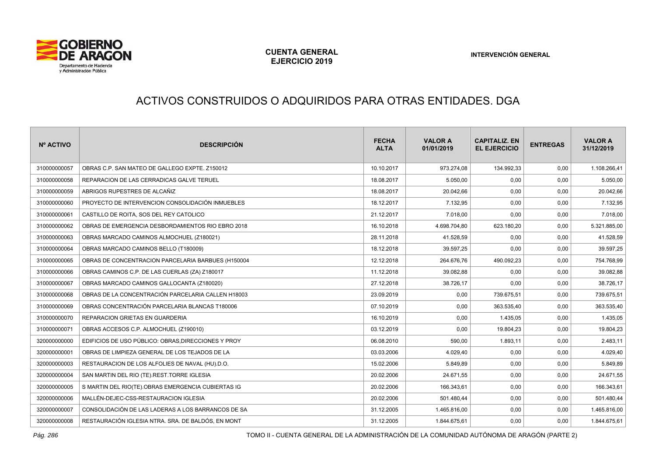

# ACTIVOS CONSTRUIDOS O ADQUIRIDOS PARA OTRAS ENTIDADES. DGA

| Nº ACTIVO    | <b>DESCRIPCIÓN</b>                                  | <b>FECHA</b><br><b>ALTA</b> | <b>VALOR A</b><br>01/01/2019 | <b>CAPITALIZ, EN</b><br><b>EL EJERCICIO</b> | <b>ENTREGAS</b> | <b>VALOR A</b><br>31/12/2019 |
|--------------|-----------------------------------------------------|-----------------------------|------------------------------|---------------------------------------------|-----------------|------------------------------|
| 310000000057 | OBRAS C.P. SAN MATEO DE GALLEGO EXPTE. Z150012      | 10.10.2017                  | 973.274,08                   | 134.992,33                                  | 0,00            | 1.108.266,41                 |
| 310000000058 | REPARACION DE LAS CERRADICAS GALVE TERUEL           | 18.08.2017                  | 5.050,00                     | 0,00                                        | 0,00            | 5.050,00                     |
| 310000000059 | ABRIGOS RUPESTRES DE ALCAÑIZ                        | 18.08.2017                  | 20.042,66                    | 0,00                                        | 0,00            | 20.042,66                    |
| 310000000060 | PROYECTO DE INTERVENCION CONSOLIDACIÓN INMUEBLES    | 18.12.2017                  | 7.132,95                     | 0,00                                        | 0,00            | 7.132,95                     |
| 310000000061 | CASTILLO DE ROITA, SOS DEL REY CATOLICO             | 21.12.2017                  | 7.018,00                     | 0,00                                        | 0,00            | 7.018,00                     |
| 310000000062 | OBRAS DE EMERGENCIA DESBORDAMIENTOS RIO EBRO 2018   | 16.10.2018                  | 4.698.704,80                 | 623.180,20                                  | 0,00            | 5.321.885,00                 |
| 310000000063 | OBRAS MARCADO CAMINOS ALMOCHUEL (Z180021)           | 28.11.2018                  | 41.528,59                    | 0,00                                        | 0,00            | 41.528,59                    |
| 310000000064 | OBRAS MARCADO CAMINOS BELLO (T180009)               | 18.12.2018                  | 39.597,25                    | 0,00                                        | 0,00            | 39.597,25                    |
| 310000000065 | OBRAS DE CONCENTRACION PARCELARIA BARBUES (H150004  | 12.12.2018                  | 264.676,76                   | 490.092,23                                  | 0,00            | 754.768,99                   |
| 310000000066 | OBRAS CAMINOS C.P. DE LAS CUERLAS (ZA) Z180017      | 11.12.2018                  | 39.082,88                    | 0,00                                        | 0,00            | 39.082,88                    |
| 310000000067 | OBRAS MARCADO CAMINOS GALLOCANTA (Z180020)          | 27.12.2018                  | 38.726,17                    | 0,00                                        | 0,00            | 38.726,17                    |
| 310000000068 | OBRAS DE LA CONCENTRACIÓN PARCELARIA CALLEN H18003  | 23.09.2019                  | 0,00                         | 739.675,51                                  | 0,00            | 739.675,51                   |
| 310000000069 | OBRAS CONCENTRACIÓN PARCELARIA BLANCAS T180006      | 07.10.2019                  | 0,00                         | 363.535,40                                  | 0,00            | 363.535,40                   |
| 310000000070 | REPARACION GRIETAS EN GUARDERIA                     | 16.10.2019                  | 0,00                         | 1.435,05                                    | 0,00            | 1.435,05                     |
| 310000000071 | OBRAS ACCESOS C.P. ALMOCHUEL (Z190010)              | 03.12.2019                  | 0,00                         | 19.804,23                                   | 0,00            | 19.804,23                    |
| 320000000000 | EDIFICIOS DE USO PÚBLICO: OBRAS, DIRECCIONES Y PROY | 06.08.2010                  | 590,00                       | 1.893,11                                    | 0,00            | 2.483,11                     |
| 320000000001 | OBRAS DE LIMPIEZA GENERAL DE LOS TEJADOS DE LA      | 03.03.2006                  | 4.029,40                     | 0,00                                        | 0,00            | 4.029,40                     |
| 320000000003 | RESTAURACION DE LOS ALFOLIES DE NAVAL (HU).D.O.     | 15.02.2006                  | 5.849,89                     | 0,00                                        | 0,00            | 5.849,89                     |
| 320000000004 | SAN MARTIN DEL RIO (TE).REST.TORRE IGLESIA          | 20.02.2006                  | 24.671,55                    | 0,00                                        | 0,00            | 24.671,55                    |
| 320000000005 | S MARTIN DEL RIO(TE).OBRAS EMERGENCIA CUBIERTAS IG  | 20.02.2006                  | 166.343,61                   | 0,00                                        | 0,00            | 166.343,61                   |
| 320000000006 | MALLÉN-DEJEC-CSS-RESTAURACION IGLESIA               | 20.02.2006                  | 501.480,44                   | 0,00                                        | 0,00            | 501.480,44                   |
| 320000000007 | CONSOLIDACIÓN DE LAS LADERAS A LOS BARRANCOS DE SA  | 31.12.2005                  | 1.465.816,00                 | 0,00                                        | 0,00            | 1.465.816,00                 |
| 320000000008 | RESTAURACIÓN IGLESIA NTRA. SRA. DE BALDÓS, EN MONT  | 31.12.2005                  | 1.844.675,61                 | 0,00                                        | 0,00            | 1.844.675,61                 |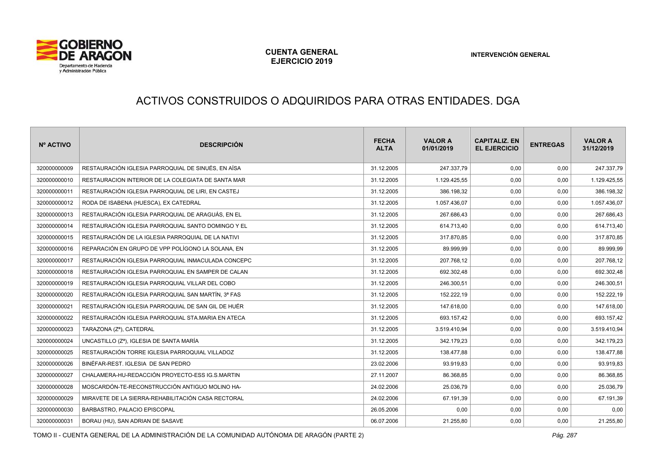

# ACTIVOS CONSTRUIDOS O ADQUIRIDOS PARA OTRAS ENTIDADES. DGA

| Nº ACTIVO    | <b>DESCRIPCIÓN</b>                                   | <b>FECHA</b><br><b>ALTA</b> | <b>VALOR A</b><br>01/01/2019 | <b>CAPITALIZ, EN</b><br><b>EL EJERCICIO</b> | <b>ENTREGAS</b> | <b>VALOR A</b><br>31/12/2019 |
|--------------|------------------------------------------------------|-----------------------------|------------------------------|---------------------------------------------|-----------------|------------------------------|
| 320000000009 | RESTAURACIÓN IGLESIA PARROQUIAL DE SINUÉS. EN AÍSA   | 31.12.2005                  | 247.337,79                   | 0,00                                        | 0,00            | 247.337,79                   |
| 320000000010 | RESTAURACION INTERIOR DE LA COLEGIATA DE SANTA MAR   | 31.12.2005                  | 1.129.425,55                 | 0,00                                        | 0,00            | 1.129.425,55                 |
| 320000000011 | RESTAURACIÓN IGLESIA PARROQUIAL DE LIRI, EN CASTEJ   | 31.12.2005                  | 386.198,32                   | 0,00                                        | 0,00            | 386.198,32                   |
| 320000000012 | RODA DE ISABENA (HUESCA), EX CATEDRAL                | 31.12.2005                  | 1.057.436,07                 | 0,00                                        | 0,00            | 1.057.436,07                 |
| 320000000013 | RESTAURACIÓN IGLESIA PARROQUIAL DE ARAGUÁS, EN EL    | 31.12.2005                  | 267.686,43                   | 0,00                                        | 0,00            | 267.686,43                   |
| 320000000014 | RESTAURACIÓN IGLESIA PARROQUIAL SANTO DOMINGO Y EL   | 31.12.2005                  | 614.713,40                   | 0,00                                        | 0,00            | 614.713,40                   |
| 320000000015 | RESTAURACIÓN DE LA IGLESIA PARROQUIAL DE LA NATIVI   | 31.12.2005                  | 317.870,85                   | 0,00                                        | 0,00            | 317.870,85                   |
| 320000000016 | REPARACIÓN EN GRUPO DE VPP POLÍGONO LA SOLANA, EN    | 31.12.2005                  | 89.999,99                    | 0,00                                        | 0,00            | 89.999,99                    |
| 320000000017 | RESTAURACIÓN IGLESIA PARROQUIAL INMACULADA CONCEPC   | 31.12.2005                  | 207.768,12                   | 0,00                                        | 0,00            | 207.768,12                   |
| 320000000018 | RESTAURACIÓN IGLESIA PARROQUIAL EN SAMPER DE CALAN   | 31.12.2005                  | 692.302,48                   | 0,00                                        | 0,00            | 692.302,48                   |
| 320000000019 | RESTAURACIÓN IGLESIA PARROQUIAL VILLAR DEL COBO      | 31.12.2005                  | 246.300,51                   | 0,00                                        | 0,00            | 246.300,51                   |
| 320000000020 | RESTAURACIÓN IGLESIA PARROQUIAL SAN MARTÍN, 3ª FAS   | 31.12.2005                  | 152.222,19                   | 0,00                                        | 0,00            | 152.222,19                   |
| 320000000021 | RESTAURACIÓN IGLESIA PARROQUIAL DE SAN GIL DE HUÉR   | 31.12.2005                  | 147.618,00                   | 0,00                                        | 0,00            | 147.618,00                   |
| 320000000022 | RESTAURACIÓN IGLESIA PARROQUIAL STA.MARIA EN ATECA   | 31.12.2005                  | 693.157,42                   | 0,00                                        | 0,00            | 693.157,42                   |
| 320000000023 | TARAZONA (Zª), CATEDRAL                              | 31.12.2005                  | 3.519.410,94                 | 0,00                                        | 0,00            | 3.519.410,94                 |
| 320000000024 | UNCASTILLO (Z <sup>a</sup> ), IGLESIA DE SANTA MARÍA | 31.12.2005                  | 342.179.23                   | 0,00                                        | 0,00            | 342.179,23                   |
| 320000000025 | RESTAURACIÓN TORRE IGLESIA PARROQUIAL VILLADOZ       | 31.12.2005                  | 138.477,88                   | 0,00                                        | 0,00            | 138.477,88                   |
| 320000000026 | BINÉFAR-REST, IGLESIA DE SAN PEDRO                   | 23.02.2006                  | 93.919,83                    | 0,00                                        | 0,00            | 93.919,83                    |
| 320000000027 | CHALAMERA-HU-REDACCIÓN PROYECTO-ESS IG.S.MARTIN      | 27.11.2007                  | 86.368,85                    | 0,00                                        | 0,00            | 86.368,85                    |
| 320000000028 | MOSCARDÓN-TE-RECONSTRUCCIÓN ANTIGUO MOLINO HA-       | 24.02.2006                  | 25.036,79                    | 0,00                                        | 0,00            | 25.036,79                    |
| 320000000029 | MIRAVETE DE LA SIERRA-REHABILITACIÓN CASA RECTORAL   | 24.02.2006                  | 67.191,39                    | 0,00                                        | 0,00            | 67.191,39                    |
| 320000000030 | BARBASTRO, PALACIO EPISCOPAL                         | 26.05.2006                  | 0.00                         | 0,00                                        | 0,00            | 0,00                         |
| 320000000031 | BORAU (HU), SAN ADRIAN DE SASAVE                     | 06.07.2006                  | 21.255,80                    | 0,00                                        | 0,00            | 21.255,80                    |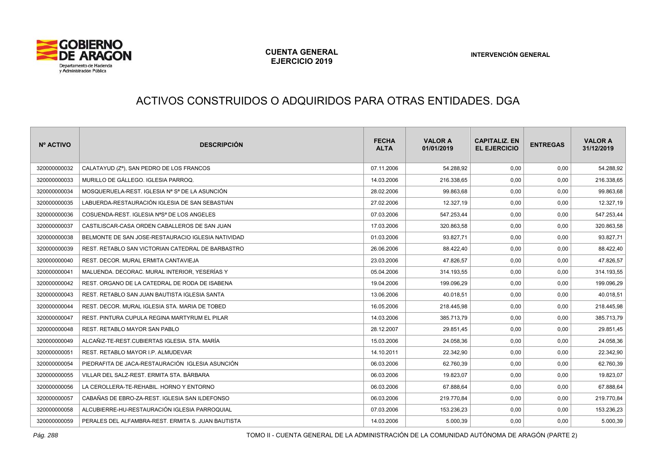

# ACTIVOS CONSTRUIDOS O ADQUIRIDOS PARA OTRAS ENTIDADES. DGA

| Nº ACTIVO    | <b>DESCRIPCIÓN</b>                                                  | <b>FECHA</b><br><b>ALTA</b> | <b>VALOR A</b><br>01/01/2019 | <b>CAPITALIZ, EN</b><br><b>EL EJERCICIO</b> | <b>ENTREGAS</b> | <b>VALOR A</b><br>31/12/2019 |
|--------------|---------------------------------------------------------------------|-----------------------------|------------------------------|---------------------------------------------|-----------------|------------------------------|
| 320000000032 | CALATAYUD (Zª), SAN PEDRO DE LOS FRANCOS                            | 07.11.2006                  | 54.288,92                    | 0,00                                        | 0,00            | 54.288,92                    |
| 320000000033 | MURILLO DE GÁLLEGO. IGLESIA PARROQ.                                 | 14.03.2006                  | 216.338,65                   | 0,00                                        | 0,00            | 216.338,65                   |
| 320000000034 | MOSQUERUELA-REST. IGLESIA Nª Sª DE LA ASUNCIÓN.                     | 28.02.2006                  | 99.863,68                    | 0,00                                        | 0,00            | 99.863,68                    |
| 320000000035 | LABUERDA-RESTAURACIÓN IGLESIA DE SAN SEBASTIÁN                      | 27.02.2006                  | 12.327,19                    | 0,00                                        | 0,00            | 12.327,19                    |
| 320000000036 | COSUENDA-REST. IGLESIA N <sup>a</sup> S <sup>a</sup> DE LOS ANGELES | 07.03.2006                  | 547.253,44                   | 0,00                                        | 0,00            | 547.253,44                   |
| 320000000037 | CASTILISCAR-CASA ORDEN CABALLEROS DE SAN JUAN                       | 17.03.2006                  | 320.863,58                   | 0,00                                        | 0,00            | 320.863,58                   |
| 320000000038 | BELMONTE DE SAN JOSE-RESTAURACIO IGLESIA NATIVIDAD                  | 01.03.2006                  | 93.827,71                    | 0,00                                        | 0,00            | 93.827,71                    |
| 320000000039 | REST. RETABLO SAN VICTORIAN CATEDRAL DE BARBASTRO                   | 26.06.2006                  | 88.422.40                    | 0,00                                        | 0,00            | 88.422,40                    |
| 320000000040 | REST. DECOR. MURAL ERMITA CANTAVIEJA                                | 23.03.2006                  | 47.826,57                    | 0,00                                        | 0,00            | 47.826,57                    |
| 320000000041 | MALUENDA, DECORAC, MURAL INTERIOR, YESERÍAS Y                       | 05.04.2006                  | 314.193,55                   | 0,00                                        | 0,00            | 314.193,55                   |
| 320000000042 | REST. ORGANO DE LA CATEDRAL DE RODA DE ISABENA                      | 19.04.2006                  | 199.096,29                   | 0,00                                        | 0,00            | 199.096,29                   |
| 320000000043 | REST. RETABLO SAN JUAN BAUTISTA IGLESIA SANTA                       | 13.06.2006                  | 40.018.51                    | 0,00                                        | 0,00            | 40.018,51                    |
| 320000000044 | REST. DECOR. MURAL IGLESIA STA. MARIA DE TOBED                      | 16.05.2006                  | 218.445,98                   | 0,00                                        | 0,00            | 218.445,98                   |
| 320000000047 | REST. PINTURA CUPULA REGINA MARTYRUM EL PILAR                       | 14.03.2006                  | 385.713,79                   | 0.00                                        | 0,00            | 385.713,79                   |
| 320000000048 | REST. RETABLO MAYOR SAN PABLO                                       | 28.12.2007                  | 29.851,45                    | 0,00                                        | 0,00            | 29.851,45                    |
| 320000000049 | ALCAÑIZ-TE-REST.CUBIERTAS IGLESIA, STA, MARÍA                       | 15.03.2006                  | 24.058,36                    | 0,00                                        | 0,00            | 24.058,36                    |
| 320000000051 | REST. RETABLO MAYOR I.P. ALMUDEVAR                                  | 14.10.2011                  | 22.342.90                    | 0.00                                        | 0,00            | 22.342,90                    |
| 320000000054 | PIEDRAFITA DE JACA-RESTAURACIÓN IGLESIA ASUNCIÓN                    | 06.03.2006                  | 62.760,39                    | 0,00                                        | 0,00            | 62.760,39                    |
| 320000000055 | VILLAR DEL SALZ-REST. ERMITA STA. BÁRBARA                           | 06.03.2006                  | 19.823,07                    | 0,00                                        | 0,00            | 19.823,07                    |
| 320000000056 | LA CEROLLERA-TE-REHABIL. HORNO Y ENTORNO                            | 06.03.2006                  | 67.888,64                    | 0,00                                        | 0,00            | 67.888,64                    |
| 320000000057 | CABAÑAS DE EBRO-ZA-REST. IGLESIA SAN ILDEFONSO                      | 06.03.2006                  | 219.770,84                   | 0,00                                        | 0,00            | 219.770,84                   |
| 320000000058 | ALCUBIERRE-HU-RESTAURACIÓN IGLESIA PARROQUIAL                       | 07.03.2006                  | 153.236,23                   | 0,00                                        | 0,00            | 153.236,23                   |
| 320000000059 | PERALES DEL ALFAMBRA-REST. ERMITA S. JUAN BAUTISTA                  | 14.03.2006                  | 5.000,39                     | 0,00                                        | 0,00            | 5.000,39                     |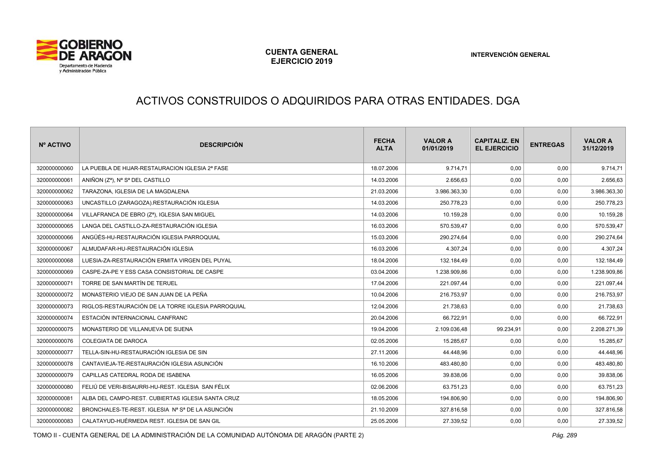

# ACTIVOS CONSTRUIDOS O ADQUIRIDOS PARA OTRAS ENTIDADES. DGA

| Nº ACTIVO    | <b>DESCRIPCIÓN</b>                                 | <b>FECHA</b><br><b>ALTA</b> | <b>VALOR A</b><br>01/01/2019 | <b>CAPITALIZ, EN</b><br><b>EL EJERCICIO</b> | <b>ENTREGAS</b> | <b>VALOR A</b><br>31/12/2019 |
|--------------|----------------------------------------------------|-----------------------------|------------------------------|---------------------------------------------|-----------------|------------------------------|
| 320000000060 | LA PUEBLA DE HIJAR-RESTAURACION IGLESIA 2ª FASE    | 18.07.2006                  | 9.714,71                     | 0,00                                        | 0,00            | 9.714,71                     |
| 320000000061 | ANIÑON (Zª), Nª Sª DEL CASTILLO                    | 14.03.2006                  | 2.656,63                     | 0,00                                        | 0,00            | 2.656,63                     |
| 320000000062 | TARAZONA. IGLESIA DE LA MAGDALENA                  | 21.03.2006                  | 3.986.363,30                 | 0.00                                        | 0,00            | 3.986.363,30                 |
| 320000000063 | UNCASTILLO (ZARAGOZA).RESTAURACIÓN IGLESIA         | 14.03.2006                  | 250.778,23                   | 0,00                                        | 0,00            | 250.778,23                   |
| 320000000064 | VILLAFRANCA DE EBRO (Zª), IGLESIA SAN MIGUEL       | 14.03.2006                  | 10.159,28                    | 0,00                                        | 0,00            | 10.159,28                    |
| 320000000065 | LANGA DEL CASTILLO-ZA-RESTAURACIÓN IGLESIA         | 16.03.2006                  | 570.539,47                   | 0,00                                        | 0,00            | 570.539,47                   |
| 320000000066 | ANGÜÉS-HU-RESTAURACIÓN IGLESIA PARROQUIAL          | 15.03.2006                  | 290.274,64                   | 0,00                                        | 0,00            | 290.274,64                   |
| 320000000067 | ALMUDAFAR-HU-RESTAURACIÓN IGLESIA                  | 16.03.2006                  | 4.307,24                     | 0,00                                        | 0,00            | 4.307,24                     |
| 320000000068 | LUESIA-ZA-RESTAURACIÓN ERMITA VIRGEN DEL PUYAL     | 18.04.2006                  | 132.184,49                   | 0,00                                        | 0,00            | 132.184,49                   |
| 320000000069 | CASPE-ZA-PE Y ESS CASA CONSISTORIAL DE CASPE       | 03.04.2006                  | 1.238.909.86                 | 0.00                                        | 0,00            | 1.238.909,86                 |
| 320000000071 | TORRE DE SAN MARTÍN DE TERUEL                      | 17.04.2006                  | 221.097,44                   | 0,00                                        | 0,00            | 221.097,44                   |
| 320000000072 | MONASTERIO VIEJO DE SAN JUAN DE LA PEÑA            | 10.04.2006                  | 216.753,97                   | 0,00                                        | 0,00            | 216.753,97                   |
| 320000000073 | RIGLOS-RESTAURACIÓN DE LA TORRE IGLESIA PARROQUIAL | 12.04.2006                  | 21.738,63                    | 0,00                                        | 0,00            | 21.738,63                    |
| 320000000074 | ESTACIÓN INTERNACIONAL CANFRANC                    | 20.04.2006                  | 66.722,91                    | 0,00                                        | 0,00            | 66.722,91                    |
| 320000000075 | MONASTERIO DE VILLANUEVA DE SIJENA                 | 19.04.2006                  | 2.109.036,48                 | 99.234,91                                   | 0,00            | 2.208.271,39                 |
| 320000000076 | <b>COLEGIATA DE DAROCA</b>                         | 02.05.2006                  | 15.285,67                    | 0,00                                        | 0,00            | 15.285,67                    |
| 320000000077 | TELLA-SIN-HU-RESTAURACIÓN IGLESIA DE SIN           | 27.11.2006                  | 44.448.96                    | 0.00                                        | 0,00            | 44.448,96                    |
| 320000000078 | CANTAVIEJA-TE-RESTAURACIÓN IGLESIA ASUNCIÓN        | 16.10.2006                  | 483.480,80                   | 0,00                                        | 0,00            | 483.480,80                   |
| 320000000079 | CAPILLAS CATEDRAL RODA DE ISABENA                  | 16.05.2006                  | 39.838,06                    | 0,00                                        | 0,00            | 39.838,06                    |
| 320000000080 | FELIÚ DE VERI-BISAURRI-HU-REST, IGLESIA SAN FÉLIX  | 02.06.2006                  | 63.751,23                    | 0,00                                        | 0,00            | 63.751,23                    |
| 320000000081 | ALBA DEL CAMPO-REST. CUBIERTAS IGLESIA SANTA CRUZ  | 18.05.2006                  | 194.806,90                   | 0,00                                        | 0,00            | 194.806,90                   |
| 320000000082 | BRONCHALES-TE-REST. IGLESIA Nº Sº DE LA ASUNCIÓN   | 21.10.2009                  | 327.816,58                   | 0,00                                        | 0,00            | 327.816,58                   |
| 320000000083 | CALATAYUD-HUÉRMEDA REST. IGLESIA DE SAN GIL        | 25.05.2006                  | 27.339,52                    | 0,00                                        | 0,00            | 27.339,52                    |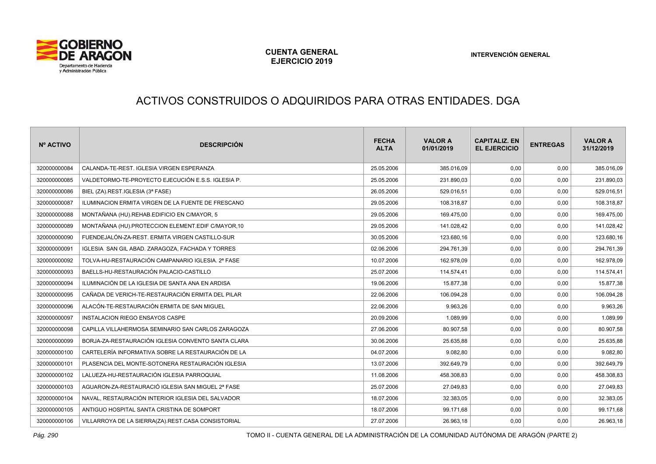

# ACTIVOS CONSTRUIDOS O ADQUIRIDOS PARA OTRAS ENTIDADES. DGA

| Nº ACTIVO    | <b>DESCRIPCIÓN</b>                                 | <b>FECHA</b><br><b>ALTA</b> | <b>VALOR A</b><br>01/01/2019 | <b>CAPITALIZ. EN</b><br><b>EL EJERCICIO</b> | <b>ENTREGAS</b> | <b>VALOR A</b><br>31/12/2019 |
|--------------|----------------------------------------------------|-----------------------------|------------------------------|---------------------------------------------|-----------------|------------------------------|
| 320000000084 | CALANDA-TE-REST. IGLESIA VIRGEN ESPERANZA          | 25.05.2006                  | 385.016.09                   | 0.00                                        | 0,00            | 385.016,09                   |
| 320000000085 | VALDETORMO-TE-PROYECTO EJECUCIÓN E.S.S. IGLESIA P. | 25.05.2006                  | 231.890,03                   | 0,00                                        | 0,00            | 231.890,03                   |
| 320000000086 | BIEL (ZA).REST.IGLESIA (3ª FASE)                   | 26.05.2006                  | 529.016.51                   | 0.00                                        | 0,00            | 529.016,51                   |
| 320000000087 | ILUMINACION ERMITA VIRGEN DE LA FUENTE DE FRESCANO | 29.05.2006                  | 108.318,87                   | 0,00                                        | 0,00            | 108.318,87                   |
| 320000000088 | MONTAÑANA (HU).REHAB.EDIFICIO EN C/MAYOR, 5        | 29.05.2006                  | 169.475,00                   | 0,00                                        | 0,00            | 169.475,00                   |
| 320000000089 | MONTAÑANA (HU).PROTECCION ELEMENT.EDIF C/MAYOR,10  | 29.05.2006                  | 141.028,42                   | 0,00                                        | 0,00            | 141.028,42                   |
| 320000000090 | FUENDEJALÓN-ZA-REST. ERMITA VIRGEN CASTILLO-SUR    | 30.05.2006                  | 123.680,16                   | 0,00                                        | 0,00            | 123.680,16                   |
| 320000000091 | IGLESIA SAN GIL ABAD, ZARAGOZA, FACHADA Y TORRES   | 02.06.2006                  | 294.761,39                   | 0,00                                        | 0,00            | 294.761,39                   |
| 320000000092 | TOLVA-HU-RESTAURACIÓN CAMPANARIO IGLESIA. 2ª FASE  | 10.07.2006                  | 162.978,09                   | 0,00                                        | 0,00            | 162.978,09                   |
| 320000000093 | BAELLS-HU-RESTAURACIÓN PALACIO-CASTILLO            | 25.07.2006                  | 114.574.41                   | 0.00                                        | 0,00            | 114.574,41                   |
| 320000000094 | ILUMINACIÓN DE LA IGLESIA DE SANTA ANA EN ARDISA   | 19.06.2006                  | 15.877,38                    | 0,00                                        | 0,00            | 15.877,38                    |
| 320000000095 | CAÑADA DE VERICH-TE-RESTAURACIÓN ERMITA DEL PILAR  | 22.06.2006                  | 106.094.28                   | 0.00                                        | 0,00            | 106.094,28                   |
| 320000000096 | ALACÓN-TE-RESTAURACIÓN ERMITA DE SAN MIGUEL        | 22.06.2006                  | 9.963,26                     | 0,00                                        | 0,00            | 9.963,26                     |
| 320000000097 | INSTALACION RIEGO ENSAYOS CASPE                    | 20.09.2006                  | 1.089.99                     | 0.00                                        | 0,00            | 1.089,99                     |
| 320000000098 | CAPILLA VILLAHERMOSA SEMINARIO SAN CARLOS ZARAGOZA | 27.06.2006                  | 80.907,58                    | 0,00                                        | 0,00            | 80.907,58                    |
| 320000000099 | BORJA-ZA-RESTAURACIÓN IGLESIA CONVENTO SANTA CLARA | 30.06.2006                  | 25.635,88                    | 0,00                                        | 0,00            | 25.635,88                    |
| 320000000100 | CARTELERÍA INFORMATIVA SOBRE LA RESTAURACIÓN DE LA | 04.07.2006                  | 9.082,80                     | 0,00                                        | 0,00            | 9.082,80                     |
| 320000000101 | PLASENCIA DEL MONTE-SOTONERA RESTAURACIÓN IGLESIA  | 13.07.2006                  | 392.649,79                   | 0,00                                        | 0,00            | 392.649,79                   |
| 320000000102 | LALUEZA-HU-RESTAURACIÓN IGLESIA PARROQUIAL         | 11.08.2006                  | 458.308,83                   | 0,00                                        | 0,00            | 458.308,83                   |
| 320000000103 | AGUARON-ZA-RESTAURACIÓ IGLESIA SAN MIGUEL 2ª FASE  | 25.07.2006                  | 27.049,83                    | 0,00                                        | 0,00            | 27.049,83                    |
| 320000000104 | NAVAL, RESTAURACIÓN INTERIOR IGLESIA DEL SALVADOR  | 18.07.2006                  | 32.383,05                    | 0,00                                        | 0,00            | 32.383,05                    |
| 320000000105 | ANTIGUO HOSPITAL SANTA CRISTINA DE SOMPORT         | 18.07.2006                  | 99.171,68                    | 0,00                                        | 0,00            | 99.171,68                    |
| 320000000106 | VILLARROYA DE LA SIERRA(ZA).REST.CASA CONSISTORIAL | 27.07.2006                  | 26.963,18                    | 0.00                                        | 0,00            | 26.963,18                    |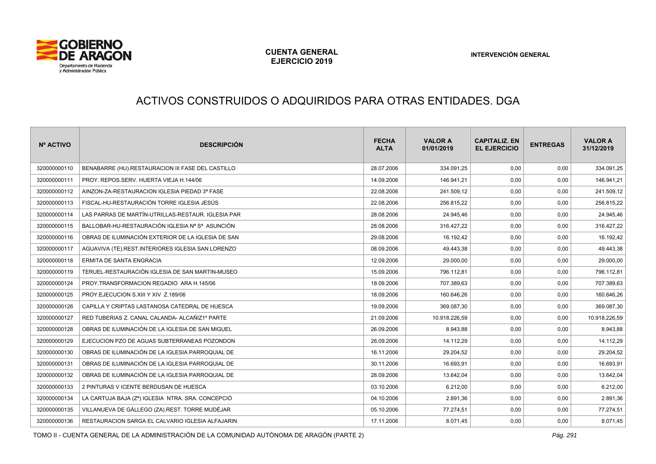

# ACTIVOS CONSTRUIDOS O ADQUIRIDOS PARA OTRAS ENTIDADES. DGA

| Nº ACTIVO    | <b>DESCRIPCIÓN</b>                                 | <b>FECHA</b><br><b>ALTA</b> | <b>VALOR A</b><br>01/01/2019 | <b>CAPITALIZ, EN</b><br><b>EL EJERCICIO</b> | <b>ENTREGAS</b> | <b>VALOR A</b><br>31/12/2019 |
|--------------|----------------------------------------------------|-----------------------------|------------------------------|---------------------------------------------|-----------------|------------------------------|
| 320000000110 | BENABARRE (HU).RESTAURACION III FASE DEL CASTILLO  | 28.07.2006                  | 334.091,25                   | 0,00                                        | 0,00            | 334.091,25                   |
| 320000000111 | PROY. REPOS.SERV. HUERTA VIEJA H.144/06            | 14.09.2006                  | 146.941,21                   | 0,00                                        | 0,00            | 146.941,21                   |
| 320000000112 | AINZON-ZA-RESTAURACION IGLESIA PIEDAD 3ª FASE      | 22.08.2006                  | 241.509,12                   | 0,00                                        | 0,00            | 241.509,12                   |
| 320000000113 | FISCAL-HU-RESTAURACIÓN TORRE IGLESIA JESÚS         | 22.08.2006                  | 256.815,22                   | 0,00                                        | 0,00            | 256.815,22                   |
| 320000000114 | LAS PARRAS DE MARTÍN-UTRILLAS-RESTAUR. IGLESIA PAR | 28.08.2006                  | 24.945,46                    | 0,00                                        | 0,00            | 24.945,46                    |
| 320000000115 | BALLOBAR-HU-RESTAURACIÓN IGLESIA Nª Sª ASUNCIÓN    | 28.08.2006                  | 316.427,22                   | 0,00                                        | 0,00            | 316.427,22                   |
| 320000000116 | OBRAS DE ILUMINACIÓN EXTERIOR DE LA IGLESIA DE SAN | 29.08.2006                  | 16.192,42                    | 0,00                                        | 0,00            | 16.192,42                    |
| 320000000117 | AGUAVIVA (TE).REST.INTERIORES IGLESIA SAN LORENZO  | 08.09.2006                  | 49.443,38                    | 0,00                                        | 0,00            | 49.443,38                    |
| 320000000118 | ERMITA DE SANTA ENGRACIA                           | 12.09.2006                  | 29.000,00                    | 0,00                                        | 0,00            | 29.000,00                    |
| 320000000119 | TERUEL-RESTAURACIÓN IGLESIA DE SAN MARTIN-MUSEO    | 15.09.2006                  | 796.112.81                   | 0.00                                        | 0,00            | 796.112,81                   |
| 320000000124 | PROY.TRANSFORMACION REGADIO ARA H.145/06           | 18.09.2006                  | 707.389,63                   | 0,00                                        | 0,00            | 707.389,63                   |
| 320000000125 | PROY.EJECUCION S.XIII Y XIV Z.189/06               | 18.09.2006                  | 160.646,26                   | 0,00                                        | 0,00            | 160.646,26                   |
| 320000000126 | CAPILLA Y CRIPTAS LASTANOSA CATEDRAL DE HUESCA     | 19.09.2006                  | 369.087,30                   | 0,00                                        | 0,00            | 369.087,30                   |
| 320000000127 | RED TUBERIAS Z. CANAL CALANDA- ALCAÑIZ1º PARTE     | 21.09.2006                  | 10.918.226,59                | 0,00                                        | 0,00            | 10.918.226,59                |
| 320000000128 | OBRAS DE ILUMINACIÓN DE LA IGLESIA DE SAN MIGUEL   | 26.09.2006                  | 8.943,88                     | 0,00                                        | 0,00            | 8.943,88                     |
| 320000000129 | EJECUCION PZO DE AGUAS SUBTERRANEAS POZONDON       | 26.09.2006                  | 14.112,29                    | 0,00                                        | 0,00            | 14.112,29                    |
| 320000000130 | OBRAS DE ILUMINACIÓN DE LA IGLESIA PARROQUIAL DE   | 16.11.2006                  | 29.204.52                    | 0.00                                        | 0,00            | 29.204,52                    |
| 320000000131 | OBRAS DE ILUMINACIÓN DE LA IGLESIA PARROQUIAL DE   | 30.11.2006                  | 16.693,91                    | 0,00                                        | 0,00            | 16.693,91                    |
| 320000000132 | OBRAS DE ILUMINACIÓN DE LA IGLESIA PARROQUIAL DE   | 28.09.2006                  | 13.642,04                    | 0,00                                        | 0,00            | 13.642,04                    |
| 320000000133 | 2 PINTURAS V ICENTE BERDUSAN DE HUESCA             | 03.10.2006                  | 6.212,00                     | 0,00                                        | 0,00            | 6.212,00                     |
| 320000000134 | LA CARTUJA BAJA (Zª) IGLESIA NTRA. SRA. CONCEPCIÓ  | 04.10.2006                  | 2.891,36                     | 0,00                                        | 0,00            | 2.891,36                     |
| 320000000135 | VILLANUEVA DE GÁLLEGO (ZA) REST. TORRE MUDÉJAR     | 05.10.2006                  | 77.274,51                    | 0,00                                        | 0,00            | 77.274,51                    |
| 320000000136 | RESTAURACION SARGA EL CALVARIO IGLESIA ALFAJARIN   | 17.11.2006                  | 8.071,45                     | 0,00                                        | 0,00            | 8.071,45                     |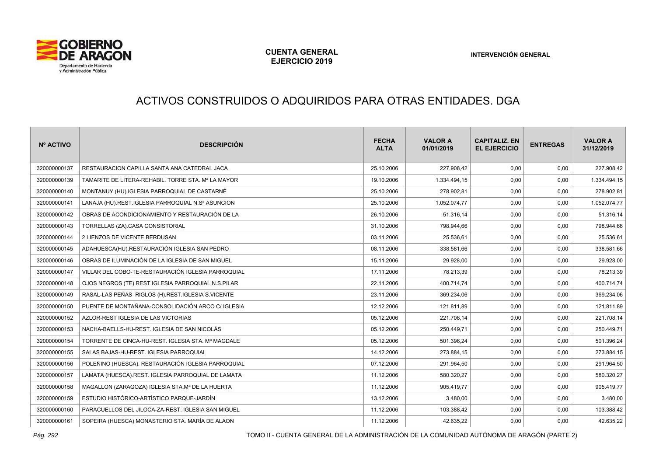

# ACTIVOS CONSTRUIDOS O ADQUIRIDOS PARA OTRAS ENTIDADES. DGA

| Nº ACTIVO    | <b>DESCRIPCIÓN</b>                                          | <b>FECHA</b><br><b>ALTA</b> | <b>VALOR A</b><br>01/01/2019 | <b>CAPITALIZ, EN</b><br><b>EL EJERCICIO</b> | <b>ENTREGAS</b> | <b>VALOR A</b><br>31/12/2019 |
|--------------|-------------------------------------------------------------|-----------------------------|------------------------------|---------------------------------------------|-----------------|------------------------------|
| 320000000137 | RESTAURACION CAPILLA SANTA ANA CATEDRAL JACA                | 25.10.2006                  | 227.908,42                   | 0,00                                        | 0,00            | 227.908,42                   |
| 320000000139 | TAMARITE DE LITERA-REHABIL. TORRE STA. Mª LA MAYOR          | 19.10.2006                  | 1.334.494,15                 | 0,00                                        | 0,00            | 1.334.494,15                 |
| 320000000140 | MONTANUY (HU). IGLESIA PARROQUIAL DE CASTARNÉ               | 25.10.2006                  | 278.902,81                   | 0,00                                        | 0,00            | 278.902,81                   |
| 320000000141 | LANAJA (HU).REST.IGLESIA PARROQUIAL N.Sª ASUNCION           | 25.10.2006                  | 1.052.074,77                 | 0,00                                        | 0,00            | 1.052.074,77                 |
| 320000000142 | OBRAS DE ACONDICIONAMIENTO Y RESTAURACIÓN DE LA             | 26.10.2006                  | 51.316.14                    | 0,00                                        | 0,00            | 51.316,14                    |
| 320000000143 | TORRELLAS (ZA).CASA CONSISTORIAL                            | 31.10.2006                  | 798.944,66                   | 0,00                                        | 0,00            | 798.944,66                   |
| 320000000144 | 2 LIENZOS DE VICENTE BERDUSAN                               | 03.11.2006                  | 25.536,61                    | 0,00                                        | 0,00            | 25.536,61                    |
| 320000000145 | ADAHUESCA(HU).RESTAURACIÓN IGLESIA SAN PEDRO                | 08.11.2006                  | 338.581,66                   | 0,00                                        | 0,00            | 338.581,66                   |
| 320000000146 | OBRAS DE ILUMINACIÓN DE LA IGLESIA DE SAN MIGUEL            | 15.11.2006                  | 29.928,00                    | 0,00                                        | 0,00            | 29.928,00                    |
| 320000000147 | VILLAR DEL COBO-TE-RESTAURACIÓN IGLESIA PARROQUIAL          | 17.11.2006                  | 78.213,39                    | 0,00                                        | 0,00            | 78.213,39                    |
| 320000000148 | OJOS NEGROS (TE).REST.IGLESIA PARROQUIAL N.S.PILAR          | 22.11.2006                  | 400.714,74                   | 0,00                                        | 0,00            | 400.714,74                   |
| 320000000149 | RASAL-LAS PEÑAS RIGLOS (H).REST.IGLESIA S.VICENTE           | 23.11.2006                  | 369.234,06                   | 0,00                                        | 0,00            | 369.234,06                   |
| 320000000150 | PUENTE DE MONTAÑANA-CONSOLIDACIÓN ARCO C/ IGLESIA           | 12.12.2006                  | 121.811,89                   | 0,00                                        | 0,00            | 121.811,89                   |
| 320000000152 | AZLOR-REST IGLESIA DE LAS VICTORIAS                         | 05.12.2006                  | 221.708,14                   | 0,00                                        | 0,00            | 221.708,14                   |
| 320000000153 | NACHA-BAELLS-HU-REST. IGLESIA DE SAN NICOLÁS                | 05.12.2006                  | 250.449,71                   | 0,00                                        | 0,00            | 250.449,71                   |
| 320000000154 | TORRENTE DE CINCA-HU-REST. IGLESIA STA. Mª MAGDALE          | 05.12.2006                  | 501.396,24                   | 0,00                                        | 0,00            | 501.396,24                   |
| 320000000155 | SALAS BAJAS-HU-REST. IGLESIA PARROQUIAL                     | 14.12.2006                  | 273.884.15                   | 0,00                                        | 0,00            | 273.884,15                   |
| 320000000156 | POLEÑINO (HUESCA). RESTAURACIÓN IGLESIA PARROQUIAL          | 07.12.2006                  | 291.964,50                   | 0,00                                        | 0,00            | 291.964,50                   |
| 320000000157 | LAMATA (HUESCA).REST. IGLESIA PARROQUIAL DE LAMATA          | 11.12.2006                  | 580.320,27                   | 0,00                                        | 0,00            | 580.320,27                   |
| 320000000158 | MAGALLON (ZARAGOZA) IGLESIA STA.M <sup>a</sup> DE LA HUERTA | 11.12.2006                  | 905.419,77                   | 0,00                                        | 0,00            | 905.419,77                   |
| 320000000159 | ESTUDIO HISTÓRICO-ARTÍSTICO PARQUE-JARDÍN                   | 13.12.2006                  | 3.480,00                     | 0,00                                        | 0,00            | 3.480,00                     |
| 320000000160 | PARACUELLOS DEL JILOCA-ZA-REST. IGLESIA SAN MIGUEL          | 11.12.2006                  | 103.388,42                   | 0,00                                        | 0,00            | 103.388,42                   |
| 320000000161 | SOPEIRA (HUESCA) MONASTERIO STA. MARÍA DE ALAON             | 11.12.2006                  | 42.635,22                    | 0,00                                        | 0,00            | 42.635,22                    |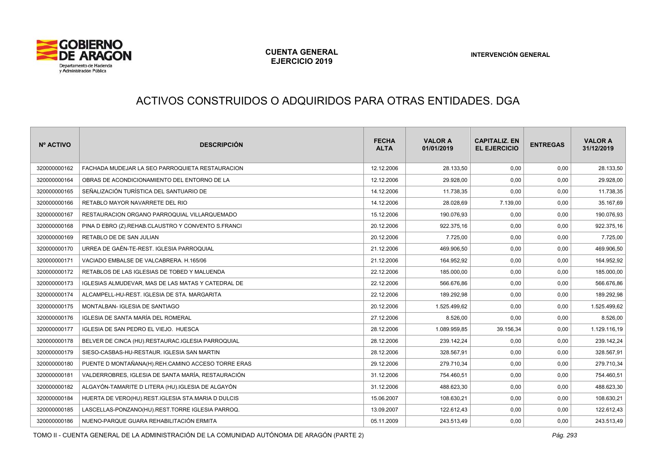

#### ACTIVOS CONSTRUIDOS O ADQUIRIDOS PARA OTRAS ENTIDADES. DGA

| Nº ACTIVO    | <b>DESCRIPCIÓN</b>                                 | <b>FECHA</b><br><b>ALTA</b> | <b>VALOR A</b><br>01/01/2019 | <b>CAPITALIZ, EN</b><br><b>EL EJERCICIO</b> | <b>ENTREGAS</b> | <b>VALOR A</b><br>31/12/2019 |
|--------------|----------------------------------------------------|-----------------------------|------------------------------|---------------------------------------------|-----------------|------------------------------|
| 320000000162 | FACHADA MUDEJAR LA SEO PARROQUIETA RESTAURACION    | 12.12.2006                  | 28.133.50                    | 0.00                                        | 0.00            | 28.133,50                    |
| 320000000164 | OBRAS DE ACONDICIONAMIENTO DEL ENTORNO DE LA       | 12.12.2006                  | 29.928,00                    | 0,00                                        | 0,00            | 29.928,00                    |
| 320000000165 | SEÑALIZACIÓN TURÍSTICA DEL SANTUARIO DE            | 14.12.2006                  | 11.738.35                    | 0,00                                        | 0,00            | 11.738,35                    |
| 320000000166 | RETABLO MAYOR NAVARRETE DEL RIO                    | 14.12.2006                  | 28.028,69                    | 7.139,00                                    | 0,00            | 35.167,69                    |
| 320000000167 | RESTAURACION ORGANO PARROQUIAL VILLARQUEMADO       | 15.12.2006                  | 190.076,93                   | 0,00                                        | 0,00            | 190.076,93                   |
| 320000000168 | PINA D EBRO (Z).REHAB.CLAUSTRO Y CONVENTO S.FRANCI | 20.12.2006                  | 922.375,16                   | 0,00                                        | 0,00            | 922.375,16                   |
| 320000000169 | RETABLO DE DE SAN JULIAN                           | 20.12.2006                  | 7.725,00                     | 0,00                                        | 0,00            | 7.725,00                     |
| 320000000170 | URREA DE GAÉN-TE-REST. IGLESIA PARROQUIAL          | 21.12.2006                  | 469.906,50                   | 0,00                                        | 0,00            | 469.906,50                   |
| 320000000171 | VACIADO EMBALSE DE VALCABRERA. H.165/06            | 21.12.2006                  | 164.952,92                   | 0,00                                        | 0,00            | 164.952,92                   |
| 320000000172 | RETABLOS DE LAS IGLESIAS DE TOBED Y MALUENDA       | 22.12.2006                  | 185.000,00                   | 0,00                                        | 0,00            | 185.000,00                   |
| 320000000173 | IGLESIAS ALMUDEVAR, MAS DE LAS MATAS Y CATEDRAL DE | 22.12.2006                  | 566.676,86                   | 0,00                                        | 0,00            | 566.676,86                   |
| 320000000174 | ALCAMPELL-HU-REST. IGLESIA DE STA. MARGARITA       | 22.12.2006                  | 189.292,98                   | 0,00                                        | 0.00            | 189.292,98                   |
| 320000000175 | MONTALBAN- IGLESIA DE SANTIAGO                     | 20.12.2006                  | 1.525.499,62                 | 0,00                                        | 0,00            | 1.525.499,62                 |
| 320000000176 | IGLESIA DE SANTA MARÍA DEL ROMERAL                 | 27.12.2006                  | 8.526,00                     | 0,00                                        | 0,00            | 8.526,00                     |
| 320000000177 | IGLESIA DE SAN PEDRO EL VIEJO. HUESCA              | 28.12.2006                  | 1.089.959,85                 | 39.156,34                                   | 0,00            | 1.129.116,19                 |
| 320000000178 | BELVER DE CINCA (HU).RESTAURAC.IGLESIA PARROQUIAL  | 28.12.2006                  | 239.142,24                   | 0,00                                        | 0,00            | 239.142,24                   |
| 320000000179 | SIESO-CASBAS-HU-RESTAUR. IGLESIA SAN MARTIN        | 28.12.2006                  | 328.567,91                   | 0,00                                        | 0,00            | 328.567,91                   |
| 320000000180 | PUENTE D MONTAÑANA(H).REH.CAMINO ACCESO TORRE ERAS | 29.12.2006                  | 279.710,34                   | 0,00                                        | 0,00            | 279.710,34                   |
| 320000000181 | VALDERROBRES, IGLESIA DE SANTA MARÍA, RESTAURACIÓN | 31.12.2006                  | 754.460,51                   | 0,00                                        | 0,00            | 754.460,51                   |
| 320000000182 | ALGAYÓN-TAMARITE D LITERA (HU).IGLESIA DE ALGAYÓN  | 31.12.2006                  | 488.623,30                   | 0,00                                        | 0,00            | 488.623,30                   |
| 320000000184 | HUERTA DE VERO(HU).REST.IGLESIA STA.MARIA D DULCIS | 15.06.2007                  | 108.630,21                   | 0,00                                        | 0,00            | 108.630,21                   |
| 320000000185 | LASCELLAS-PONZANO(HU).REST.TORRE IGLESIA PARROQ.   | 13.09.2007                  | 122.612,43                   | 0,00                                        | 0,00            | 122.612,43                   |
| 320000000186 | NUENO-PARQUE GUARA REHABILITACIÓN ERMITA           | 05.11.2009                  | 243.513.49                   | 0,00                                        | 0.00            | 243.513,49                   |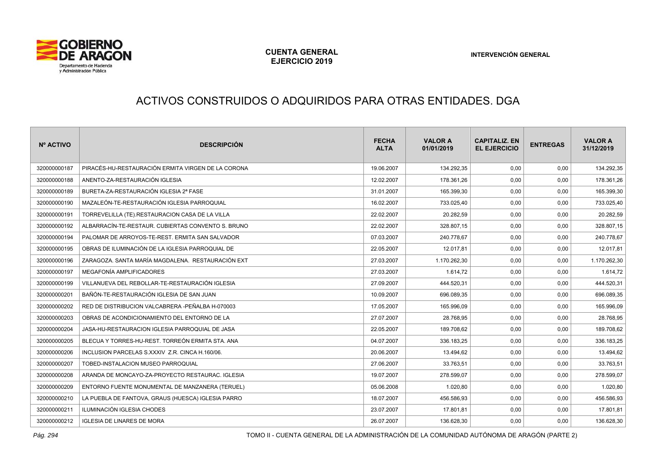

# ACTIVOS CONSTRUIDOS O ADQUIRIDOS PARA OTRAS ENTIDADES. DGA

| Nº ACTIVO    | <b>DESCRIPCIÓN</b>                                 | <b>FECHA</b><br><b>ALTA</b> | <b>VALOR A</b><br>01/01/2019 | <b>CAPITALIZ. EN</b><br><b>EL EJERCICIO</b> | <b>ENTREGAS</b> | <b>VALOR A</b><br>31/12/2019 |
|--------------|----------------------------------------------------|-----------------------------|------------------------------|---------------------------------------------|-----------------|------------------------------|
| 320000000187 | PIRACÉS-HU-RESTAURACIÓN ERMITA VIRGEN DE LA CORONA | 19.06.2007                  | 134.292,35                   | 0.00                                        | 0,00            | 134.292,35                   |
| 320000000188 | ANENTO-ZA-RESTAURACIÓN IGLESIA                     | 12.02.2007                  | 178.361,26                   | 0,00                                        | 0,00            | 178.361,26                   |
| 320000000189 | BURETA-ZA-RESTAURACIÓN IGLESIA 2ª FASE             | 31.01.2007                  | 165.399.30                   | 0,00                                        | 0.00            | 165.399,30                   |
| 320000000190 | MAZALEÓN-TE-RESTAURACIÓN IGLESIA PARROQUIAL        | 16.02.2007                  | 733.025,40                   | 0,00                                        | 0,00            | 733.025,40                   |
| 320000000191 | TORREVELILLA (TE).RESTAURACION CASA DE LA VILLA    | 22.02.2007                  | 20.282,59                    | 0,00                                        | 0,00            | 20.282,59                    |
| 320000000192 | ALBARRACÍN-TE-RESTAUR, CUBIERTAS CONVENTO S. BRUNO | 22.02.2007                  | 328.807,15                   | 0,00                                        | 0,00            | 328.807,15                   |
| 320000000194 | PALOMAR DE ARROYOS-TE-REST. ERMITA SAN SALVADOR    | 07.03.2007                  | 240.778,67                   | 0,00                                        | 0,00            | 240.778,67                   |
| 320000000195 | OBRAS DE ILUMINACIÓN DE LA IGLESIA PARROQUIAL DE   | 22.05.2007                  | 12.017,81                    | 0,00                                        | 0,00            | 12.017,81                    |
| 320000000196 | ZARAGOZA. SANTA MARÍA MAGDALENA. RESTAURACIÓN EXT  | 27.03.2007                  | 1.170.262,30                 | 0,00                                        | 0,00            | 1.170.262,30                 |
| 320000000197 | MEGAFONÍA AMPLIFICADORES                           | 27.03.2007                  | 1.614,72                     | 0,00                                        | 0,00            | 1.614,72                     |
| 320000000199 | VILLANUEVA DEL REBOLLAR-TE-RESTAURACIÓN IGLESIA    | 27.09.2007                  | 444.520,31                   | 0,00                                        | 0,00            | 444.520,31                   |
| 320000000201 | BAÑÓN-TE-RESTAURACIÓN IGLESIA DE SAN JUAN          | 10.09.2007                  | 696.089,35                   | 0,00                                        | 0,00            | 696.089,35                   |
| 320000000202 | RED DE DISTRIBUCION VALCABRERA -PEÑALBA H-070003   | 17.05.2007                  | 165.996,09                   | 0,00                                        | 0,00            | 165.996,09                   |
| 320000000203 | OBRAS DE ACONDICIONAMIENTO DEL ENTORNO DE LA       | 27.07.2007                  | 28.768,95                    | 0,00                                        | 0,00            | 28.768,95                    |
| 320000000204 | JASA-HU-RESTAURACION IGLESIA PARROQUIAL DE JASA    | 22.05.2007                  | 189.708,62                   | 0,00                                        | 0,00            | 189.708,62                   |
| 320000000205 | BLECUA Y TORRES-HU-REST, TORREÓN ERMITA STA, ANA   | 04.07.2007                  | 336.183,25                   | 0,00                                        | 0,00            | 336.183,25                   |
| 320000000206 | INCLUSION PARCELAS S.XXXIV Z.R. CINCA H.160/06.    | 20.06.2007                  | 13.494,62                    | 0,00                                        | 0,00            | 13.494,62                    |
| 320000000207 | TOBED-INSTALACION MUSEO PARROQUIAL                 | 27.06.2007                  | 33.763,51                    | 0,00                                        | 0,00            | 33.763,51                    |
| 320000000208 | ARANDA DE MONCAYO-ZA-PROYECTO RESTAURAC. IGLESIA   | 19.07.2007                  | 278.599,07                   | 0,00                                        | 0,00            | 278.599,07                   |
| 320000000209 | ENTORNO FUENTE MONUMENTAL DE MANZANERA (TERUEL)    | 05.06.2008                  | 1.020,80                     | 0,00                                        | 0,00            | 1.020,80                     |
| 320000000210 | LA PUEBLA DE FANTOVA, GRAUS (HUESCA) IGLESIA PARRO | 18.07.2007                  | 456.586,93                   | 0,00                                        | 0,00            | 456.586,93                   |
| 320000000211 | ILUMINACIÓN IGLESIA CHODES                         | 23.07.2007                  | 17.801,81                    | 0,00                                        | 0,00            | 17.801,81                    |
| 320000000212 | IGLESIA DE LINARES DE MORA                         | 26.07.2007                  | 136.628,30                   | 0.00                                        | 0.00            | 136.628,30                   |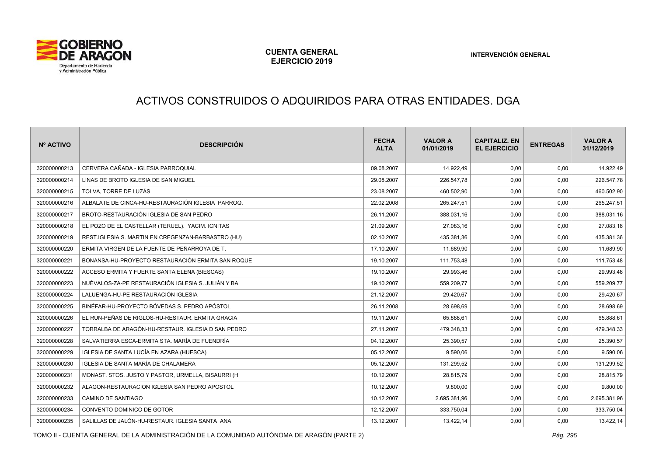

# ACTIVOS CONSTRUIDOS O ADQUIRIDOS PARA OTRAS ENTIDADES. DGA

| Nº ACTIVO    | <b>DESCRIPCIÓN</b>                                 | <b>FECHA</b><br><b>ALTA</b> | <b>VALOR A</b><br>01/01/2019 | <b>CAPITALIZ. EN</b><br><b>EL EJERCICIO</b> | <b>ENTREGAS</b> | <b>VALOR A</b><br>31/12/2019 |
|--------------|----------------------------------------------------|-----------------------------|------------------------------|---------------------------------------------|-----------------|------------------------------|
| 320000000213 | CERVERA CAÑADA - IGLESIA PARROQUIAL                | 09.08.2007                  | 14.922,49                    | 0,00                                        | 0,00            | 14.922,49                    |
| 320000000214 | LINAS DE BROTO IGLESIA DE SAN MIGUEL               | 29.08.2007                  | 226.547,78                   | 0,00                                        | 0,00            | 226.547,78                   |
| 320000000215 | TOLVA, TORRE DE LUZÁS                              | 23.08.2007                  | 460.502,90                   | 0,00                                        | 0,00            | 460.502,90                   |
| 320000000216 | ALBALATE DE CINCA-HU-RESTAURACIÓN IGLESIA PARROQ.  | 22.02.2008                  | 265.247,51                   | 0,00                                        | 0,00            | 265.247,51                   |
| 320000000217 | BROTO-RESTAURACIÓN IGLESIA DE SAN PEDRO            | 26.11.2007                  | 388.031,16                   | 0,00                                        | 0,00            | 388.031,16                   |
| 320000000218 | EL POZO DE EL CASTELLAR (TERUEL). YACIM. ICNITAS   | 21.09.2007                  | 27.083,16                    | 0,00                                        | 0,00            | 27.083,16                    |
| 320000000219 | REST.IGLESIA S. MARTIN EN CREGENZAN-BARBASTRO (HU) | 02.10.2007                  | 435.381,36                   | 0,00                                        | 0,00            | 435.381,36                   |
| 320000000220 | ERMITA VIRGEN DE LA FUENTE DE PEÑARROYA DE T.      | 17.10.2007                  | 11.689,90                    | 0,00                                        | 0,00            | 11.689,90                    |
| 320000000221 | BONANSA-HU-PROYECTO RESTAURACIÓN ERMITA SAN ROQUE  | 19.10.2007                  | 111.753,48                   | 0,00                                        | 0,00            | 111.753,48                   |
| 320000000222 | ACCESO ERMITA Y FUERTE SANTA ELENA (BIESCAS)       | 19.10.2007                  | 29.993,46                    | 0,00                                        | 0,00            | 29.993,46                    |
| 320000000223 | NUÉVALOS-ZA-PE RESTAURACIÓN IGLESIA S. JULIÁN Y BA | 19.10.2007                  | 559.209,77                   | 0,00                                        | 0,00            | 559.209,77                   |
| 320000000224 | LALUENGA-HU-PE RESTAURACIÓN IGLESIA                | 21.12.2007                  | 29.420,67                    | 0,00                                        | 0,00            | 29.420,67                    |
| 320000000225 | BINÉFAR-HU-PROYECTO BÓVEDAS S. PEDRO APÓSTOL       | 26.11.2008                  | 28.698,69                    | 0,00                                        | 0,00            | 28.698,69                    |
| 320000000226 | EL RUN-PEÑAS DE RIGLOS-HU-RESTAUR. ERMITA GRACIA   | 19.11.2007                  | 65.888,61                    | 0,00                                        | 0,00            | 65.888,61                    |
| 320000000227 | TORRALBA DE ARAGÓN-HU-RESTAUR. IGLESIA D SAN PEDRO | 27.11.2007                  | 479.348,33                   | 0,00                                        | 0,00            | 479.348,33                   |
| 320000000228 | SALVATIERRA ESCA-ERMITA STA. MARÍA DE FUENDRÍA     | 04.12.2007                  | 25.390,57                    | 0,00                                        | 0,00            | 25.390,57                    |
| 320000000229 | IGLESIA DE SANTA LUCÍA EN AZARA (HUESCA)           | 05.12.2007                  | 9.590.06                     | 0,00                                        | 0,00            | 9.590,06                     |
| 320000000230 | IGLESIA DE SANTA MARÍA DE CHALAMERA                | 05.12.2007                  | 131.299,52                   | 0,00                                        | 0,00            | 131.299,52                   |
| 320000000231 | MONAST. STOS. JUSTO Y PASTOR, URMELLA, BISAURRI (H | 10.12.2007                  | 28.815,79                    | 0,00                                        | 0,00            | 28.815,79                    |
| 320000000232 | ALAGON-RESTAURACION IGLESIA SAN PEDRO APOSTOL      | 10.12.2007                  | 9.800,00                     | 0,00                                        | 0,00            | 9.800,00                     |
| 320000000233 | CAMINO DE SANTIAGO                                 | 10.12.2007                  | 2.695.381,96                 | 0,00                                        | 0,00            | 2.695.381,96                 |
| 320000000234 | CONVENTO DOMINICO DE GOTOR                         | 12.12.2007                  | 333.750,04                   | 0,00                                        | 0,00            | 333.750,04                   |
| 320000000235 | SALILLAS DE JALÓN-HU-RESTAUR. IGLESIA SANTA ANA    | 13.12.2007                  | 13.422,14                    | 0,00                                        | 0,00            | 13.422,14                    |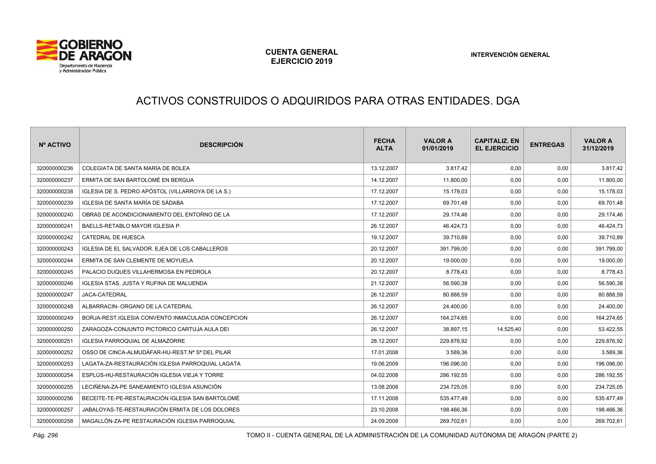

# ACTIVOS CONSTRUIDOS O ADQUIRIDOS PARA OTRAS ENTIDADES. DGA

| Nº ACTIVO    | <b>DESCRIPCIÓN</b>                                | <b>FECHA</b><br><b>ALTA</b> | <b>VALOR A</b><br>01/01/2019 | <b>CAPITALIZ. EN</b><br><b>EL EJERCICIO</b> | <b>ENTREGAS</b> | <b>VALOR A</b><br>31/12/2019 |
|--------------|---------------------------------------------------|-----------------------------|------------------------------|---------------------------------------------|-----------------|------------------------------|
| 320000000236 | COLEGIATA DE SANTA MARÍA DE BOLEA                 | 13.12.2007                  | 3.817.42                     | 0,00                                        | 0,00            | 3.817,42                     |
| 320000000237 | ERMITA DE SAN BARTOLOMÉ EN BERGUA                 | 14.12.2007                  | 11.800,00                    | 0,00                                        | 0,00            | 11.800,00                    |
| 320000000238 | IGLESIA DE S. PEDRO APÓSTOL (VILLARROYA DE LA S.) | 17.12.2007                  | 15.178.03                    | 0,00                                        | 0,00            | 15.178,03                    |
| 320000000239 | IGLESIA DE SANTA MARÍA DE SÁDABA                  | 17.12.2007                  | 69.701,48                    | 0,00                                        | 0,00            | 69.701,48                    |
| 320000000240 | OBRAS DE ACONDICIONAMIENTO DEL ENTORNO DE LA      | 17.12.2007                  | 29.174,46                    | 0,00                                        | 0,00            | 29.174,46                    |
| 320000000241 | BAELLS-RETABLO MAYOR IGLESIA P.                   | 26.12.2007                  | 46.424,73                    | 0,00                                        | 0,00            | 46.424,73                    |
| 320000000242 | CATEDRAL DE HUESCA                                | 19.12.2007                  | 39.710,89                    | 0,00                                        | 0,00            | 39.710,89                    |
| 320000000243 | IGLESIA DE EL SALVADOR. EJEA DE LOS CABALLEROS    | 20.12.2007                  | 391.799,00                   | 0,00                                        | 0,00            | 391.799,00                   |
| 320000000244 | ERMITA DE SAN CLEMENTE DE MOYUELA                 | 20.12.2007                  | 19.000,00                    | 0,00                                        | 0,00            | 19.000,00                    |
| 320000000245 | PALACIO DUQUES VILLAHERMOSA EN PEDROLA            | 20.12.2007                  | 8.778.43                     | 0,00                                        | 0,00            | 8.778,43                     |
| 320000000246 | IGLESIA STAS. JUSTA Y RUFINA DE MALUENDA          | 21.12.2007                  | 56.590,38                    | 0,00                                        | 0,00            | 56.590,38                    |
| 320000000247 | <b>JACA-CATEDRAL</b>                              | 26.12.2007                  | 80.888,59                    | 0,00                                        | 0,00            | 80.888,59                    |
| 320000000248 | ALBARRACIN- ORGANO DE LA CATEDRAL                 | 26.12.2007                  | 24.400,00                    | 0,00                                        | 0,00            | 24.400,00                    |
| 320000000249 | BORJA-REST IGLESIA CONVENTO INMACULADA CONCEPCION | 26.12.2007                  | 164.274,65                   | 0,00                                        | 0,00            | 164.274,65                   |
| 320000000250 | ZARAGOZA-CONJUNTO PICTORICO CARTUJA AULA DEI      | 26.12.2007                  | 38.897,15                    | 14.525,40                                   | 0,00            | 53.422,55                    |
| 320000000251 | <b>IGLESIA PARROQUIAL DE ALMAZORRE</b>            | 28.12.2007                  | 229.876,92                   | 0,00                                        | 0,00            | 229.876,92                   |
| 320000000252 | OSSO DE CINCA-ALMUDÁFAR-HU-REST.Nª Sª DEL PILAR   | 17.01.2008                  | 3.589,36                     | 0,00                                        | 0,00            | 3.589,36                     |
| 320000000253 | LAGATA-ZA-RESTAURACIÓN IGLESIA PARROQUIAL LAGATA  | 19.06.2009                  | 196.096,00                   | 0,00                                        | 0,00            | 196.096,00                   |
| 320000000254 | ESPLÚS-HU-RESTAURACIÓN IGLESIA VIEJA Y TORRE      | 04.02.2008                  | 286.192,55                   | 0,00                                        | 0,00            | 286.192,55                   |
| 320000000255 | LECIÑENA-ZA-PE SANEAMIENTO IGLESIA ASUNCIÓN       | 13.08.2008                  | 234.725,05                   | 0,00                                        | 0,00            | 234.725,05                   |
| 320000000256 | BECEITE-TE-PE-RESTAURACIÓN IGLESIA SAN BARTOLOMÉ  | 17.11.2008                  | 535.477,49                   | 0,00                                        | 0,00            | 535.477,49                   |
| 320000000257 | JABALOYAS-TE-RESTAURACIÓN ERMITA DE LOS DOLORES   | 23.10.2008                  | 198.466,36                   | 0,00                                        | 0,00            | 198.466,36                   |
| 320000000258 | MAGALLÓN-ZA-PE RESTAURACIÓN IGLESIA PARROQUIAL    | 24.09.2008                  | 269.702,61                   | 0,00                                        | 0.00            | 269.702,61                   |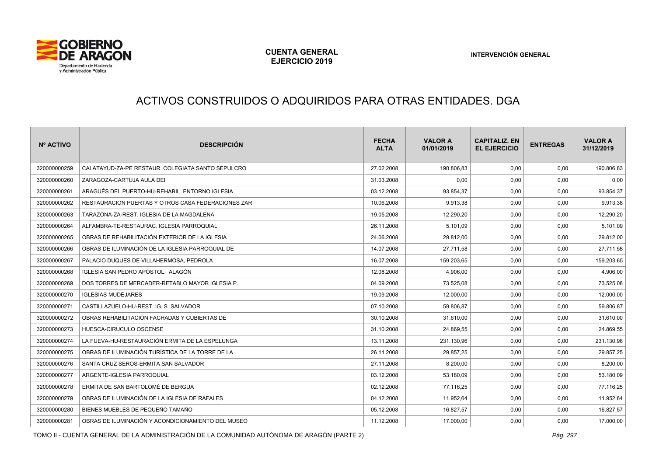

# ACTIVOS CONSTRUIDOS O ADQUIRIDOS PARA OTRAS ENTIDADES. DGA

| Nº ACTIVO    | <b>DESCRIPCIÓN</b>                                 | <b>FECHA</b><br><b>ALTA</b> | <b>VALOR A</b><br>01/01/2019 | <b>CAPITALIZ, EN</b><br><b>EL EJERCICIO</b> | <b>ENTREGAS</b> | <b>VALOR A</b><br>31/12/2019 |
|--------------|----------------------------------------------------|-----------------------------|------------------------------|---------------------------------------------|-----------------|------------------------------|
| 320000000259 | CALATAYUD-ZA-PE RESTAUR. COLEGIATA SANTO SEPULCRO  | 27.02.2008                  | 190.806,83                   | 0.00                                        | 0,00            | 190.806,83                   |
| 320000000260 | ZARAGOZA-CARTUJA AULA DEI                          | 31.03.2008                  | 0.00                         | 0,00                                        | 0,00            | 0,00                         |
| 320000000261 | ARAGÜÉS DEL PUERTO-HU-REHABIL. ENTORNO IGLESIA     | 03.12.2008                  | 93.854,37                    | 0,00                                        | 0,00            | 93.854,37                    |
| 320000000262 | RESTAURACION PUERTAS Y OTROS CASA FEDERACIONES ZAR | 10.06.2008                  | 9.913,38                     | 0,00                                        | 0,00            | 9.913,38                     |
| 320000000263 | TARAZONA-ZA-REST. IGLESIA DE LA MAGDALENA          | 19.05.2008                  | 12.290,20                    | 0,00                                        | 0,00            | 12.290,20                    |
| 320000000264 | ALFAMBRA-TE-RESTAURAC, IGLESIA PARROQUIAL          | 26.11.2008                  | 5.101,09                     | 0,00                                        | 0,00            | 5.101,09                     |
| 320000000265 | OBRAS DE REHABILITACIÓN EXTERIOR DE LA IGLESIA     | 24.06.2008                  | 29.812,00                    | 0,00                                        | 0,00            | 29.812,00                    |
| 320000000266 | OBRAS DE ILUMINACIÓN DE LA IGLESIA PARROQUIAL DE   | 14.07.2008                  | 27.711,58                    | 0,00                                        | 0,00            | 27.711,58                    |
| 320000000267 | PALACIO DUQUES DE VILLAHERMOSA, PEDROLA            | 16.07.2008                  | 159.203,65                   | 0,00                                        | 0,00            | 159.203,65                   |
| 320000000268 | IGLESIA SAN PEDRO APÓSTOL. ALAGÓN                  | 12.08.2008                  | 4.906,00                     | 0,00                                        | 0,00            | 4.906,00                     |
| 320000000269 | DOS TORRES DE MERCADER-RETABLO MAYOR IGLESIA P.    | 04.09.2008                  | 73.525.08                    | 0,00                                        | 0,00            | 73.525,08                    |
| 320000000270 | <b>IGLESIAS MUDÉJARES</b>                          | 19.09.2008                  | 12.000,00                    | 0,00                                        | 0,00            | 12.000,00                    |
| 320000000271 | CASTILLAZUELO-HU-REST. IG. S. SALVADOR             | 07.10.2008                  | 59.806,87                    | 0,00                                        | 0,00            | 59.806,87                    |
| 320000000272 | OBRAS REHABILITACIÓN FACHADAS Y CUBIERTAS DE       | 30.10.2008                  | 31.610,00                    | 0,00                                        | 0,00            | 31.610,00                    |
| 320000000273 | HUESCA-CIRUCULO OSCENSE                            | 31.10.2008                  | 24.869,55                    | 0,00                                        | 0,00            | 24.869,55                    |
| 320000000274 | LA FUEVA-HU-RESTAURACIÓN ERMITA DE LA ESPELUNGA    | 13.11.2008                  | 231.130,96                   | 0.00                                        | 0,00            | 231.130,96                   |
| 320000000275 | OBRAS DE ILUMINACIÓN TURÍSTICA DE LA TORRE DE LA   | 26.11.2008                  | 29.857,25                    | 0,00                                        | 0,00            | 29.857,25                    |
| 320000000276 | SANTA CRUZ SEROS-ERMITA SAN SALVADOR               | 27.11.2008                  | 8.200,00                     | 0,00                                        | 0,00            | 8.200,00                     |
| 320000000277 | ARGENTE-IGLESIA PARROQUIAL                         | 03.12.2008                  | 53.180,09                    | 0,00                                        | 0,00            | 53.180,09                    |
| 320000000278 | ERMITA DE SAN BARTOLOMÉ DE BERGUA                  | 02.12.2008                  | 77.116,25                    | 0,00                                        | 0,00            | 77.116,25                    |
| 320000000279 | OBRAS DE ILUMINACIÓN DE LA IGLESIA DE RÁFALES      | 04.12.2008                  | 11.952.64                    | 0.00                                        | 0,00            | 11.952,64                    |
| 320000000280 | BIENES MUEBLES DE PEQUEÑO TAMAÑO                   | 05.12.2008                  | 16.827,57                    | 0,00                                        | 0,00            | 16.827,57                    |
| 320000000281 | OBRAS DE ILUMINACIÓN Y ACONDICIONAMIENTO DEL MUSEO | 11.12.2008                  | 17.000,00                    | 0,00                                        | 0,00            | 17.000,00                    |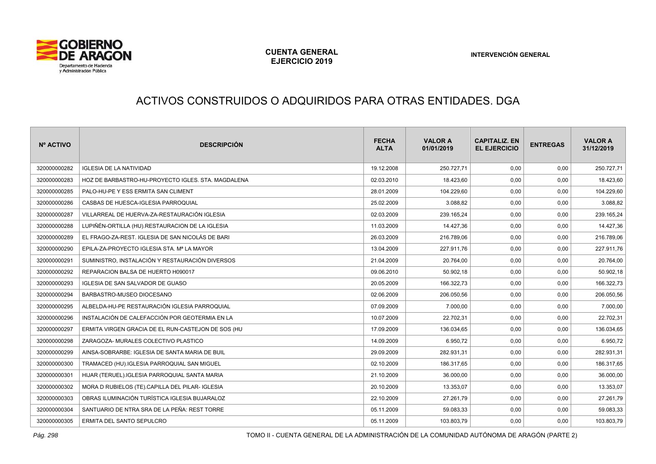

# ACTIVOS CONSTRUIDOS O ADQUIRIDOS PARA OTRAS ENTIDADES. DGA

| Nº ACTIVO    | <b>DESCRIPCIÓN</b>                                 | <b>FECHA</b><br><b>ALTA</b> | <b>VALOR A</b><br>01/01/2019 | <b>CAPITALIZ, EN</b><br><b>EL EJERCICIO</b> | <b>ENTREGAS</b> | <b>VALOR A</b><br>31/12/2019 |
|--------------|----------------------------------------------------|-----------------------------|------------------------------|---------------------------------------------|-----------------|------------------------------|
| 320000000282 | <b>IGLESIA DE LA NATIVIDAD</b>                     | 19.12.2008                  | 250.727,71                   | 0,00                                        | 0,00            | 250.727,71                   |
| 320000000283 | HOZ DE BARBASTRO-HU-PROYECTO IGLES. STA. MAGDALENA | 02.03.2010                  | 18.423,60                    | 0,00                                        | 0,00            | 18.423,60                    |
| 320000000285 | PALO-HU-PE Y ESS ERMITA SAN CLIMENT                | 28.01.2009                  | 104.229,60                   | 0,00                                        | 0,00            | 104.229,60                   |
| 320000000286 | CASBAS DE HUESCA-IGLESIA PARROQUIAL                | 25.02.2009                  | 3.088,82                     | 0,00                                        | 0,00            | 3.088,82                     |
| 320000000287 | VILLARREAL DE HUERVA-ZA-RESTAURACIÓN IGLESIA       | 02.03.2009                  | 239.165,24                   | 0,00                                        | 0,00            | 239.165,24                   |
| 320000000288 | LUPIÑÉN-ORTILLA (HU).RESTAURACION DE LA IGLESIA    | 11.03.2009                  | 14.427,36                    | 0,00                                        | 0,00            | 14.427,36                    |
| 320000000289 | EL FRAGO-ZA-REST. IGLESIA DE SAN NICOLÁS DE BARI   | 26.03.2009                  | 216.789,06                   | 0,00                                        | 0,00            | 216.789,06                   |
| 320000000290 | EPILA-ZA-PROYECTO IGLESIA STA. Mª LA MAYOR         | 13.04.2009                  | 227.911,76                   | 0,00                                        | 0,00            | 227.911,76                   |
| 320000000291 | SUMINISTRO. INSTALACIÓN Y RESTAURACIÓN DIVERSOS    | 21.04.2009                  | 20.764,00                    | 0,00                                        | 0,00            | 20.764,00                    |
| 320000000292 | REPARACION BALSA DE HUERTO H090017                 | 09.06.2010                  | 50.902,18                    | 0,00                                        | 0,00            | 50.902,18                    |
| 320000000293 | IGLESIA DE SAN SALVADOR DE GUASO                   | 20.05.2009                  | 166.322,73                   | 0,00                                        | 0,00            | 166.322,73                   |
| 320000000294 | BARBASTRO-MUSEO DIOCESANO                          | 02.06.2009                  | 206.050,56                   | 0,00                                        | 0,00            | 206.050,56                   |
| 320000000295 | ALBELDA-HU-PE RESTAURACIÓN IGLESIA PARROQUIAL      | 07.09.2009                  | 7.000,00                     | 0,00                                        | 0,00            | 7.000,00                     |
| 320000000296 | INSTALACIÓN DE CALEFACCIÓN POR GEOTERMIA EN LA     | 10.07.2009                  | 22.702.31                    | 0,00                                        | 0,00            | 22.702,31                    |
| 320000000297 | ERMITA VIRGEN GRACIA DE EL RUN-CASTEJON DE SOS (HU | 17.09.2009                  | 136.034,65                   | 0,00                                        | 0,00            | 136.034,65                   |
| 320000000298 | ZARAGOZA- MURALES COLECTIVO PLASTICO               | 14.09.2009                  | 6.950,72                     | 0,00                                        | 0,00            | 6.950,72                     |
| 320000000299 | AINSA-SOBRARBE: IGLESIA DE SANTA MARIA DE BUIL     | 29.09.2009                  | 282.931.31                   | 0,00                                        | 0,00            | 282.931,31                   |
| 320000000300 | TRAMACED (HU).IGLESIA PARROQUIAL SAN MIGUEL        | 02.10.2009                  | 186.317,65                   | 0,00                                        | 0,00            | 186.317,65                   |
| 320000000301 | HIJAR (TERUEL).IGLESIA PARROQUIAL SANTA MARIA      | 21.10.2009                  | 36.000,00                    | 0,00                                        | 0,00            | 36.000,00                    |
| 320000000302 | MORA D RUBIELOS (TE).CAPILLA DEL PILAR- IGLESIA    | 20.10.2009                  | 13.353,07                    | 0,00                                        | 0,00            | 13.353,07                    |
| 320000000303 | OBRAS ILUMINACIÓN TURÍSTICA IGLESIA BUJARALOZ      | 22.10.2009                  | 27.261,79                    | 0,00                                        | 0,00            | 27.261,79                    |
| 320000000304 | SANTUARIO DE NTRA SRA DE LA PEÑA: REST TORRE       | 05.11.2009                  | 59.083,33                    | 0,00                                        | 0,00            | 59.083,33                    |
| 320000000305 | ERMITA DEL SANTO SEPULCRO                          | 05.11.2009                  | 103.803,79                   | 0,00                                        | 0,00            | 103.803,79                   |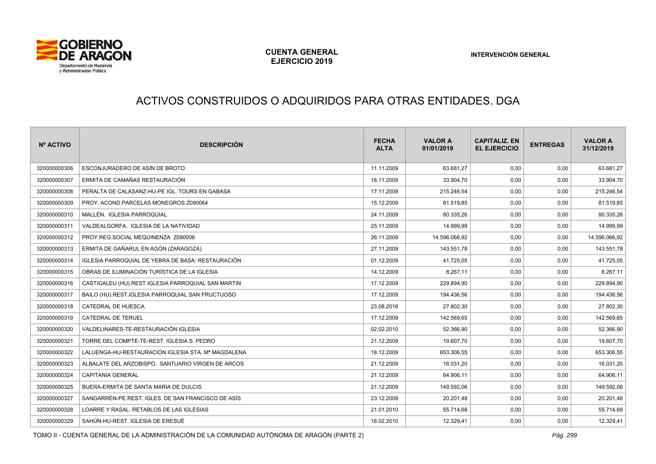

# ACTIVOS CONSTRUIDOS O ADQUIRIDOS PARA OTRAS ENTIDADES. DGA

| Nº ACTIVO    | <b>DESCRIPCIÓN</b>                                 | <b>FECHA</b><br><b>ALTA</b> | <b>VALOR A</b><br>01/01/2019 | <b>CAPITALIZ, EN</b><br><b>EL EJERCICIO</b> | <b>ENTREGAS</b> | <b>VALOR A</b><br>31/12/2019 |
|--------------|----------------------------------------------------|-----------------------------|------------------------------|---------------------------------------------|-----------------|------------------------------|
| 320000000306 | ESCONJURADERO DE ASÍN DE BROTO                     | 11.11.2009                  | 63.681.27                    | 0,00                                        | 0,00            | 63.681,27                    |
| 320000000307 | ERMITA DE CAMAÑAS RESTAURACIÓN                     | 18.11.2009                  | 33.904,70                    | 0,00                                        | 0,00            | 33.904,70                    |
| 320000000308 | PERALTA DE CALASANZ-HU-PE IGL. TOURS EN GABASA     | 17.11.2009                  | 215.246,54                   | 0,00                                        | 0,00            | 215.246,54                   |
| 320000000309 | PROY. ACOND.PARCELAS MONEGROS Z090064              | 15.12.2009                  | 81.519,85                    | 0,00                                        | 0,00            | 81.519,85                    |
| 320000000310 | MALLÉN. IGLESIA PARROQUIAL                         | 24.11.2009                  | 80.335,26                    | 0,00                                        | 0,00            | 80.335,26                    |
| 320000000311 | VALDEALGORFA. IGLESIA DE LA NATIVIDAD              | 25.11.2009                  | 14.999,99                    | 0,00                                        | 0,00            | 14.999,99                    |
| 320000000312 | PROY.REG.SOCIAL MEQUINENZA Z090006                 | 26.11.2009                  | 14.596.066,92                | 0,00                                        | 0,00            | 14.596.066,92                |
| 320000000313 | ERMITA DE GAÑARUL EN AGÓN (ZARAGOZA)               | 27.11.2009                  | 143.551,78                   | 0,00                                        | 0,00            | 143.551,78                   |
| 320000000314 | IGLESIA PARROQUIAL DE YEBRA DE BASA: RESTAURACIÓN  | 01.12.2009                  | 41.725,05                    | 0,00                                        | 0,00            | 41.725,05                    |
| 320000000315 | OBRAS DE ILUMINACIÓN TURÍSTICA DE LA IGLESIA       | 14.12.2009                  | 8.267,11                     | 0,00                                        | 0,00            | 8.267,11                     |
| 320000000316 | CASTIGALEU (HU).REST.IGLESIA PARROQUIAL SAN MARTIN | 17.12.2009                  | 229.894,90                   | 0,00                                        | 0,00            | 229.894,90                   |
| 320000000317 | BAILO (HU).REST.IGLESIA PARROQUIAL SAN FRUCTUOSO   | 17.12.2009                  | 194.436,56                   | 0,00                                        | 0,00            | 194.436,56                   |
| 320000000318 | CATEDRAL DE HUESCA                                 | 23.08.2016                  | 27.802,30                    | 0,00                                        | 0,00            | 27.802,30                    |
| 320000000319 | <b>CATEDRAL DE TERUEL</b>                          | 17.12.2009                  | 142.569.65                   | 0,00                                        | 0.00            | 142.569,65                   |
| 320000000320 | VALDELINARES-TE-RESTAURACIÓN IGLESIA               | 02.02.2010                  | 52.366,90                    | 0,00                                        | 0,00            | 52.366,90                    |
| 320000000321 | TORRE DEL COMPTE-TE-REST. IGLESIA S. PEDRO         | 21.12.2009                  | 19.607,70                    | 0,00                                        | 0,00            | 19.607,70                    |
| 320000000322 | LALUENGA-HU-RESTAURACIÓN IGLESIA STA. Mª MAGDALENA | 18.12.2009                  | 653.306,55                   | 0,00                                        | 0,00            | 653.306,55                   |
| 320000000323 | ALBALATE DEL ARZOBISPO. SANTUARIO VIRGEN DE ARCOS  | 21.12.2009                  | 16.031,20                    | 0,00                                        | 0,00            | 16.031,20                    |
| 320000000324 | <b>CAPITANIA GENERAL</b>                           | 21.12.2009                  | 64.906,11                    | 0,00                                        | 0,00            | 64.906,11                    |
| 320000000325 | BUERA-ERMITA DE SANTA MARIA DE DULCIS              | 21.12.2009                  | 149.592,06                   | 0,00                                        | 0,00            | 149.592,06                   |
| 320000000327 | SANGARRÉN-PE REST. IGLES. DE SAN FRANCISCO DE ASÍS | 23.12.2009                  | 20.201,48                    | 0,00                                        | 0,00            | 20.201,48                    |
| 320000000328 | LOARRE Y RASAL: RETABLOS DE LAS IGLESIAS           | 21.01.2010                  | 55.714,68                    | 0,00                                        | 0,00            | 55.714,68                    |
| 320000000329 | SAHÚN-HU-REST. IGLESIA DE ERESUÉ                   | 18.02.2010                  | 12.329,41                    | 0,00                                        | 0,00            | 12.329,41                    |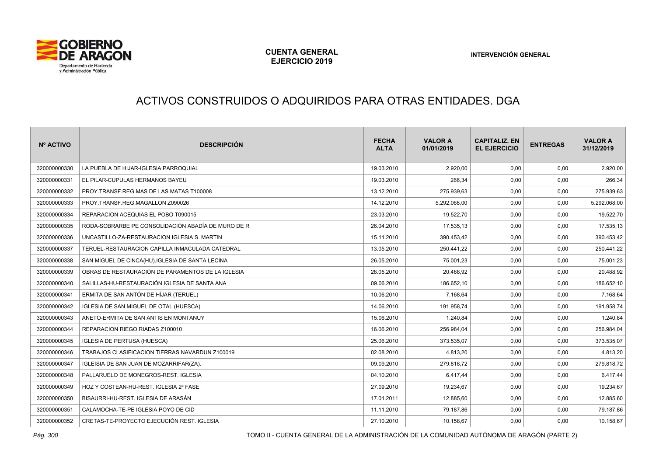

# ACTIVOS CONSTRUIDOS O ADQUIRIDOS PARA OTRAS ENTIDADES. DGA

| Nº ACTIVO    | <b>DESCRIPCIÓN</b>                                 | <b>FECHA</b><br><b>ALTA</b> | <b>VALOR A</b><br>01/01/2019 | <b>CAPITALIZ, EN</b><br><b>EL EJERCICIO</b> | <b>ENTREGAS</b> | <b>VALOR A</b><br>31/12/2019 |
|--------------|----------------------------------------------------|-----------------------------|------------------------------|---------------------------------------------|-----------------|------------------------------|
| 320000000330 | LA PUEBLA DE HIJAR-IGLESIA PARROQUIAL              | 19.03.2010                  | 2.920,00                     | 0,00                                        | 0,00            | 2.920,00                     |
| 320000000331 | EL PILAR-CUPULAS HERMANOS BAYEU                    | 19.03.2010                  | 266.34                       | 0,00                                        | 0,00            | 266,34                       |
| 320000000332 | PROY.TRANSF.REG.MAS DE LAS MATAS T100008           | 13.12.2010                  | 275.939,63                   | 0,00                                        | 0,00            | 275.939,63                   |
| 320000000333 | PROY.TRANSF.REG.MAGALLON Z090026                   | 14.12.2010                  | 5.292.068,00                 | 0,00                                        | 0,00            | 5.292.068,00                 |
| 320000000334 | REPARACION ACEQUIAS EL POBO T090015                | 23.03.2010                  | 19.522,70                    | 0,00                                        | 0,00            | 19.522,70                    |
| 320000000335 | RODA-SOBRARBE PE CONSOLIDACIÓN ABADÍA DE MURO DE R | 26.04.2010                  | 17.535,13                    | 0,00                                        | 0,00            | 17.535,13                    |
| 320000000336 | UNCASTILLO-ZA-RESTAURACION IGLESIA S. MARTIN       | 15.11.2010                  | 390.453,42                   | 0,00                                        | 0,00            | 390.453,42                   |
| 320000000337 | TERUEL-RESTAURACION CAPILLA INMACULADA CATEDRAL    | 13.05.2010                  | 250.441,22                   | 0,00                                        | 0,00            | 250.441,22                   |
| 320000000338 | SAN MIGUEL DE CINCA(HU).IGLESIA DE SANTA LECINA    | 26.05.2010                  | 75.001,23                    | 0,00                                        | 0,00            | 75.001,23                    |
| 320000000339 | OBRAS DE RESTAURACIÓN DE PARAMENTOS DE LA IGLESIA  | 28.05.2010                  | 20.488,92                    | 0,00                                        | 0,00            | 20.488,92                    |
| 320000000340 | SALILLAS-HU-RESTAURACIÓN IGLESIA DE SANTA ANA      | 09.06.2010                  | 186.652,10                   | 0,00                                        | 0,00            | 186.652,10                   |
| 320000000341 | ERMITA DE SAN ANTÓN DE HÍJAR (TERUEL)              | 10.06.2010                  | 7.168,64                     | 0,00                                        | 0,00            | 7.168,64                     |
| 320000000342 | IGLESIA DE SAN MIGUEL DE OTAL (HUESCA)             | 14.06.2010                  | 191.958,74                   | 0,00                                        | 0,00            | 191.958,74                   |
| 320000000343 | ANETO-ERMITA DE SAN ANTIS EN MONTANUY              | 15.06.2010                  | 1.240.84                     | 0,00                                        | 0,00            | 1.240,84                     |
| 320000000344 | REPARACION RIEGO RIADAS Z100010                    | 16.06.2010                  | 256.984,04                   | 0,00                                        | 0,00            | 256.984,04                   |
| 320000000345 | <b>IGLESIA DE PERTUSA (HUESCA)</b>                 | 25.06.2010                  | 373.535,07                   | 0,00                                        | 0,00            | 373.535,07                   |
| 320000000346 | TRABAJOS CLASIFICACION TIERRAS NAVARDUN Z100019    | 02.08.2010                  | 4.813,20                     | 0,00                                        | 0,00            | 4.813,20                     |
| 320000000347 | IGLEISIA DE SAN JUAN DE MOZARRIFAR(ZA).            | 09.09.2010                  | 279.818,72                   | 0,00                                        | 0,00            | 279.818,72                   |
| 320000000348 | PALLARUELO DE MONEGROS-REST. IGLESIA               | 04.10.2010                  | 6.417,44                     | 0,00                                        | 0,00            | 6.417,44                     |
| 320000000349 | HOZ Y COSTEAN-HU-REST. IGLESIA 2ª FASE             | 27.09.2010                  | 19.234,67                    | 0,00                                        | 0,00            | 19.234,67                    |
| 320000000350 | BISAURRI-HU-REST, IGLESIA DE ARASÁN                | 17.01.2011                  | 12.885,60                    | 0,00                                        | 0,00            | 12.885,60                    |
| 320000000351 | CALAMOCHA-TE-PE IGLESIA POYO DE CID                | 11.11.2010                  | 79.187,86                    | 0,00                                        | 0,00            | 79.187,86                    |
| 320000000352 | CRETAS-TE-PROYECTO EJECUCIÓN REST. IGLESIA         | 27.10.2010                  | 10.158,67                    | 0,00                                        | 0,00            | 10.158,67                    |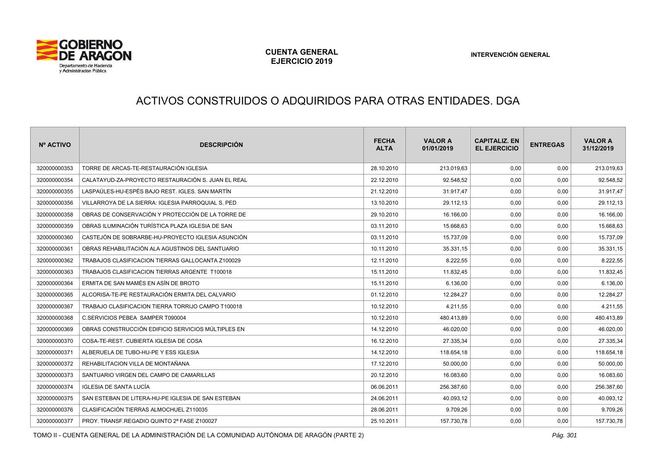

# ACTIVOS CONSTRUIDOS O ADQUIRIDOS PARA OTRAS ENTIDADES. DGA

| Nº ACTIVO    | <b>DESCRIPCIÓN</b>                                 | <b>FECHA</b><br><b>ALTA</b> | <b>VALOR A</b><br>01/01/2019 | <b>CAPITALIZ, EN</b><br><b>EL EJERCICIO</b> | <b>ENTREGAS</b> | <b>VALOR A</b><br>31/12/2019 |
|--------------|----------------------------------------------------|-----------------------------|------------------------------|---------------------------------------------|-----------------|------------------------------|
| 320000000353 | TORRE DE ARCAS-TE-RESTAURACIÓN IGLESIA             | 28.10.2010                  | 213.019,63                   | 0,00                                        | 0,00            | 213.019,63                   |
| 320000000354 | CALATAYUD-ZA-PROYECTO RESTAURACIÓN S. JUAN EL REAL | 22.12.2010                  | 92.548,52                    | 0,00                                        | 0,00            | 92.548,52                    |
| 320000000355 | LASPAÚLES-HU-ESPÉS BAJO REST. IGLES. SAN MARTÍN    | 21.12.2010                  | 31.917,47                    | 0,00                                        | 0,00            | 31.917,47                    |
| 320000000356 | VILLARROYA DE LA SIERRA: IGLESIA PARROQUIAL S. PED | 13.10.2010                  | 29.112,13                    | 0,00                                        | 0,00            | 29.112,13                    |
| 320000000358 | OBRAS DE CONSERVACIÓN Y PROTECCIÓN DE LA TORRE DE  | 29.10.2010                  | 16.166,00                    | 0,00                                        | 0,00            | 16.166,00                    |
| 320000000359 | OBRAS ILUMINACIÓN TURÍSTICA PLAZA IGLESIA DE SAN   | 03.11.2010                  | 15.668,63                    | 0,00                                        | 0,00            | 15.668,63                    |
| 320000000360 | CASTEJÓN DE SOBRARBE-HU-PROYECTO IGLESIA ASUNCIÓN  | 03.11.2010                  | 15.737,09                    | 0,00                                        | 0,00            | 15.737,09                    |
| 320000000361 | OBRAS REHABILITACIÓN ALA AGUSTINOS DEL SANTUARIO   | 10.11.2010                  | 35.331,15                    | 0,00                                        | 0,00            | 35.331,15                    |
| 320000000362 | TRABAJOS CLASIFICACION TIERRAS GALLOCANTA Z100029  | 12.11.2010                  | 8.222,55                     | 0,00                                        | 0,00            | 8.222,55                     |
| 320000000363 | TRABAJOS CLASIFICACION TIERRAS ARGENTE T100018     | 15.11.2010                  | 11.832,45                    | 0,00                                        | 0,00            | 11.832,45                    |
| 320000000364 | ERMITA DE SAN MAMÉS EN ASÍN DE BROTO               | 15.11.2010                  | 6.136,00                     | 0,00                                        | 0,00            | 6.136,00                     |
| 320000000365 | ALCORISA-TE-PE RESTAURACIÓN ERMITA DEL CALVARIO    | 01.12.2010                  | 12.284,27                    | 0,00                                        | 0,00            | 12.284,27                    |
| 320000000367 | TRABAJO CLASIFICACION TIERRA TORRIJO CAMPO T100018 | 10.12.2010                  | 4.211,55                     | 0,00                                        | 0,00            | 4.211,55                     |
| 320000000368 | C.SERVICIOS PEBEA SAMPER T090004                   | 10.12.2010                  | 480.413,89                   | 0,00                                        | 0,00            | 480.413,89                   |
| 320000000369 | OBRAS CONSTRUCCIÓN EDIFICIO SERVICIOS MÚLTIPLES EN | 14.12.2010                  | 46.020,00                    | 0,00                                        | 0,00            | 46.020,00                    |
| 320000000370 | COSA-TE-REST. CUBIERTA IGLESIA DE COSA             | 16.12.2010                  | 27.335,34                    | 0,00                                        | 0,00            | 27.335,34                    |
| 320000000371 | ALBERUELA DE TUBO-HU-PE Y ESS IGLESIA              | 14.12.2010                  | 118.654,18                   | 0,00                                        | 0,00            | 118.654,18                   |
| 320000000372 | REHABILITACION VILLA DE MONTAÑANA                  | 17.12.2010                  | 50.000,00                    | 0,00                                        | 0,00            | 50.000,00                    |
| 320000000373 | SANTUARIO VIRGEN DEL CAMPO DE CAMARILLAS           | 20.12.2010                  | 16.083,60                    | 0,00                                        | 0,00            | 16.083,60                    |
| 320000000374 | <b>IGLESIA DE SANTA LUCÍA</b>                      | 06.06.2011                  | 256.387,60                   | 0,00                                        | 0,00            | 256.387,60                   |
| 320000000375 | SAN ESTEBAN DE LITERA-HU-PE IGLESIA DE SAN ESTEBAN | 24.06.2011                  | 40.093,12                    | 0,00                                        | 0,00            | 40.093,12                    |
| 320000000376 | CLASIFICACIÓN TIERRAS ALMOCHUEL Z110035            | 28.06.2011                  | 9.709,26                     | 0,00                                        | 0,00            | 9.709,26                     |
| 320000000377 | PROY. TRANSF.REGADIO QUINTO 2ª FASE Z100027        | 25.10.2011                  | 157.730,78                   | 0,00                                        | 0,00            | 157.730,78                   |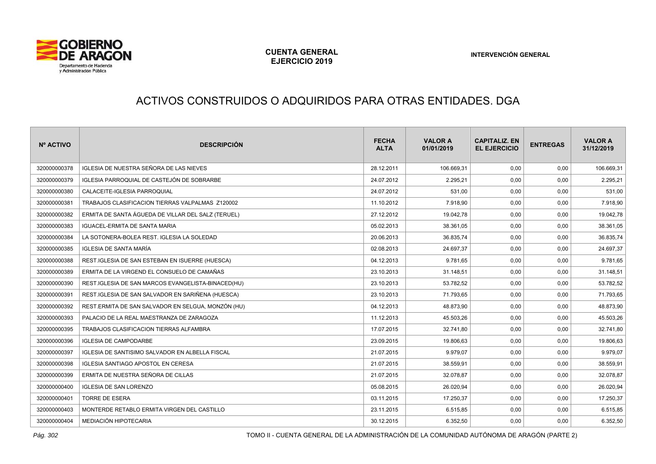

# ACTIVOS CONSTRUIDOS O ADQUIRIDOS PARA OTRAS ENTIDADES. DGA

| Nº ACTIVO    | <b>DESCRIPCIÓN</b>                                     | <b>FECHA</b><br><b>ALTA</b> | <b>VALOR A</b><br>01/01/2019 | <b>CAPITALIZ, EN</b><br><b>EL EJERCICIO</b> | <b>ENTREGAS</b> | <b>VALOR A</b><br>31/12/2019 |
|--------------|--------------------------------------------------------|-----------------------------|------------------------------|---------------------------------------------|-----------------|------------------------------|
| 320000000378 | IGLESIA DE NUESTRA SEÑORA DE LAS NIEVES                | 28.12.2011                  | 106.669,31                   | 0,00                                        | 0,00            | 106.669,31                   |
| 320000000379 | IGLESIA PARROQUIAL DE CASTEJÓN DE SOBRARBE             | 24.07.2012                  | 2.295,21                     | 0,00                                        | 0,00            | 2.295,21                     |
| 320000000380 | CALACEITE-IGLESIA PARROQUIAL                           | 24.07.2012                  | 531.00                       | 0,00                                        | 0,00            | 531,00                       |
| 320000000381 | TRABAJOS CLASIFICACION TIERRAS VALPALMAS Z120002       | 11.10.2012                  | 7.918,90                     | 0,00                                        | 0,00            | 7.918,90                     |
| 320000000382 | ERMITA DE SANTA ÁGUEDA DE VILLAR DEL SALZ (TERUEL)     | 27.12.2012                  | 19.042,78                    | 0,00                                        | 0,00            | 19.042,78                    |
| 320000000383 | <b>IGUACEL-ERMITA DE SANTA MARIA</b>                   | 05.02.2013                  | 38.361,05                    | 0,00                                        | 0,00            | 38.361,05                    |
| 320000000384 | LA SOTONERA-BOLEA REST. IGLESIA LA SOLEDAD             | 20.06.2013                  | 36.835,74                    | 0,00                                        | 0,00            | 36.835,74                    |
| 320000000385 | IGLESIA DE SANTA MARÍA                                 | 02.08.2013                  | 24.697,37                    | 0,00                                        | 0,00            | 24.697,37                    |
| 320000000388 | REST.IGLESIA DE SAN ESTEBAN EN ISUERRE (HUESCA)        | 04.12.2013                  | 9.781,65                     | 0,00                                        | 0,00            | 9.781,65                     |
| 320000000389 | ERMITA DE LA VIRGEND EL CONSUELO DE CAMAÑAS            | 23.10.2013                  | 31.148.51                    | 0,00                                        | 0,00            | 31.148,51                    |
| 320000000390 | REST.IGLESIA DE SAN MARCOS EVANGELISTA-BINACED(HU)     | 23.10.2013                  | 53.782,52                    | 0,00                                        | 0,00            | 53.782,52                    |
| 320000000391 | REST.IGLESIA DE SAN SALVADOR EN SARIÑENA (HUESCA)      | 23.10.2013                  | 71.793,65                    | 0,00                                        | 0,00            | 71.793,65                    |
| 320000000392 | REST.ERMITA DE SAN SALVADOR EN SELGUA, MONZÓN (HU)     | 04.12.2013                  | 48.873,90                    | 0,00                                        | 0,00            | 48.873,90                    |
| 320000000393 | PALACIO DE LA REAL MAESTRANZA DE ZARAGOZA              | 11.12.2013                  | 45.503,26                    | 0,00                                        | 0,00            | 45.503,26                    |
| 320000000395 | TRABAJOS CLASIFICACION TIERRAS ALFAMBRA                | 17.07.2015                  | 32.741,80                    | 0,00                                        | 0,00            | 32.741,80                    |
| 320000000396 | <b>IGLESIA DE CAMPODARBE</b>                           | 23.09.2015                  | 19.806,63                    | 0,00                                        | 0,00            | 19.806,63                    |
| 320000000397 | <b>IGLESIA DE SANTISIMO SALVADOR EN ALBELLA FISCAL</b> | 21.07.2015                  | 9.979.07                     | 0,00                                        | 0,00            | 9.979,07                     |
| 320000000398 | IGLESIA SANTIAGO APOSTOL EN CERESA                     | 21.07.2015                  | 38.559,91                    | 0,00                                        | 0,00            | 38.559,91                    |
| 320000000399 | ERMITA DE NUESTRA SEÑORA DE CILLAS                     | 21.07.2015                  | 32.078,87                    | 0,00                                        | 0,00            | 32.078,87                    |
| 320000000400 | <b>IGLESIA DE SAN LORENZO</b>                          | 05.08.2015                  | 26.020,94                    | 0,00                                        | 0,00            | 26.020,94                    |
| 320000000401 | <b>TORRE DE ESERA</b>                                  | 03.11.2015                  | 17.250,37                    | 0,00                                        | 0,00            | 17.250,37                    |
| 320000000403 | MONTERDE RETABLO ERMITA VIRGEN DEL CASTILLO            | 23.11.2015                  | 6.515,85                     | 0,00                                        | 0,00            | 6.515,85                     |
| 320000000404 | MEDIACIÓN HIPOTECARIA                                  | 30.12.2015                  | 6.352,50                     | 0,00                                        | 0,00            | 6.352,50                     |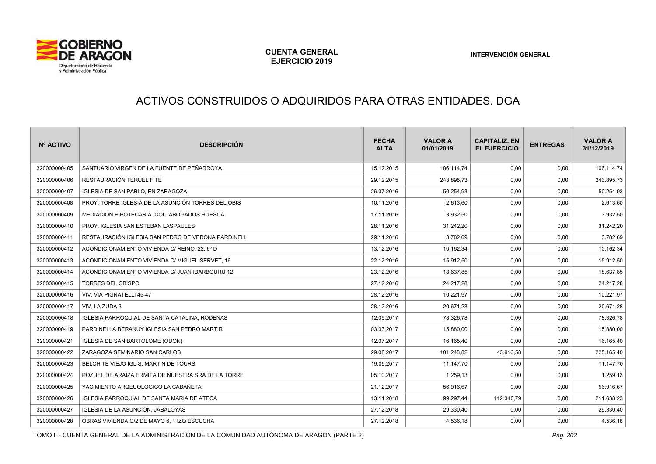

# ACTIVOS CONSTRUIDOS O ADQUIRIDOS PARA OTRAS ENTIDADES. DGA

| Nº ACTIVO    | <b>DESCRIPCIÓN</b>                                 | <b>FECHA</b><br><b>ALTA</b> | <b>VALOR A</b><br>01/01/2019 | <b>CAPITALIZ, EN</b><br><b>EL EJERCICIO</b> | <b>ENTREGAS</b> | <b>VALOR A</b><br>31/12/2019 |
|--------------|----------------------------------------------------|-----------------------------|------------------------------|---------------------------------------------|-----------------|------------------------------|
| 320000000405 | SANTUARIO VIRGEN DE LA FUENTE DE PEÑARROYA         | 15.12.2015                  | 106.114,74                   | 0,00                                        | 0,00            | 106.114,74                   |
| 320000000406 | RESTAURACIÓN TERUEL FITE                           | 29.12.2015                  | 243.895,73                   | 0,00                                        | 0,00            | 243.895,73                   |
| 320000000407 | <b>IGLESIA DE SAN PABLO. EN ZARAGOZA</b>           | 26.07.2016                  | 50.254,93                    | 0,00                                        | 0,00            | 50.254,93                    |
| 320000000408 | PROY. TORRE IGLESIA DE LA ASUNCIÓN TORRES DEL OBIS | 10.11.2016                  | 2.613,60                     | 0,00                                        | 0,00            | 2.613,60                     |
| 320000000409 | MEDIACION HIPOTECARIA, COL. ABOGADOS HUESCA        | 17.11.2016                  | 3.932,50                     | 0,00                                        | 0,00            | 3.932,50                     |
| 320000000410 | PROY. IGLESIA SAN ESTEBAN LASPAULES                | 28.11.2016                  | 31.242,20                    | 0,00                                        | 0,00            | 31.242,20                    |
| 320000000411 | RESTAURACIÓN IGLESIA SAN PEDRO DE VERONA PARDINELL | 29.11.2016                  | 3.782,69                     | 0,00                                        | 0,00            | 3.782,69                     |
| 320000000412 | ACONDICIONAMIENTO VIVIENDA C/ REINO, 22, 6º D      | 13.12.2016                  | 10.162,34                    | 0,00                                        | 0,00            | 10.162,34                    |
| 320000000413 | ACONDICIONAMIENTO VIVIENDA C/ MIGUEL SERVET, 16    | 22.12.2016                  | 15.912,50                    | 0,00                                        | 0,00            | 15.912,50                    |
| 320000000414 | ACONDICIONAMIENTO VIVIENDA C/ JUAN IBARBOURU 12    | 23.12.2016                  | 18.637,85                    | 0,00                                        | 0,00            | 18.637,85                    |
| 320000000415 | <b>TORRES DEL OBISPO</b>                           | 27.12.2016                  | 24.217,28                    | 0,00                                        | 0,00            | 24.217,28                    |
| 320000000416 | VIV. VIA PIGNATELLI 45-47                          | 28.12.2016                  | 10.221,97                    | 0,00                                        | 0,00            | 10.221,97                    |
| 320000000417 | VIV. LA ZUDA 3                                     | 28.12.2016                  | 20.671,28                    | 0,00                                        | 0,00            | 20.671,28                    |
| 320000000418 | IGLESIA PARROQUIAL DE SANTA CATALINA, RODENAS      | 12.09.2017                  | 78.326,78                    | 0,00                                        | 0,00            | 78.326,78                    |
| 320000000419 | PARDINELLA BERANUY IGLESIA SAN PEDRO MARTIR        | 03.03.2017                  | 15.880,00                    | 0,00                                        | 0,00            | 15.880,00                    |
| 320000000421 | IGLESIA DE SAN BARTOLOME (ODON)                    | 12.07.2017                  | 16.165,40                    | 0,00                                        | 0,00            | 16.165,40                    |
| 320000000422 | ZARAGOZA SEMINARIO SAN CARLOS                      | 29.08.2017                  | 181.248,82                   | 43.916,58                                   | 0,00            | 225.165,40                   |
| 320000000423 | BELCHITE VIEJO IGL S. MARTÍN DE TOURS              | 19.09.2017                  | 11.147,70                    | 0,00                                        | 0,00            | 11.147,70                    |
| 320000000424 | POZUEL DE ARAIZA ERMITA DE NUESTRA SRA DE LA TORRE | 05.10.2017                  | 1.259,13                     | 0,00                                        | 0,00            | 1.259,13                     |
| 320000000425 | YACIMIENTO ARQEUOLOGICO LA CABAÑETA                | 21.12.2017                  | 56.916,67                    | 0,00                                        | 0,00            | 56.916,67                    |
| 320000000426 | <b>IGLESIA PARROQUIAL DE SANTA MARIA DE ATECA</b>  | 13.11.2018                  | 99.297.44                    | 112.340,79                                  | 0,00            | 211.638,23                   |
| 320000000427 | IGLESIA DE LA ASUNCIÓN, JABALOYAS                  | 27.12.2018                  | 29.330,40                    | 0,00                                        | 0,00            | 29.330,40                    |
| 320000000428 | OBRAS VIVIENDA C/2 DE MAYO 6, 1 IZQ ESCUCHA        | 27.12.2018                  | 4.536,18                     | 0,00                                        | 0,00            | 4.536,18                     |